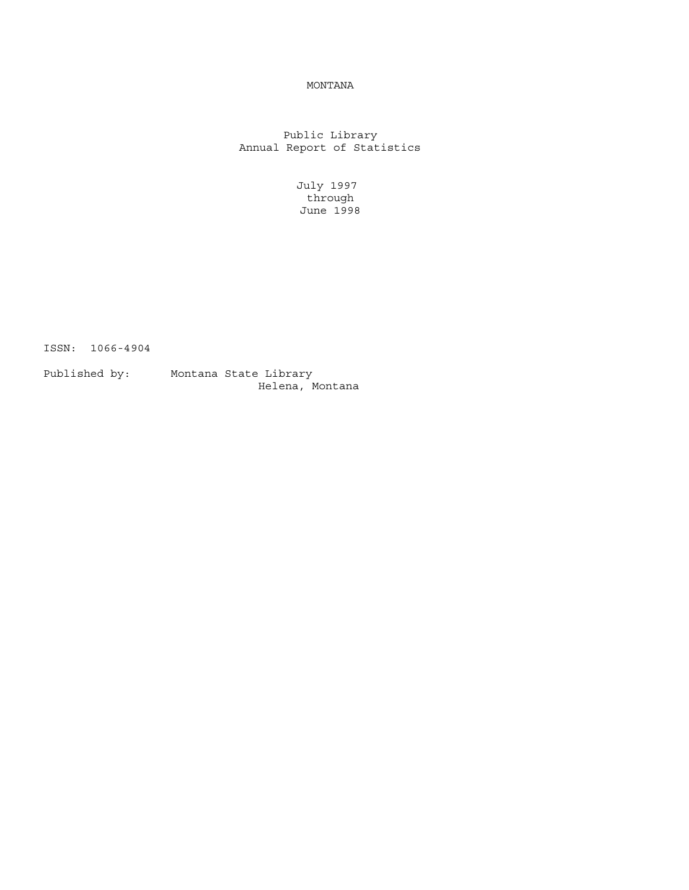## MONTANA

Public Library Annual Report of Statistics

> July 1997 through June 1998

ISSN: 1066-4904

Published by: Montana State Library Helena, Montana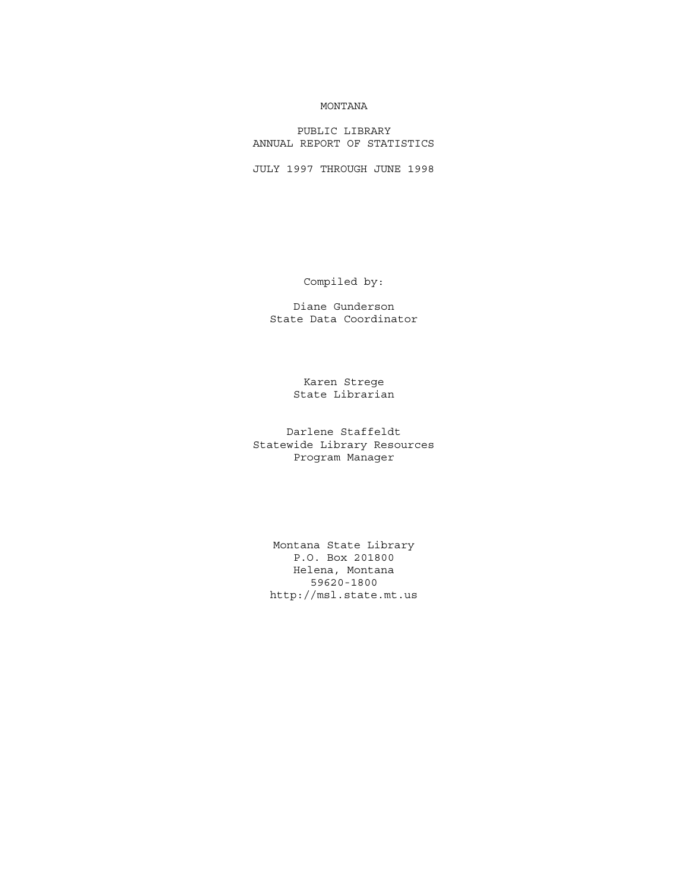## MONTANA

PUBLIC LIBRARY ANNUAL REPORT OF STATISTICS

JULY 1997 THROUGH JUNE 1998

Compiled by:

Diane Gunderson State Data Coordinator

> Karen Strege State Librarian

Darlene Staffeldt Statewide Library Resources Program Manager

Montana State Library P.O. Box 201800 Helena, Montana 59620-1800 http://msl.state.mt.us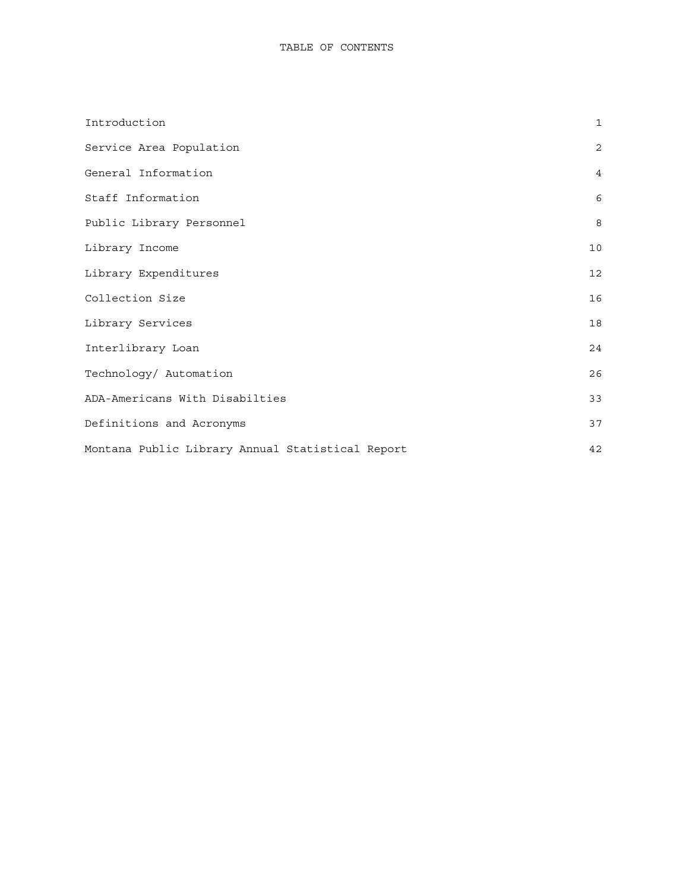| Introduction                                     | $\mathbf{1}$   |
|--------------------------------------------------|----------------|
| Service Area Population                          | 2              |
| General Information                              | $\overline{4}$ |
| Staff Information                                | 6              |
| Public Library Personnel                         | 8              |
| Library Income                                   | 10             |
| Library Expenditures                             | 12             |
| Collection Size                                  | 16             |
| Library Services                                 | 18             |
| Interlibrary Loan                                | 24             |
| Technology/ Automation                           | 26             |
| ADA-Americans With Disabilties                   | 33             |
| Definitions and Acronyms                         | 37             |
| Montana Public Library Annual Statistical Report | 42             |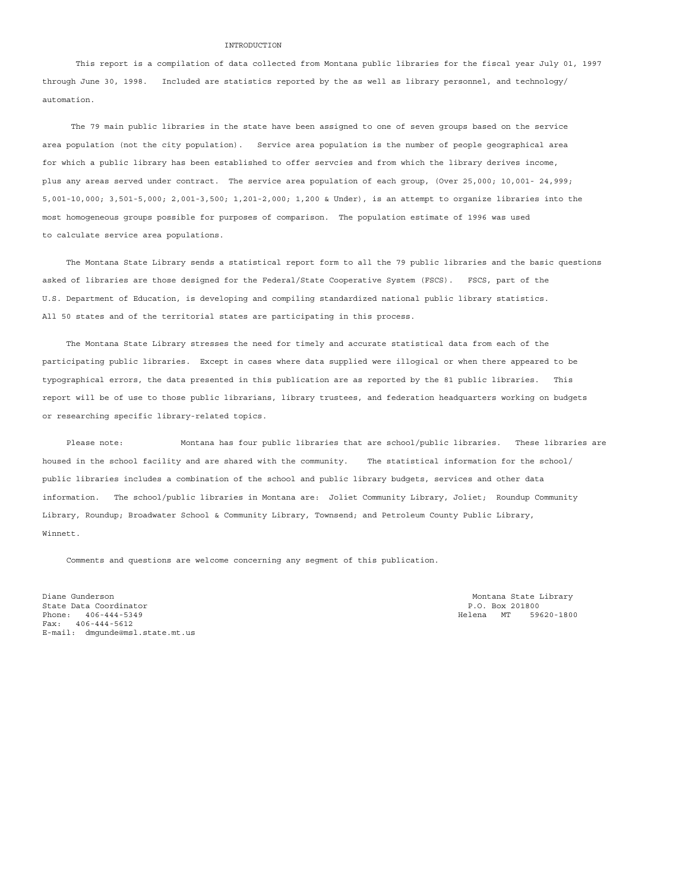#### INTRODUCTION

<span id="page-3-0"></span> This report is a compilation of data collected from Montana public libraries for the fiscal year July 01, 1997 through June 30, 1998. Included are statistics reported by the as well as library personnel, and technology/ automation.

 The 79 main public libraries in the state have been assigned to one of seven groups based on the service area population (not the city population). Service area population is the number of people geographical area for which a public library has been established to offer servcies and from which the library derives income, plus any areas served under contract. The service area population of each group, (Over 25,000; 10,001- 24,999; 5,001-10,000; 3,501-5,000; 2,001-3,500; 1,201-2,000; 1,200 & Under), is an attempt to organize libraries into the most homogeneous groups possible for purposes of comparison. The population estimate of 1996 was used to calculate service area populations.

 The Montana State Library sends a statistical report form to all the 79 public libraries and the basic questions asked of libraries are those designed for the Federal/State Cooperative System (FSCS). FSCS, part of the U.S. Department of Education, is developing and compiling standardized national public library statistics. All 50 states and of the territorial states are participating in this process.

 The Montana State Library stresses the need for timely and accurate statistical data from each of the participating public libraries. Except in cases where data supplied were illogical or when there appeared to be typographical errors, the data presented in this publication are as reported by the 81 public libraries. This report will be of use to those public librarians, library trustees, and federation headquarters working on budgets or researching specific library-related topics.

Please note: Montana has four public libraries that are school/public libraries. These libraries are housed in the school facility and are shared with the community. The statistical information for the school/ public libraries includes a combination of the school and public library budgets, services and other data information. The school/public libraries in Montana are: Joliet Community Library, Joliet; Roundup Community Library, Roundup; Broadwater School & Community Library, Townsend; and Petroleum County Public Library, Winnett.

Comments and questions are welcome concerning any segment of this publication.

Diane Gunderson and the Community of the Community of the Montana State Library Montana State Library State Data Coordinator P.O. Box 201800 Phone:  $406 - 444 - 5349$ Fax: 406-444-5612 E-mail: dmgunde@msl.state.mt.us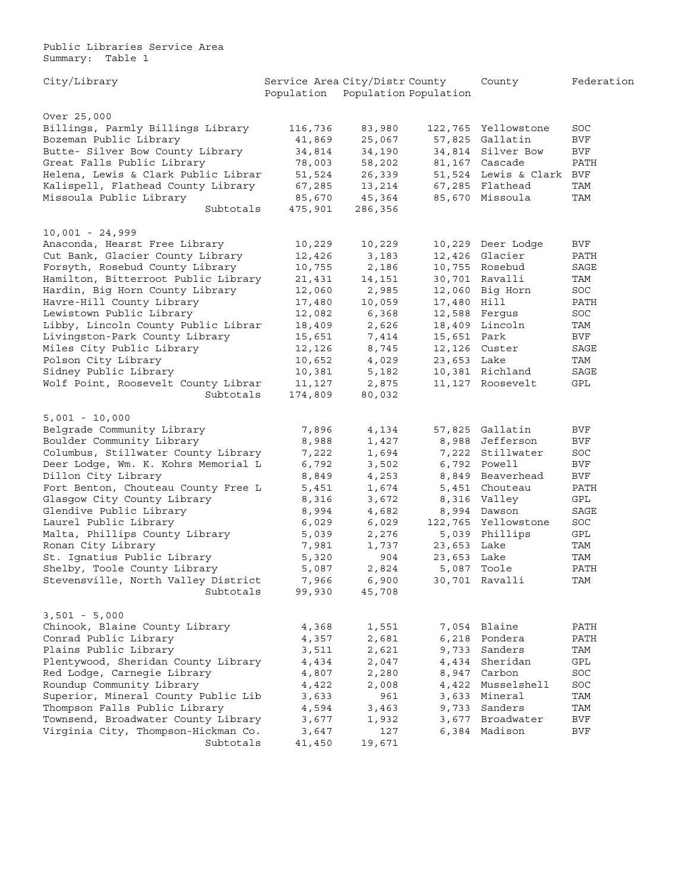<span id="page-4-0"></span>Public Libraries Service Area Summary: Table 1

| City/Library                        | Service Area City/Distr County<br>Population Population Population |                 |             | County                   | Federation           |
|-------------------------------------|--------------------------------------------------------------------|-----------------|-------------|--------------------------|----------------------|
| Over 25,000                         |                                                                    |                 |             |                          |                      |
| Billings, Parmly Billings Library   | 116,736                                                            | 83,980          |             | 122,765 Yellowstone      | SOC                  |
| Bozeman Public Library              | 41,869                                                             | 25,067          | 57,825      | Gallatin                 | BVF                  |
| Butte- Silver Bow County Library    | 34,814                                                             | 34,190          |             | 34,814 Silver Bow        | BVF                  |
| Great Falls Public Library          | 78,003                                                             | 58,202          |             | 81,167 Cascade           | PATH                 |
| Helena, Lewis & Clark Public Librar | 51,524                                                             | 26,339          |             | 51,524 Lewis & Clark BVF |                      |
| Kalispell, Flathead County Library  | 67,285                                                             | 13,214          |             | 67,285 Flathead          | TAM                  |
| Missoula Public Library             | 85,670                                                             | 45,364          |             | 85,670 Missoula          | TAM                  |
| Subtotals                           | 475,901                                                            | 286,356         |             |                          |                      |
| $10,001 - 24,999$                   |                                                                    |                 |             |                          |                      |
| Anaconda, Hearst Free Library       | 10,229                                                             | 10,229          |             | 10,229 Deer Lodge        | BVF                  |
| Cut Bank, Glacier County Library    | 12,426                                                             | 3,183           |             | 12,426 Glacier           | PATH                 |
| Forsyth, Rosebud County Library     | 10,755                                                             | 2,186           |             | 10,755 Rosebud           | SAGE                 |
| Hamilton, Bitterroot Public Library | 21,431                                                             | 14,151          |             | 30,701 Ravalli           | TAM                  |
| Hardin, Big Horn County Library     | 12,060                                                             | 2,985           |             | 12,060 Big Horn          | SOC                  |
| Havre-Hill County Library           | 17,480                                                             | 10,059          | 17,480 Hill |                          | PATH                 |
| Lewistown Public Library            | 12,082                                                             | 6,368           |             | 12,588 Fergus            | SOC                  |
| Libby, Lincoln County Public Librar | 18,409                                                             | 2,626           |             | 18,409 Lincoln           | TAM                  |
| Livingston-Park County Library      | 15,651                                                             | 7,414           | 15,651 Park |                          | <b>BVF</b>           |
| Miles City Public Library           | 12,126                                                             | 8,745           |             | 12,126 Custer            | SAGE                 |
| Polson City Library                 | 10,652                                                             | 4,029           | 23,653 Lake |                          | TAM                  |
| Sidney Public Library               | 10,381                                                             | 5,182           |             | 10,381 Richland          | SAGE                 |
| Wolf Point, Roosevelt County Librar |                                                                    |                 |             | 11,127 Roosevelt         | GPL                  |
| Subtotals                           | 11,127<br>174,809                                                  | 2,875<br>80,032 |             |                          |                      |
| $5,001 - 10,000$                    |                                                                    |                 |             |                          |                      |
| Belgrade Community Library          | 7,896                                                              | 4,134           |             | 57,825 Gallatin          | BVF                  |
| Boulder Community Library           | 8,988                                                              | 1,427           | 8,988       | Jefferson                | BVF                  |
| Columbus, Stillwater County Library | 7,222                                                              | 1,694           | 7,222       | Stillwater               | SOC                  |
| Deer Lodge, Wm. K. Kohrs Memorial L | 6,792                                                              | 3,502           |             | 6,792 Powell             | BVF                  |
| Dillon City Library                 | 8,849                                                              | 4,253           | 8,849       | Beaverhead               | BVF                  |
| Fort Benton, Chouteau County Free L | 5,451                                                              |                 |             | 5,451 Chouteau           | PATH                 |
|                                     |                                                                    | 1,674           |             |                          | GPL                  |
| Glasgow City County Library         | 8,316                                                              | 3,672           |             | 8,316 Valley             |                      |
| Glendive Public Library             | 8,994                                                              | 4,682           |             | 8,994 Dawson             | SAGE                 |
| Laurel Public Library               | 6,029                                                              | 6,029           |             | 122,765 Yellowstone      | SOC                  |
| Malta, Phillips County Library      | 5,039                                                              | 2,276           |             | 5,039 Phillips           | GPL                  |
| Ronan City Library                  | 7,981                                                              | 1,737           | 23,653 Lake |                          | TAM                  |
| St. Ignatius Public Library         | 5,320                                                              | 904             | 23,653 Lake |                          | TAM                  |
| Shelby, Toole County Library        | 5,087                                                              | 2,824           |             | 5,087 Toole              | PATH                 |
| Stevensville, North Valley District | 7,966                                                              | 6,900           |             | 30,701 Ravalli           | $\operatorname{TAM}$ |
| Subtotals                           | 99,930                                                             | 45,708          |             |                          |                      |
| $3,501 - 5,000$                     |                                                                    |                 |             |                          |                      |
| Chinook, Blaine County Library      | 4,368                                                              | 1,551           |             | 7,054 Blaine             | PATH                 |
| Conrad Public Library               | 4,357                                                              | 2,681           |             | 6,218 Pondera            | PATH                 |
| Plains Public Library               | 3,511                                                              | 2,621           | 9,733       | Sanders                  | TAM                  |
| Plentywood, Sheridan County Library | 4,434                                                              | 2,047           | 4,434       | Sheridan                 | GPL                  |
| Red Lodge, Carnegie Library         | 4,807                                                              | 2,280           | 8,947       | Carbon                   | SOC                  |
| Roundup Community Library           | 4,422                                                              | 2,008           | 4,422       | Musselshell              | SOC                  |
| Superior, Mineral County Public Lib | 3,633                                                              | 961             | 3,633       | Mineral                  | TAM                  |
| Thompson Falls Public Library       | 4,594                                                              | 3,463           |             | 9,733 Sanders            | TAM                  |
| Townsend, Broadwater County Library | 3,677                                                              | 1,932           | 3,677       | Broadwater               | <b>BVF</b>           |
| Virginia City, Thompson-Hickman Co. | 3,647                                                              | 127             | 6,384       | Madison                  | BVF                  |
| Subtotals                           | 41,450                                                             | 19,671          |             |                          |                      |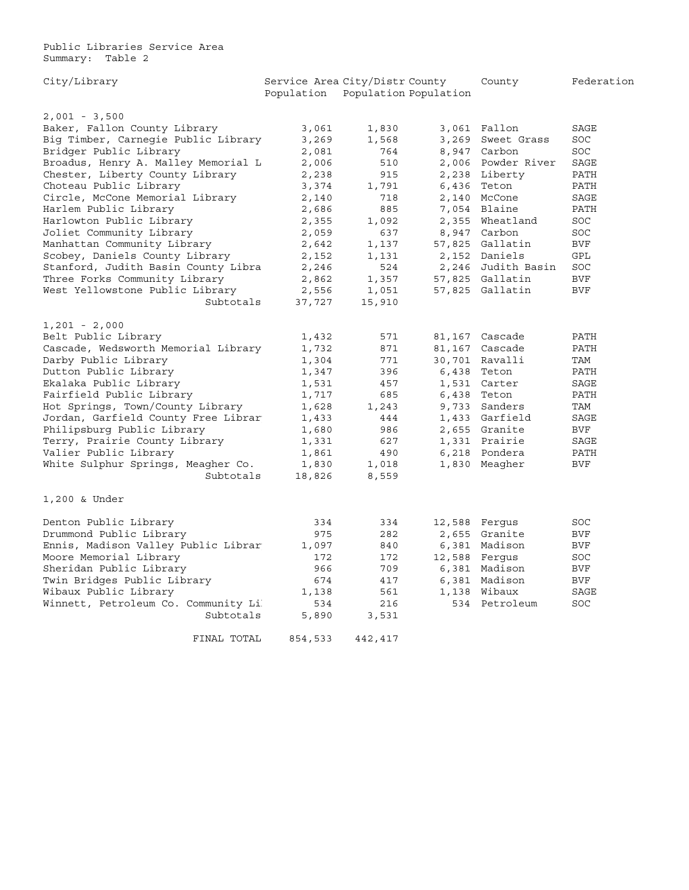Public Libraries Service Area Summary: Table 2

| City/Library                        |            | Service Area City/Distr County |        | County        | Federation |
|-------------------------------------|------------|--------------------------------|--------|---------------|------------|
|                                     | Population | Population Population          |        |               |            |
| $2,001 - 3,500$                     |            |                                |        |               |            |
| Baker, Fallon County Library        | 3,061      | 1,830                          |        | 3,061 Fallon  | SAGE       |
| Big Timber, Carnegie Public Library | 3,269      | 1,568                          | 3,269  | Sweet Grass   | SOC        |
| Bridger Public Library              | 2,081      | 764                            | 8,947  | Carbon        | SOC        |
| Broadus, Henry A. Malley Memorial L | 2,006      | 510                            | 2,006  | Powder River  | SAGE       |
| Chester, Liberty County Library     | 2,238      | 915                            | 2,238  | Liberty       | PATH       |
| Choteau Public Library              | 3,374      | 1,791                          | 6,436  | Teton         | PATH       |
| Circle, McCone Memorial Library     | 2,140      | 718                            | 2,140  | McCone        | SAGE       |
| Harlem Public Library               | 2,686      | 885                            | 7,054  | Blaine        | PATH       |
|                                     |            |                                |        |               |            |
| Harlowton Public Library            | 2,355      | 1,092                          | 2,355  | Wheatland     | SOC        |
| Joliet Community Library            | 2,059      | 637                            | 8,947  | Carbon        | SOC        |
| Manhattan Community Library         | 2,642      | 1,137                          | 57,825 | Gallatin      | <b>BVF</b> |
| Scobey, Daniels County Library      | 2,152      | 1,131                          | 2,152  | Daniels       | GPL        |
| Stanford, Judith Basin County Libra | 2,246      | 524                            | 2,246  | Judith Basin  | SOC        |
| Three Forks Community Library       | 2,862      | 1,357                          | 57,825 | Gallatin      | <b>BVF</b> |
| West Yellowstone Public Library     | 2,556      | 1,051                          | 57,825 | Gallatin      | <b>BVF</b> |
| Subtotals                           | 37,727     | 15,910                         |        |               |            |
| $1,201 - 2,000$                     |            |                                |        |               |            |
| Belt Public Library                 | 1,432      | 571                            | 81,167 | Cascade       | PATH       |
| Cascade, Wedsworth Memorial Library | 1,732      | 871                            | 81,167 | Cascade       | PATH       |
| Darby Public Library                | 1,304      | 771                            | 30,701 | Ravalli       | TAM        |
| Dutton Public Library               | 1,347      | 396                            | 6,438  | Teton         | PATH       |
| Ekalaka Public Library              | 1,531      | 457                            | 1,531  | Carter        | SAGE       |
| Fairfield Public Library            | 1,717      | 685                            | 6,438  | Teton         | PATH       |
| Hot Springs, Town/County Library    | 1,628      | 1,243                          | 9,733  | Sanders       | TAM        |
| Jordan, Garfield County Free Librar | 1,433      | 444                            | 1,433  | Garfield      | SAGE       |
| Philipsburg Public Library          | 1,680      | 986                            |        | 2,655 Granite | <b>BVF</b> |
| Terry, Prairie County Library       | 1,331      | 627                            |        | 1,331 Prairie | SAGE       |
| Valier Public Library               | 1,861      | 490                            | 6,218  | Pondera       | PATH       |
| White Sulphur Springs, Meagher Co.  | 1,830      | 1,018                          | 1,830  | Meagher       | <b>BVF</b> |
| Subtotals                           | 18,826     | 8,559                          |        |               |            |
|                                     |            |                                |        |               |            |
| 1,200 & Under                       |            |                                |        |               |            |
| Denton Public Library               | 334        | 334                            |        | 12,588 Fergus | SOC        |
| Drummond Public Library             | 975        | 282                            | 2,655  | Granite       | <b>BVF</b> |
| Ennis, Madison Valley Public Librar | 1,097      | 840                            | 6,381  | Madison       | BVF        |
| Moore Memorial Library              | 172        | 172                            | 12,588 | Ferqus        | SOC        |
| Sheridan Public Library             | 966        | 709                            | 6,381  | Madison       | <b>BVF</b> |
| Twin Bridges Public Library         | 674        | 417                            | 6,381  | Madison       | <b>BVF</b> |
| Wibaux Public Library               | 1,138      | 561                            | 1,138  | Wibaux        | SAGE       |
| Winnett, Petroleum Co. Community Li | 534        | 216                            | 534    | Petroleum     | SOC        |
| Subtotals                           | 5,890      | 3,531                          |        |               |            |
|                                     |            |                                |        |               |            |
| FINAL TOTAL                         | 854,533    | 442,417                        |        |               |            |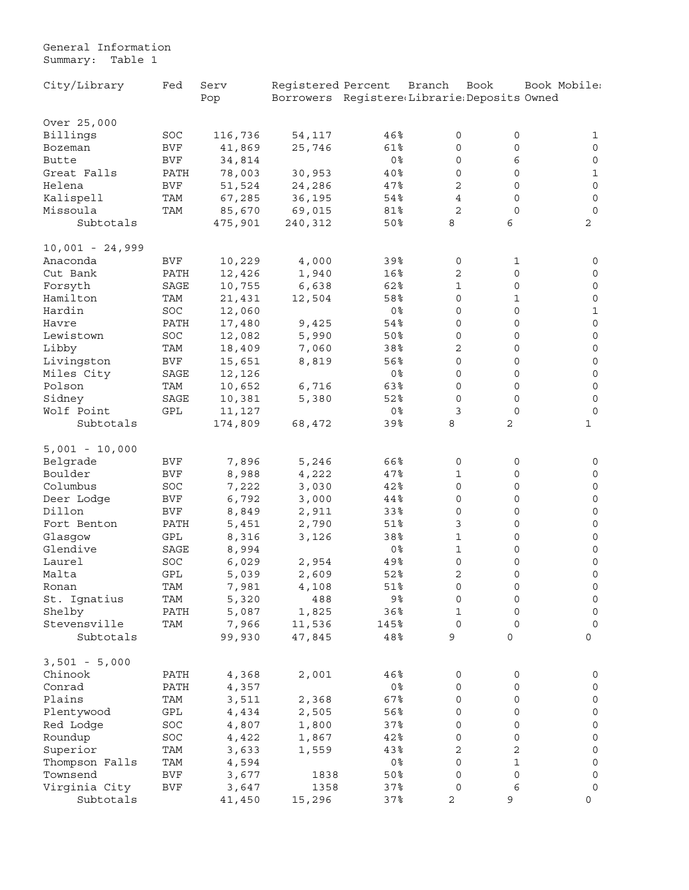<span id="page-6-0"></span>General Information Summary: Table 1

| City/Library      | Fed                  | Serv    | Registered Percent                          |                       | Branch                   | Book                | Book Mobile:        |
|-------------------|----------------------|---------|---------------------------------------------|-----------------------|--------------------------|---------------------|---------------------|
|                   |                      | Pop     | Borrowers Registere(Librarie(Deposits Owned |                       |                          |                     |                     |
|                   |                      |         |                                             |                       |                          |                     |                     |
| Over 25,000       |                      |         |                                             |                       |                          |                     |                     |
| Billings          | SOC                  | 116,736 | 54,117                                      | 46%                   | 0                        | 0                   | 1                   |
| Bozeman           | <b>BVF</b>           | 41,869  | 25,746                                      | 61%                   | 0                        | $\mathsf{O}\xspace$ | $\mathsf{O}\xspace$ |
| Butte             | $\rm BVF$            | 34,814  |                                             | 0 <sup>8</sup>        | 0                        | 6                   | $\mathsf{O}\xspace$ |
| Great Falls       | PATH                 | 78,003  | 30,953                                      | 40%                   | 0                        | 0                   | $\mathbf 1$         |
| Helena            | <b>BVF</b>           | 51,524  | 24,286                                      | 47%                   | $\mathbf 2$              | 0                   | $\mathsf{O}\xspace$ |
| Kalispell         | TAM                  | 67,285  | 36,195                                      | 54%                   | $\overline{4}$           | 0                   | $\mathsf{O}\xspace$ |
| Missoula          | TAM                  | 85,670  | 69,015                                      | 81%                   | $\overline{2}$           | $\mathbf 0$         | $\mathsf{O}\xspace$ |
| Subtotals         |                      | 475,901 | 240,312                                     | 50%                   | 8                        | 6                   | 2                   |
| $10,001 - 24,999$ |                      |         |                                             |                       |                          |                     |                     |
| Anaconda          | BVF                  | 10,229  | 4,000                                       | 39%                   | 0                        | 1                   | 0                   |
| Cut Bank          | PATH                 | 12,426  | 1,940                                       | 16%                   | $\sqrt{2}$               | 0                   | $\mathsf{O}\xspace$ |
| Forsyth           | SAGE                 | 10,755  | 6,638                                       | 62%                   | $\mathbf 1$              | 0                   | $\mathsf{O}\xspace$ |
| Hamilton          | TAM                  | 21,431  | 12,504                                      | 58%                   | $\mathbf 0$              | 1                   | $\mathsf{O}\xspace$ |
| Hardin            | SOC                  | 12,060  |                                             | 0 <sup>8</sup>        | 0                        | 0                   | $1\,$               |
| Havre             | PATH                 | 17,480  | 9,425                                       | 54%                   | 0                        | $\mathsf O$         | $\mathsf{O}\xspace$ |
| Lewistown         | SOC                  | 12,082  | 5,990                                       | 50%                   | 0                        | 0                   | $\mathsf{O}\xspace$ |
| Libby             | TAM                  | 18,409  | 7,060                                       | 38%                   | $\overline{c}$           | 0                   | $\mathsf{O}\xspace$ |
| Livingston        | <b>BVF</b>           | 15,651  | 8,819                                       | 56%                   | $\mathbf 0$              | 0                   | $\mathsf{O}\xspace$ |
| Miles City        | SAGE                 | 12,126  |                                             | 0%                    | 0                        | 0                   | $\mathsf{O}\xspace$ |
| Polson            | TAM                  | 10,652  | 6,716                                       | 63%                   | $\mathbf 0$              | 0                   | $\mathsf{O}\xspace$ |
| Sidney            | SAGE                 | 10,381  | 5,380                                       | 52%                   | $\mathbf 0$              | 0                   | $\mathsf{O}\xspace$ |
| Wolf Point        | $\operatorname{GPL}$ | 11,127  |                                             | 0 <sup>8</sup>        | 3                        | $\mathbf 0$         | $\mathbf 0$         |
| Subtotals         |                      | 174,809 | 68,472                                      | 39%                   | 8                        | 2                   | $\mathbf{1}$        |
|                   |                      |         |                                             |                       |                          |                     |                     |
| $5,001 - 10,000$  |                      |         |                                             |                       |                          |                     |                     |
| Belgrade          | <b>BVF</b>           | 7,896   | 5,246                                       | 66%                   | 0                        | 0                   | 0                   |
| Boulder           | <b>BVF</b>           | 8,988   | 4,222                                       | 47%                   | $\mathbf 1$              | 0                   | $\mathsf O$         |
| Columbus          | SOC                  | 7,222   | 3,030                                       | 42%                   | 0                        | 0                   | $\mathsf O$         |
| Deer Lodge        | <b>BVF</b>           | 6,792   | 3,000                                       | 44%                   | $\mathsf O$              | 0                   | $\mathsf{O}\xspace$ |
| Dillon            | <b>BVF</b>           | 8,849   | 2,911                                       | 33%                   | $\mathsf O$              | 0                   | $\mathsf{O}\xspace$ |
| Fort Benton       | PATH                 | 5,451   | 2,790                                       | 51%                   | $\mathfrak{Z}$           | 0                   | $\mathsf{O}\xspace$ |
| Glasgow           | GPL                  | 8,316   | 3,126                                       | 38%                   | $\mathbf 1$              | 0                   | $\mathsf{O}\xspace$ |
| Glendive          | SAGE                 | 8,994   |                                             | 0%                    | $\mathbf 1$              | 0                   | $\mathsf{O}$        |
| Laurel            | SOC                  | 6,029   | 2,954                                       | 49%                   | 0                        | 0                   | $\mathsf{O}\xspace$ |
| Malta             | GPL                  | 5,039   | 2,609                                       | 52%                   | 2                        | $\mathbf 0$         | $\mathsf{O}\xspace$ |
| Ronan             | TAM                  | 7,981   | 4,108                                       | 51%                   | 0                        | 0                   | $\mathsf{O}\xspace$ |
| St. Ignatius      | TAM                  | 5,320   | 488                                         | 9%                    | 0                        | 0                   | $\mathsf{O}\xspace$ |
| Shelby            | PATH                 | 5,087   | 1,825                                       | 36%                   | $\mathbf 1$              | $\mathbf 0$         | $\mathsf{O}\xspace$ |
| Stevensville      | TAM                  | 7,966   | 11,536                                      | 145%                  | $\mathbf 0$              | 0                   | $\mathsf{O}\xspace$ |
| Subtotals         |                      | 99,930  | 47,845                                      | 48%                   | 9                        | 0                   | 0                   |
| $3,501 - 5,000$   |                      |         |                                             |                       |                          |                     |                     |
|                   |                      |         |                                             |                       |                          |                     |                     |
| Chinook<br>Conrad | PATH                 | 4,368   | 2,001                                       | 46%<br>0 <sup>8</sup> | $\mathsf{O}\xspace$<br>0 | 0<br>0              | 0                   |
| Plains            | PATH                 | 4,357   |                                             |                       | 0                        |                     | 0                   |
|                   | TAM                  | 3,511   | 2,368                                       | 67%                   |                          | 0                   | $\mathsf{O}\xspace$ |
| Plentywood        | GPL                  | 4,434   | 2,505                                       | 56%                   | 0                        | 0                   | $\mathsf{O}\xspace$ |
| Red Lodge         | SOC                  | 4,807   | 1,800                                       | 37%                   | 0                        | 0                   | $\mathsf{O}\xspace$ |
| Roundup           | SOC                  | 4,422   | 1,867                                       | 42%                   | 0                        | 0                   | $\mathsf{O}\xspace$ |
| Superior          | TAM                  | 3,633   | 1,559                                       | 43%                   | 2                        | 2                   | $\mathsf{O}\xspace$ |
| Thompson Falls    | TAM                  | 4,594   |                                             | 0 <sup>8</sup>        | 0                        | $\mathbf 1$         | $\mathsf{O}\xspace$ |
| Townsend          | BVF                  | 3,677   | 1838                                        | $50\%$                | 0                        | $\mathsf{O}\xspace$ | 0                   |
| Virginia City     | $\rm BVF$            | 3,647   | 1358                                        | 37%                   | 0                        | 6                   | $\mathsf{O}\xspace$ |
| Subtotals         |                      | 41,450  | 15,296                                      | 37%                   | $\sqrt{2}$               | 9                   | 0                   |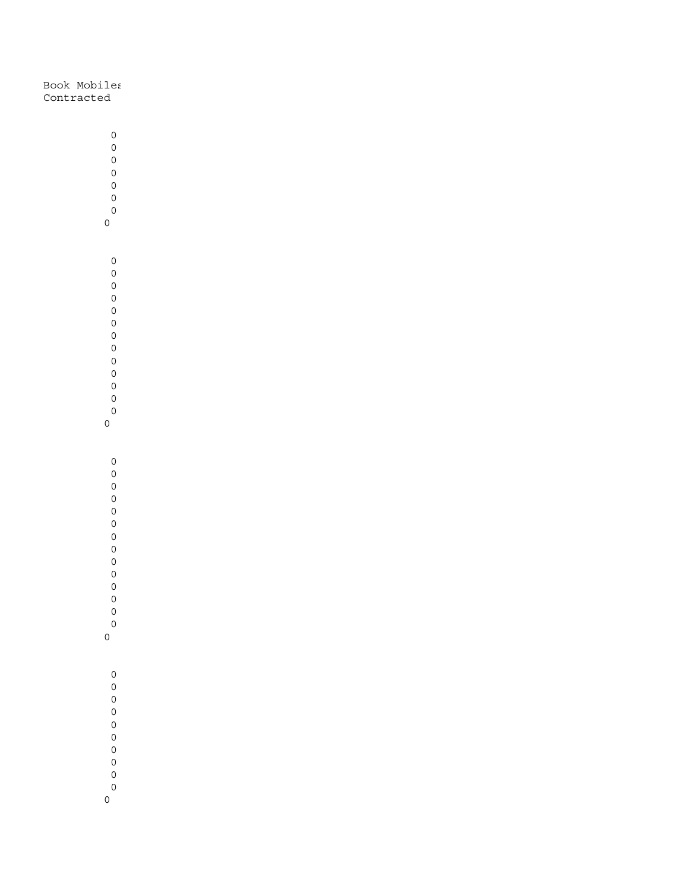Book Mobiles Contracted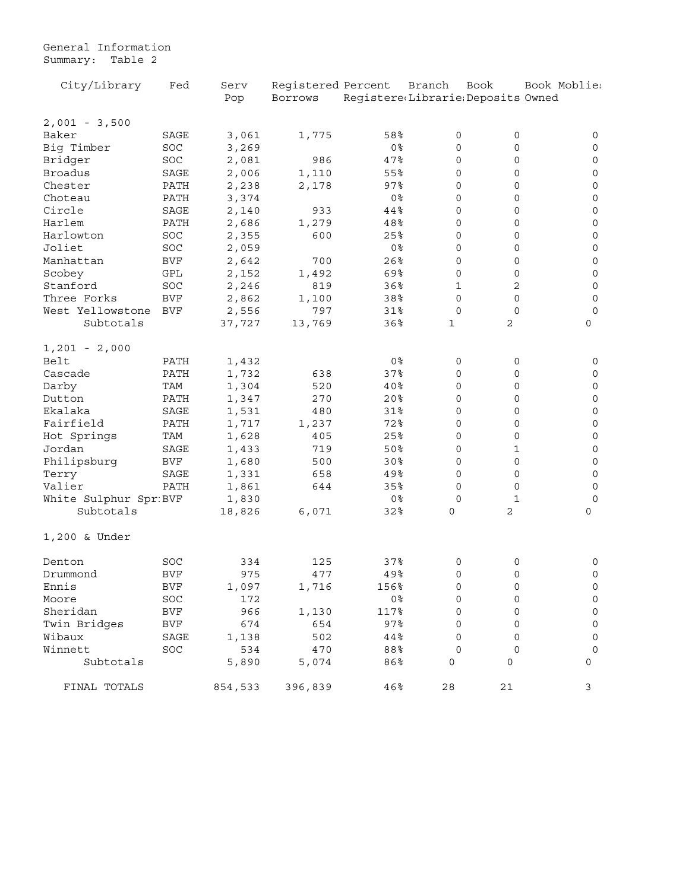General Information Summary: Table 2

| City/Library           | Fed                  | Serv    | Registered Percent |                                   | Branch      | Book         | Book Moblie:        |
|------------------------|----------------------|---------|--------------------|-----------------------------------|-------------|--------------|---------------------|
|                        |                      | Pop     | Borrows            | Registere(Librarie:Deposits Owned |             |              |                     |
| $2,001 - 3,500$        |                      |         |                    |                                   |             |              |                     |
| Baker                  | SAGE                 | 3,061   | 1,775              | 58%                               | 0           | 0            | 0                   |
| Big Timber             | SOC                  | 3,269   |                    | 0 <sup>8</sup>                    | 0           | 0            | 0                   |
| Bridger                | $_{\mathrm{SOC}}$    | 2,081   | 986                | 47%                               | 0           | 0            | $\mathsf{O}\xspace$ |
| <b>Broadus</b>         | SAGE                 | 2,006   | 1,110              | 55%                               | 0           | 0            | 0                   |
| Chester                | PATH                 | 2,238   | 2,178              | $97$ %                            | 0           | 0            | 0                   |
| Choteau                | PATH                 | 3,374   |                    | 0 <sup>8</sup>                    | $\mathbf 0$ | 0            | $\mathsf{O}\xspace$ |
| Circle                 | SAGE                 | 2,140   | 933                | 44%                               | 0           | 0            | 0                   |
| Harlem                 | PATH                 | 2,686   | 1,279              | 48%                               | 0           | 0            | $\mathsf O$         |
| Harlowton              | SOC                  | 2,355   | 600                | 25%                               | 0           | 0            | $\mathsf{O}\xspace$ |
| Joliet                 | SOC                  | 2,059   |                    | 0 <sup>°</sup>                    | 0           | 0            | $\mathsf{O}\xspace$ |
| Manhattan              | <b>BVF</b>           | 2,642   | 700                | 26%                               | 0           | 0            | $\mathsf{O}\xspace$ |
| Scobey                 | $\operatorname{GPL}$ | 2,152   | 1,492              | 69%                               | $\mathbf 0$ | 0            | $\mathsf{O}\xspace$ |
| Stanford               | SOC                  | 2,246   | 819                | 36%                               | 1           | 2            | $\mathsf{O}\xspace$ |
| Three Forks            | <b>BVF</b>           | 2,862   | 1,100              | 38%                               | $\circ$     | 0            | $\mathsf{O}\xspace$ |
| West Yellowstone       | <b>BVF</b>           | 2,556   | 797                | 31%                               | $\mathbf 0$ | $\mathbf 0$  | $\mathbf 0$         |
| Subtotals              |                      | 37,727  | 13,769             | 36%                               | 1           | 2            | 0                   |
| $1,201 - 2,000$        |                      |         |                    |                                   |             |              |                     |
| Belt                   | PATH                 | 1,432   |                    | 0 <sup>8</sup>                    | 0           | 0            | 0                   |
| Cascade                | PATH                 | 1,732   | 638                | 37%                               | 0           | 0            | $\mathsf{O}$        |
| Darby                  | TAM                  | 1,304   | 520                | 40%                               | 0           | 0            | $\mathsf O$         |
| Dutton                 | PATH                 | 1,347   | 270                | 20 <sub>8</sub>                   | 0           | 0            | $\mathsf O$         |
| Ekalaka                | SAGE                 | 1,531   | 480                | 31%                               | 0           | 0            | $\mathsf{O}\xspace$ |
| Fairfield              | PATH                 | 1,717   | 1,237              | 72%                               | 0           | 0            | $\mathsf{O}\xspace$ |
| Hot Springs            | TAM                  | 1,628   | 405                | 25%                               | 0           | 0            | $\mathsf{O}\xspace$ |
| Jordan                 | SAGE                 | 1,433   | 719                | 50%                               | 0           | 1            | 0                   |
| Philipsburg            | <b>BVF</b>           | 1,680   | 500                | 30%                               | $\mathbf 0$ | 0            | $\mathsf{O}\xspace$ |
| Terry                  | SAGE                 | 1,331   | 658                | 49%                               | 0           | 0            | $\mathsf{O}\xspace$ |
| Valier                 | PATH                 | 1,861   | 644                | 35%                               | 0           | 0            | 0                   |
| White Sulphur Spr: BVF |                      | 1,830   |                    | 0 <sup>8</sup>                    | 0           | $\mathbf{1}$ | $\mathbf 0$         |
| Subtotals              |                      | 18,826  | 6,071              | 32%                               | 0           | 2            | 0                   |
| 1,200 & Under          |                      |         |                    |                                   |             |              |                     |
| Denton                 | SOC                  | 334     | 125                | 37%                               | 0           | 0            | 0                   |
| Drummond               | <b>BVF</b>           | 975     | 477                | 49%                               | 0           | 0            | 0                   |
| Ennıs                  | BVF                  | 1,097   | 1,716              | 156%                              | 0           | 0            | $\mathsf{O}\xspace$ |
| Moore                  | SOC                  | 172     |                    | 0%                                | 0           | 0            | $\mathsf{O}\xspace$ |
| Sheridan               | BVF                  | 966     | 1,130              | 117%                              | 0           | 0            | $\mathsf{O}\xspace$ |
| Twin Bridges           | BVF                  | 674     | 654                | $97$ $8$                          | 0           | 0            | 0                   |
| Wibaux                 | SAGE                 | 1,138   | 502                | 44%                               | 0           | $\Omega$     | 0                   |
| Winnett                | SOC                  | 534     | 470                | 88%                               | 0           | $\Omega$     | $\mathbf 0$         |
| Subtotals              |                      | 5,890   | 5,074              | 86%                               | 0           | 0            | 0                   |
| FINAL TOTALS           |                      | 854,533 | 396,839            | 46%                               | 28          | 21           | 3                   |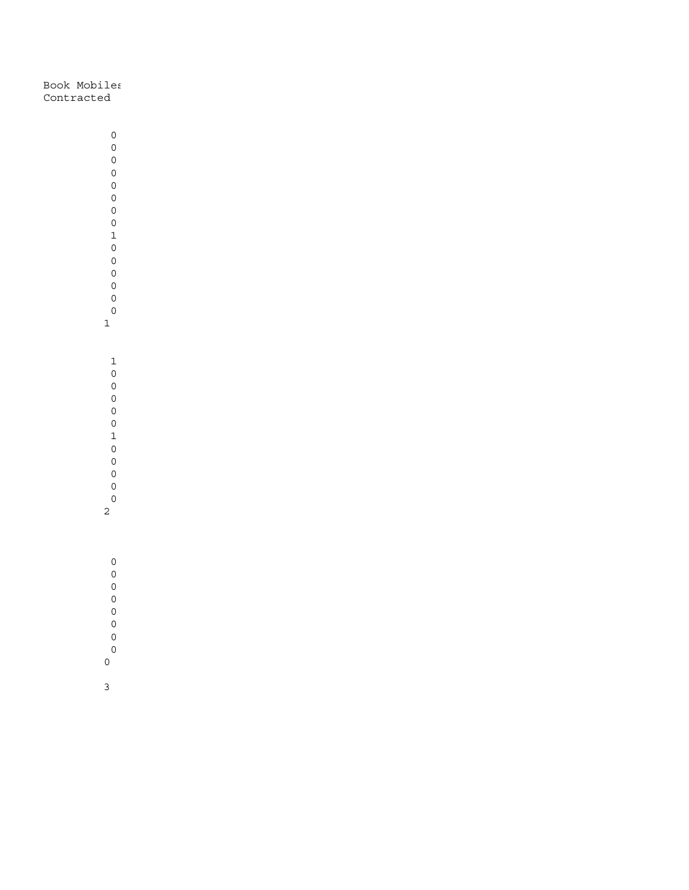Book Mobiles Contracted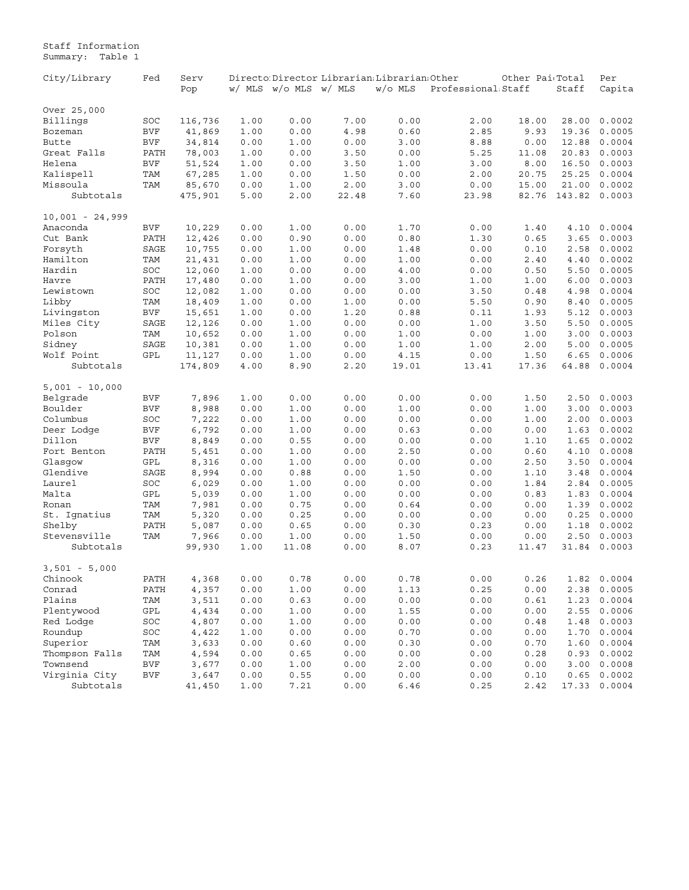<span id="page-10-0"></span>Staff Information Summary: Table 1

| City/Library      | Fed        | Serv    |      |                       |       | Directo Director Librarian Librarian Other |                                 | Other Pai Total |        | Per          |
|-------------------|------------|---------|------|-----------------------|-------|--------------------------------------------|---------------------------------|-----------------|--------|--------------|
|                   |            | Pop     |      | w/ MLS w/o MLS w/ MLS |       | $W/O$ MLS                                  | Professional Staff              |                 | Staff  | Capita       |
|                   |            |         |      |                       |       |                                            |                                 |                 |        |              |
| Over 25,000       |            |         |      |                       |       |                                            |                                 |                 |        |              |
| Billings          | SOC        | 116,736 | 1.00 | 0.00                  | 7.00  | 0.00                                       | 2.00                            | 18.00           | 28.00  | 0.0002       |
| Bozeman           | <b>BVF</b> | 41,869  | 1.00 | 0.00                  | 4.98  | 0.60                                       | 2.85                            | 9.93            | 19.36  | 0.0005       |
| Butte             | <b>BVF</b> | 34,814  | 0.00 | 1.00                  | 0.00  | 3.00                                       | 8.88                            | 0.00            | 12.88  | 0.0004       |
| Great Falls       | PATH       | 78,003  | 1.00 | 0.00                  | 3.50  | 0.00                                       | 5.25                            | 11.08           | 20.83  | 0.0003       |
| Helena            | <b>BVF</b> | 51,524  | 1.00 | 0.00                  | 3.50  | 1.00                                       | 3.00                            | 8.00            | 16.50  | 0.0003       |
| Kalispell         | TAM        | 67,285  | 1.00 | 0.00                  | 1.50  | 0.00                                       | 2.00                            | 20.75           | 25.25  | 0.0004       |
| Missoula          | TAM        | 85,670  | 0.00 | 1.00                  | 2.00  | 3.00                                       | 0.00                            | 15.00           | 21.00  | 0.0002       |
| Subtotals         |            | 475,901 | 5.00 | 2.00                  | 22.48 | 7.60                                       | 23.98                           | 82.76           | 143.82 | 0.0003       |
| $10,001 - 24,999$ |            |         |      |                       |       |                                            |                                 |                 |        |              |
| Anaconda          | <b>BVF</b> | 10,229  | 0.00 | 1.00                  | 0.00  | 1.70                                       | 0.00                            | 1.40            | 4.10   | 0.0004       |
| Cut Bank          | PATH       | 12,426  | 0.00 | 0.90                  | 0.00  | 0.80                                       | 1.30                            | 0.65            | 3.65   | 0.0003       |
| Forsyth           | SAGE       | 10,755  | 0.00 | 1.00                  | 0.00  | 1.48                                       | 0.00                            | 0.10            | 2.58   | 0.0002       |
| Hamilton          | TAM        | 21,431  | 0.00 | 1.00                  | 0.00  | 1.00                                       | 0.00                            | 2.40            | 4.40   | 0.0002       |
| Hardin            | SOC        | 12,060  | 1.00 | 0.00                  | 0.00  | 4.00                                       | 0.00                            | 0.50            | 5.50   | 0.0005       |
| Havre             | PATH       | 17,480  | 0.00 | 1.00                  | 0.00  | 3.00                                       | 1.00                            | 1.00            | 6.00   | 0.0003       |
| Lewistown         | SOC        | 12,082  | 1.00 | 0.00                  | 0.00  | 0.00                                       | 3.50                            | 0.48            | 4.98   | 0.0004       |
| Libby             | TAM        | 18,409  | 1.00 | 0.00                  | 1.00  | 0.00                                       | 5.50                            | 0.90            | 8.40   | 0.0005       |
| Livingston        | <b>BVF</b> | 15,651  | 1.00 | 0.00                  | 1.20  | 0.88                                       | 0.11                            | 1.93            | 5.12   | 0.0003       |
| Miles City        | SAGE       | 12,126  | 0.00 | 1.00                  | 0.00  | 0.00                                       | 1.00                            | 3.50            | 5.50   | 0.0005       |
| Polson            | TAM        | 10,652  | 0.00 | 1.00                  | 0.00  | 1.00                                       | 0.00                            | 1.00            | 3.00   | 0.0003       |
| Sidney            | SAGE       | 10,381  | 0.00 | 1.00                  | 0.00  | 1.00                                       | 1.00                            | 2.00            | 5.00   | 0.0005       |
| Wolf Point        | GPL        | 11,127  | 0.00 | 1.00                  | 0.00  | 4.15                                       | 0.00                            | 1.50            | 6.65   | 0.0006       |
| Subtotals         |            | 174,809 |      | 8.90                  | 2.20  | 19.01                                      | 13.41                           | 17.36           | 64.88  | 0.0004       |
|                   |            |         | 4.00 |                       |       |                                            |                                 |                 |        |              |
| $5,001 - 10,000$  |            |         |      |                       |       |                                            |                                 |                 |        |              |
| Belgrade          | <b>BVF</b> | 7,896   | 1.00 | 0.00                  | 0.00  | 0.00                                       | 0.00                            | 1.50            | 2.50   | 0.0003       |
| Boulder           | <b>BVF</b> | 8,988   | 0.00 | 1.00                  | 0.00  | 1.00                                       | 0.00                            | 1.00            | 3.00   | 0.0003       |
| Columbus          | SOC        | 7,222   | 0.00 | 1.00                  | 0.00  | 0.00                                       | 0.00                            | 1.00            | 2.00   | 0.0003       |
| Deer Lodge        | <b>BVF</b> | 6,792   | 0.00 | 1.00                  | 0.00  | 0.63                                       | 0.00                            | 0.00            | 1.63   | 0.0002       |
| Dillon            | <b>BVF</b> | 8,849   | 0.00 | 0.55                  | 0.00  | 0.00                                       | 0.00                            | 1.10            | 1.65   | 0.0002       |
| Fort Benton       | PATH       | 5,451   | 0.00 | 1.00                  | 0.00  | 2.50                                       | 0.00                            | 0.60            | 4.10   | 0.0008       |
| Glasgow           | GPL        | 8,316   | 0.00 | 1.00                  | 0.00  | 0.00                                       | 0.00                            | 2.50            | 3.50   | 0.0004       |
| Glendive          | SAGE       | 8,994   | 0.00 | 0.88                  | 0.00  | 1.50                                       | 0.00                            | 1.10            | 3.48   | 0.0004       |
| Laurel            | SOC        | 6,029   | 0.00 | 1.00                  | 0.00  | 0.00                                       | 0.00                            | 1.84            | 2.84   | 0.0005       |
| Malta             | GPL        | 5,039   | 0.00 | 1.00                  | 0.00  | 0.00                                       | 0.00                            | 0.83            | 1.83   | 0.0004       |
| Ronan             | TAM        | 7,981   | 0.00 | 0.75                  | 0.00  | 0.64                                       | 0.00                            | 0.00            | 1.39   | 0.0002       |
| St. Ignatius      | TAM        | 5,320   | 0.00 | 0.25                  | 0.00  | 0.00                                       | 0.00                            | 0.00            | 0.25   | 0.0000       |
| Shelby            | PATH       | 5,087   | 0.00 | 0.65                  | 0.00  | 0.30                                       | 0.23                            | 0.00            | 1.18   | 0.0002       |
| Stevensville      | TAM        | 7,966   | 0.00 | 1.00                  | 0.00  | 1.50                                       | 0.00                            | 0.00            | 2.50   | 0.0003       |
| Subtotals         |            | 99,930  | 1.00 | 11.08                 | 0.00  | 8.07                                       | 0.23                            | 11.47           | 31.84  | 0.0003       |
|                   |            |         |      |                       |       |                                            |                                 |                 |        |              |
| $3,501 - 5,000$   |            |         |      |                       |       |                                            |                                 |                 |        |              |
| Chinook           | PATH       | 4,368   | 0.00 | $0\,.78$              | 0.00  | 0.78                                       | ${\bf 0}$ . ${\bf 0}$ ${\bf 0}$ | 0.26            |        | 1.82 0.0004  |
| Conrad            | PATH       | 4,357   | 0.00 | 1.00                  | 0.00  | 1.13                                       | 0.25                            | 0.00            | 2.38   | 0.0005       |
| Plains            | TAM        | 3,511   | 0.00 | 0.63                  | 0.00  | 0.00                                       | 0.00                            | 0.61            | 1.23   | 0.0004       |
| Plentywood        | GPL        | 4,434   | 0.00 | 1.00                  | 0.00  | 1.55                                       | 0.00                            | 0.00            | 2.55   | 0.0006       |
| Red Lodge         | SOC        | 4,807   | 0.00 | 1.00                  | 0.00  | 0.00                                       | 0.00                            | 0.48            | 1.48   | 0.0003       |
| Roundup           | SOC        | 4,422   | 1.00 | 0.00                  | 0.00  | 0.70                                       | 0.00                            | 0.00            | 1.70   | 0.0004       |
| Superior          | TAM        | 3,633   | 0.00 | 0.60                  | 0.00  | 0.30                                       | 0.00                            | 0.70            | 1.60   | 0.0004       |
| Thompson Falls    | TAM        | 4,594   | 0.00 | 0.65                  | 0.00  | 0.00                                       | 0.00                            | 0.28            | 0.93   | 0.0002       |
| Townsend          | <b>BVF</b> | 3,677   | 0.00 | 1.00                  | 0.00  | 2.00                                       | 0.00                            | 0.00            | 3.00   | 0.0008       |
| Virginia City     | <b>BVF</b> | 3,647   | 0.00 | 0.55                  | 0.00  | 0.00                                       | 0.00                            | 0.10            | 0.65   | 0.0002       |
| Subtotals         |            | 41,450  | 1.00 | 7.21                  | 0.00  | 6.46                                       | 0.25                            | 2.42            |        | 17.33 0.0004 |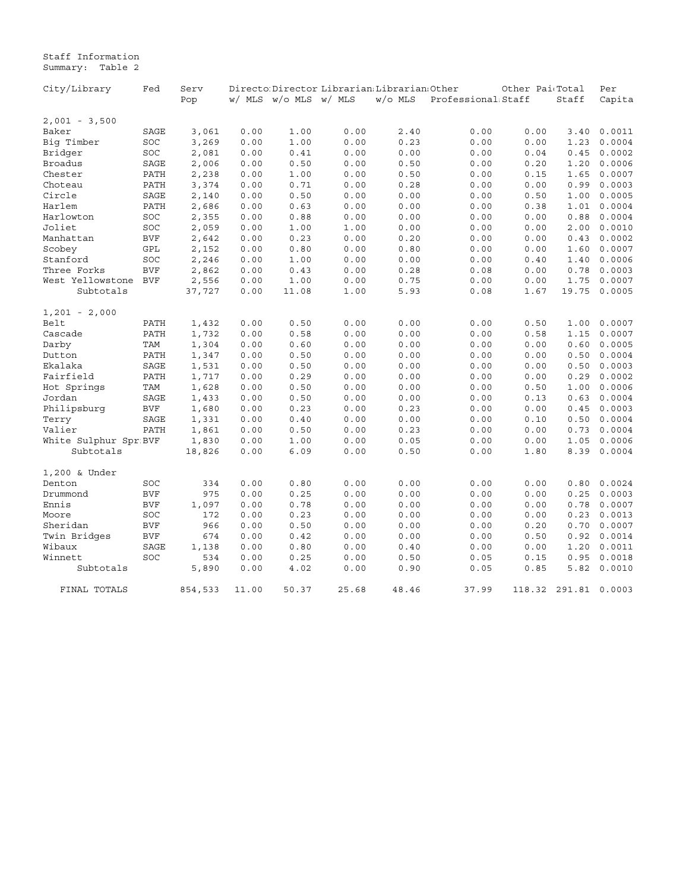Staff Information Summary: Table 2

| City/Library            | Fed        | Serv    |       |                       | Directo Director Librarian: Librarian: Other |         |                    | Other Pai <sub>'Total</sub> |        | Per    |
|-------------------------|------------|---------|-------|-----------------------|----------------------------------------------|---------|--------------------|-----------------------------|--------|--------|
|                         |            | Pop     |       | w/ MLS w/o MLS w/ MLS |                                              | W/o MLS | Professional Staff |                             | Staff  | Capita |
| $2,001 - 3,500$         |            |         |       |                       |                                              |         |                    |                             |        |        |
| Baker                   | SAGE       | 3,061   | 0.00  | 1.00                  | 0.00                                         | 2.40    | 0.00               | 0.00                        | 3.40   | 0.0011 |
| Big Timber              | SOC        | 3,269   | 0.00  | 1.00                  | 0.00                                         | 0.23    | 0.00               | 0.00                        | 1.23   | 0.0004 |
| Bridger                 | SOC        | 2,081   | 0.00  | 0.41                  | 0.00                                         | 0.00    | 0.00               | 0.04                        | 0.45   | 0.0002 |
| <b>Broadus</b>          | SAGE       | 2,006   | 0.00  | 0.50                  | 0.00                                         | 0.50    | 0.00               | 0.20                        | 1.20   | 0.0006 |
| Chester                 | PATH       | 2,238   | 0.00  | 1.00                  | 0.00                                         | 0.50    | 0.00               | 0.15                        | 1.65   | 0.0007 |
| Choteau                 | PATH       | 3,374   | 0.00  | 0.71                  | 0.00                                         | 0.28    | 0.00               | 0.00                        | 0.99   | 0.0003 |
| Circle                  | SAGE       | 2,140   | 0.00  | 0.50                  | 0.00                                         | 0.00    | 0.00               | 0.50                        | 1.00   | 0.0005 |
| Harlem                  | PATH       | 2,686   | 0.00  | 0.63                  | 0.00                                         | 0.00    | 0.00               | 0.38                        | 1.01   | 0.0004 |
| Harlowton               | SOC        | 2,355   | 0.00  | 0.88                  | 0.00                                         | 0.00    | 0.00               | 0.00                        | 0.88   | 0.0004 |
| Joliet                  | SOC        | 2,059   | 0.00  | 1.00                  | 1.00                                         | 0.00    | 0.00               | 0.00                        | 2.00   | 0.0010 |
| Manhattan               | <b>BVF</b> | 2,642   | 0.00  | 0.23                  | 0.00                                         | 0.20    | 0.00               | 0.00                        | 0.43   | 0.0002 |
| Scobey                  | GPL        | 2,152   | 0.00  | 0.80                  | 0.00                                         | 0.80    | 0.00               | 0.00                        | 1.60   | 0.0007 |
| Stanford                | SOC        | 2,246   | 0.00  | 1.00                  | 0.00                                         | 0.00    | 0.00               | 0.40                        | 1.40   | 0.0006 |
| Three Forks             |            |         |       |                       |                                              |         |                    |                             |        | 0.0003 |
|                         | <b>BVF</b> | 2,862   | 0.00  | 0.43                  | 0.00                                         | 0.28    | 0.08               | 0.00                        | 0.78   |        |
| West Yellowstone        | BVF        | 2,556   | 0.00  | 1.00                  | 0.00                                         | 0.75    | 0.00               | 0.00                        | 1.75   | 0.0007 |
| Subtotals               |            | 37,727  | 0.00  | 11.08                 | 1.00                                         | 5.93    | 0.08               | 1.67                        | 19.75  | 0.0005 |
| $1,201 - 2,000$         |            |         |       |                       |                                              |         |                    |                             |        |        |
| Belt                    | PATH       | 1,432   | 0.00  | 0.50                  | 0.00                                         | 0.00    | 0.00               | 0.50                        | 1.00   | 0.0007 |
| Cascade                 | PATH       | 1,732   | 0.00  | 0.58                  | 0.00                                         | 0.00    | 0.00               | 0.58                        | 1.15   | 0.0007 |
| Darby                   | TAM        | 1,304   | 0.00  | 0.60                  | 0.00                                         | 0.00    | 0.00               | 0.00                        | 0.60   | 0.0005 |
| Dutton                  | PATH       | 1,347   | 0.00  | 0.50                  | 0.00                                         | 0.00    | 0.00               | 0.00                        | 0.50   | 0.0004 |
| Ekalaka                 | SAGE       | 1,531   | 0.00  | 0.50                  | 0.00                                         | 0.00    | 0.00               | 0.00                        | 0.50   | 0.0003 |
| Fairfield               | PATH       | 1,717   | 0.00  | 0.29                  | 0.00                                         | 0.00    | 0.00               | 0.00                        | 0.29   | 0.0002 |
| Hot Springs             | TAM        | 1,628   | 0.00  | 0.50                  | 0.00                                         | 0.00    | 0.00               | 0.50                        | 1.00   | 0.0006 |
| Jordan                  | SAGE       | 1,433   | 0.00  | 0.50                  | 0.00                                         | 0.00    | 0.00               | 0.13                        | 0.63   | 0.0004 |
| Philipsburg             | <b>BVF</b> | 1,680   | 0.00  | 0.23                  | 0.00                                         | 0.23    | 0.00               | 0.00                        | 0.45   | 0.0003 |
| Terry                   | SAGE       | 1,331   | 0.00  | 0.40                  | 0.00                                         | 0.00    | 0.00               | 0.10                        | 0.50   | 0.0004 |
| Valier                  | PATH       | 1,861   | 0.00  | 0.50                  | 0.00                                         | 0.23    | 0.00               | 0.00                        | 0.73   | 0.0004 |
| White Sulphur Spr BVF   |            | 1,830   | 0.00  | 1.00                  | 0.00                                         | 0.05    | 0.00               | 0.00                        | 1.05   | 0.0006 |
| Subtotals               |            | 18,826  | 0.00  | 6.09                  | 0.00                                         | 0.50    | 0.00               | 1.80                        | 8.39   | 0.0004 |
|                         |            |         |       |                       |                                              |         |                    |                             |        |        |
| 1,200 & Under<br>Denton | SOC        | 334     | 0.00  | 0.80                  | 0.00                                         | 0.00    | 0.00               | 0.00                        | 0.80   | 0.0024 |
|                         | <b>BVF</b> | 975     |       |                       |                                              |         |                    |                             |        | 0.0003 |
| Drummond                |            |         | 0.00  | 0.25                  | 0.00                                         | 0.00    | 0.00               | 0.00                        | 0.25   |        |
| Ennis                   | <b>BVF</b> | 1,097   | 0.00  | 0.78                  | 0.00                                         | 0.00    | 0.00               | 0.00                        | 0.78   | 0.0007 |
| Moore                   | SOC        | 172     | 0.00  | 0.23                  | 0.00                                         | 0.00    | 0.00               | 0.00                        | 0.23   | 0.0013 |
| Sheridan                | <b>BVF</b> | 966     | 0.00  | 0.50                  | 0.00                                         | 0.00    | 0.00               | 0.20                        | 0.70   | 0.0007 |
| Twin Bridges            | <b>BVF</b> | 674     | 0.00  | 0.42                  | 0.00                                         | 0.00    | 0.00               | 0.50                        | 0.92   | 0.0014 |
| Wibaux                  | SAGE       | 1,138   | 0.00  | 0.80                  | 0.00                                         | 0.40    | 0.00               | 0.00                        | 1.20   | 0.0011 |
| Winnett                 | SOC        | 534     | 0.00  | 0.25                  | 0.00                                         | 0.50    | 0.05               | 0.15                        | 0.95   | 0.0018 |
| Subtotals               |            | 5,890   | 0.00  | 4.02                  | 0.00                                         | 0.90    | 0.05               | 0.85                        | 5.82   | 0.0010 |
| FINAL TOTALS            |            | 854,533 | 11.00 | 50.37                 | 25.68                                        | 48.46   | 37.99              | 118.32                      | 291.81 | 0.0003 |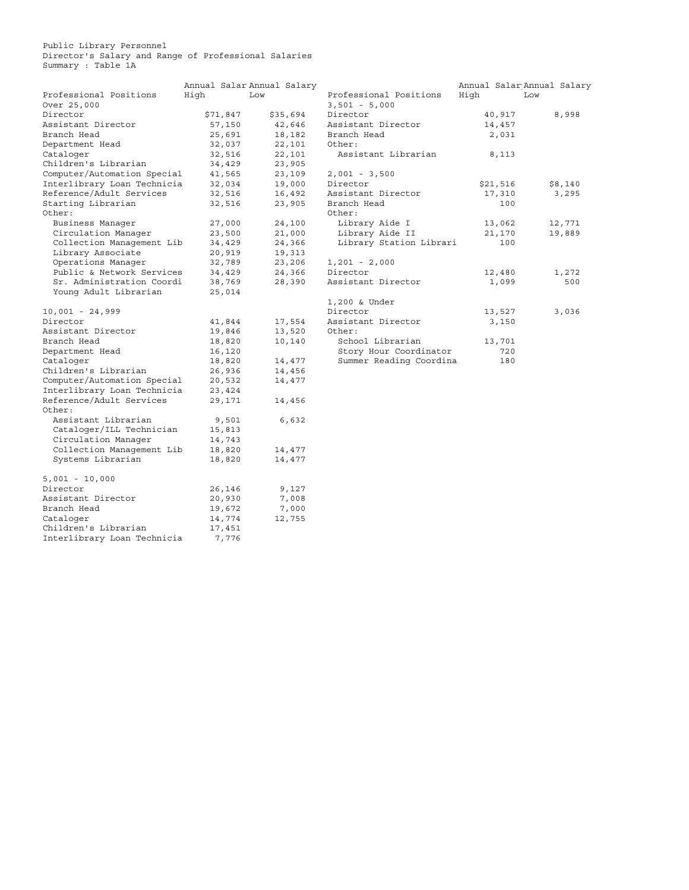<span id="page-12-0"></span>Public Library Personnel Director's Salary and Range of Professional Salaries Summary : Table 1A

|                             |          | Annual Salar Annual Salary |                         |          | Annual Salar Annual Salary |
|-----------------------------|----------|----------------------------|-------------------------|----------|----------------------------|
| Professional Positions      | High     | Low                        | Professional Positions  | High     | Low                        |
| Over 25,000                 |          |                            | $3,501 - 5,000$         |          |                            |
| Director                    | \$71,847 | \$35,694                   | Director                | 40,917   | 8,998                      |
| Assistant Director          | 57,150   | 42,646                     | Assistant Director      | 14,457   |                            |
| Branch Head                 | 25,691   | 18,182                     | Branch Head             | 2,031    |                            |
| Department Head             | 32,037   | 22,101                     | Other:                  |          |                            |
| Cataloger                   | 32,516   | 22,101                     | Assistant Librarian     | 8,113    |                            |
| Children's Librarian        | 34,429   | 23,905                     |                         |          |                            |
| Computer/Automation Special | 41,565   | 23,109                     | $2,001 - 3,500$         |          |                            |
| Interlibrary Loan Technicia | 32,034   | 19,000                     | Director                | \$21,516 | \$8,140                    |
| Reference/Adult Services    | 32,516   | 16,492                     | Assistant Director      | 17,310   | 3,295                      |
| Starting Librarian          | 32,516   | 23,905                     | Branch Head             | 100      |                            |
| Other:                      |          |                            | Other:                  |          |                            |
| Business Manager            | 27,000   | 24,100                     | Library Aide I          | 13,062   | 12,771                     |
| Circulation Manager         | 23,500   | 21,000                     | Library Aide II         | 21,170   | 19,889                     |
| Collection Management Lib   | 34,429   | 24,366                     | Library Station Librari | 100      |                            |
| Library Associate           | 20,919   | 19,313                     |                         |          |                            |
| Operations Manager          | 32,789   | 23,206                     | $1,201 - 2,000$         |          |                            |
| Public & Network Services   | 34,429   | 24,366                     | Director                | 12,480   | 1,272                      |
| Sr. Administration Coordi   | 38,769   | 28,390                     | Assistant Director      | 1,099    | 500                        |
| Young Adult Librarian       | 25,014   |                            |                         |          |                            |
|                             |          |                            | 1,200 & Under           |          |                            |
| $10,001 - 24,999$           |          |                            | Director                | 13,527   | 3,036                      |
| Director                    | 41,844   | 17,554                     | Assistant Director      | 3,150    |                            |
| Assistant Director          | 19,846   | 13,520                     | Other:                  |          |                            |
| Branch Head                 | 18,820   | 10,140                     | School Librarian        | 13,701   |                            |
| Department Head             | 16,120   |                            | Story Hour Coordinator  | 720      |                            |
| Cataloger                   | 18,820   | 14,477                     | Summer Reading Coordina | 180      |                            |
| Children's Librarian        | 26,936   | 14,456                     |                         |          |                            |
| Computer/Automation Special | 20,532   | 14,477                     |                         |          |                            |
| Interlibrary Loan Technicia | 23,424   |                            |                         |          |                            |
| Reference/Adult Services    | 29,171   | 14,456                     |                         |          |                            |
| Other:                      |          |                            |                         |          |                            |
| Assistant Librarian         | 9,501    | 6,632                      |                         |          |                            |
| Cataloger/ILL Technician    | 15,813   |                            |                         |          |                            |
| Circulation Manager         | 14,743   |                            |                         |          |                            |
| Collection Management Lib   | 18,820   | 14,477                     |                         |          |                            |
| Systems Librarian           | 18,820   | 14,477                     |                         |          |                            |
| $5,001 - 10,000$            |          |                            |                         |          |                            |
| Director                    | 26,146   | 9,127                      |                         |          |                            |
| Assistant Director          | 20,930   | 7,008                      |                         |          |                            |
| Branch Head                 | 19,672   | 7,000                      |                         |          |                            |
| Cataloger                   | 14,774   | 12,755                     |                         |          |                            |
| Children's Librarian        | 17,451   |                            |                         |          |                            |
| Interlibrary Loan Technicia | 7,776    |                            |                         |          |                            |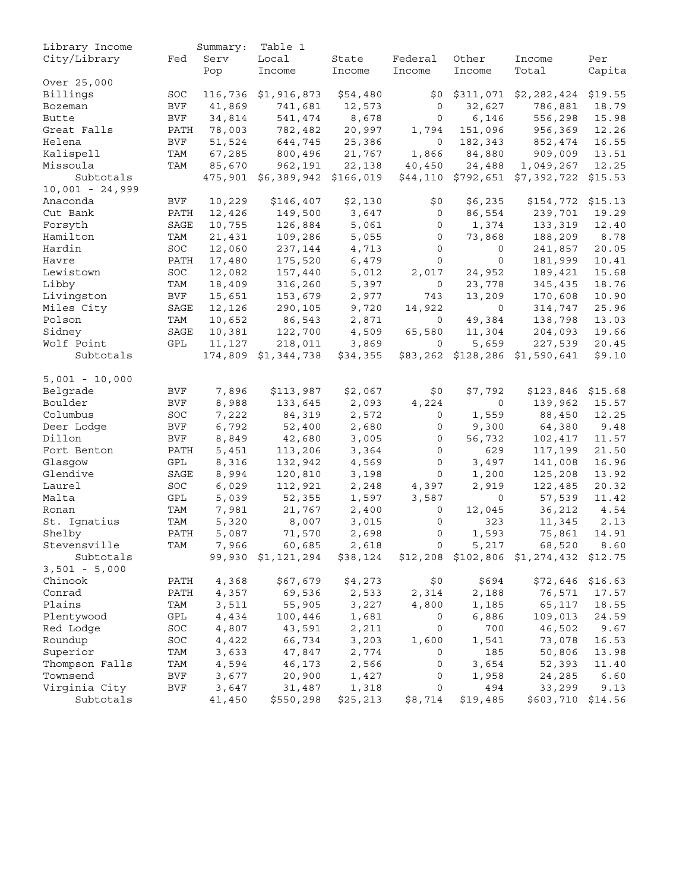<span id="page-13-0"></span>

| Library Income    |              | Summary: | Table 1             |           |                |             |                                        |         |
|-------------------|--------------|----------|---------------------|-----------|----------------|-------------|----------------------------------------|---------|
| City/Library      | Fed          | Serv     | Local               | State     | Federal        | Other       | Income                                 | Per     |
|                   |              | Pop      | Income              | Income    | Income         | Income      | Total                                  | Capita  |
| Over 25,000       |              |          |                     |           |                |             |                                        |         |
| Billings          | SOC          | 116,736  | \$1,916,873         | \$54,480  | \$0            | \$311,071   | \$2,282,424                            | \$19.55 |
| Bozeman           | <b>BVF</b>   | 41,869   | 741,681             | 12,573    | 0              | 32,627      | 786,881                                | 18.79   |
| <b>Butte</b>      | <b>BVF</b>   | 34,814   | 541,474             | 8,678     | 0              | 6,146       | 556,298                                | 15.98   |
| Great Falls       | PATH         | 78,003   | 782,482             | 20,997    | 1,794          | 151,096     | 956,369                                | 12.26   |
| Helena            | <b>BVF</b>   | 51,524   | 644,745             | 25,386    | $\mathsf{O}$   | 182,343     | 852,474                                | 16.55   |
| Kalispell         | TAM          | 67,285   | 800,496             | 21,767    | 1,866          | 84,880      | 909,009                                | 13.51   |
| Missoula          | TAM          | 85,670   | 962,191             | 22,138    | 40,450         | 24,488      | 1,049,267                              | 12.25   |
| Subtotals         |              |          | 475,901 \$6,389,942 | \$166,019 |                |             | $$44,110$ $$792,651$ $$7,392,722$      | \$15.53 |
| $10,001 - 24,999$ |              |          |                     |           |                |             |                                        |         |
| Anaconda          | <b>BVF</b>   | 10,229   | \$146,407           | \$2,130   | \$0\$          | \$6,235     | \$154,772                              | \$15.13 |
| Cut Bank          | PATH         | 12,426   | 149,500             | 3,647     | 0              | 86,554      | 239,701                                | 19.29   |
| Forsyth           | SAGE         | 10,755   | 126,884             | 5,061     | 0              | 1,374       | 133,319                                | 12.40   |
| Hamilton          | TAM          | 21,431   | 109,286             | 5,055     | 0              | 73,868      | 188,209                                | 8.78    |
| Hardin            | SOC          | 12,060   | 237,144             | 4,713     | 0              | $\circ$     | 241,857                                | 20.05   |
| Havre             | PATH         | 17,480   | 175,520             | 6,479     | 0              | $\mathbf 0$ | 181,999                                | 10.41   |
| Lewistown         | $_{\rm SOC}$ | 12,082   | 157,440             | 5,012     | 2,017          | 24,952      | 189,421                                | 15.68   |
| Libby             | TAM          | 18,409   | 316,260             | 5,397     | 0              | 23,778      | 345,435                                | 18.76   |
| Livingston        | <b>BVF</b>   |          |                     |           |                | 13,209      |                                        | 10.90   |
|                   |              | 15,651   | 153,679             | 2,977     | 743            |             | 170,608                                | 25.96   |
| Miles City        | SAGE         | 12,126   | 290,105             | 9,720     | 14,922         | 0           | 314,747                                |         |
| Polson            | TAM          | 10,652   | 86,543              | 2,871     | 0              | 49,384      | 138,798                                | 13.03   |
| Sidney            | SAGE         | 10,381   | 122,700             | 4,509     | 65,580         | 11,304      | 204,093                                | 19.66   |
| Wolf Point        | GPL          | 11,127   | 218,011             | 3,869     | 0              | 5,659       | 227,539                                | 20.45   |
| Subtotals         |              |          | 174,809 \$1,344,738 | \$34,355  | \$83,262       | \$128,286   | \$1,590,641                            | \$9.10  |
| $5,001 - 10,000$  |              |          |                     |           |                |             |                                        |         |
| Belgrade          | <b>BVF</b>   | 7,896    | \$113,987           | \$2,067   | \$0            | \$7,792     | \$123,846                              | \$15.68 |
| Boulder           | <b>BVF</b>   | 8,988    | 133,645             | 2,093     | 4,224          | 0           | 139,962                                | 15.57   |
| Columbus          | SOC          | 7,222    | 84,319              | 2,572     | 0              | 1,559       | 88,450                                 | 12.25   |
| Deer Lodge        | BVF          | 6,792    | 52,400              | 2,680     | 0              | 9,300       | 64,380                                 | 9.48    |
| Dillon            | <b>BVF</b>   | 8,849    | 42,680              | 3,005     | 0              | 56,732      | 102,417                                | 11.57   |
| Fort Benton       | PATH         | 5,451    | 113,206             | 3,364     | 0              | 629         | 117,199                                | 21.50   |
| Glasgow           | GPL          | 8,316    | 132,942             | 4,569     | 0              | 3,497       | 141,008                                | 16.96   |
| Glendive          | SAGE         | 8,994    | 120,810             | 3,198     | 0              | 1,200       | 125,208                                | 13.92   |
| Laurel            | SOC          | 6,029    | 112,921             | 2,248     | 4,397          | 2,919       | 122,485                                | 20.32   |
| Malta             | GPL          | 5,039    | 52,355              | 1,597     | 3,587          | 0           | 57,539                                 | 11.42   |
| Ronan             | TAM          | 7,981    | 21,767              | 2,400     | 0              | 12,045      | 36,212                                 | 4.54    |
| St. Ignatius      | TAM          | 5,320    | 8,007               | 3,015     | 0              | 323         | 11,345                                 | 2.13    |
| Shelby            | PATH         | 5,087    | 71,570              | 2,698     | 0              | 1,593       | 75,861                                 | 14.91   |
| Stevensville      | TAM          | 7,966    | 60,685              | 2,618     | $\overline{0}$ | 5,217       | 68,520 8.60                            |         |
| Subtotals         |              |          | 99,930 \$1,121,294  | \$38,124  |                |             | \$12,208 \$102,806 \$1,274,432 \$12.75 |         |
| $3,501 - 5,000$   |              |          |                     |           |                |             |                                        |         |
| Chinook           |              |          |                     |           | \$0            | \$694       |                                        |         |
| Conrad            | PATH         | 4,368    | \$67,679            | \$4,273   |                |             | $$72,646$ \$16.63                      |         |
|                   | PATH         | 4,357    | 69,536              | 2,533     | 2,314          | 2,188       | 76,571                                 | 17.57   |
| Plains            | TAM          | 3,511    | 55,905              | 3,227     | 4,800          | 1,185       | 65,117                                 | 18.55   |
| Plentywood        | GPL          | 4,434    | 100,446             | 1,681     | 0              | 6,886       | 109,013                                | 24.59   |
| Red Lodge         | SOC          | 4,807    | 43,591              | 2,211     | 0              | 700         | 46,502                                 | 9.67    |
| Roundup           | SOC          | 4,422    | 66,734              | 3,203     | 1,600          | 1,541       | 73,078                                 | 16.53   |
| Superior          | TAM          | 3,633    | 47,847              | 2,774     | 0              | 185         | 50,806                                 | 13.98   |
| Thompson Falls    | TAM          | 4,594    | 46,173              | 2,566     | 0              | 3,654       | 52,393                                 | 11.40   |
| Townsend          | BVF          | 3,677    | 20,900              | 1,427     | 0              | 1,958       | 24,285                                 | 6.60    |
| Virginia City     | <b>BVF</b>   | 3,647    | 31,487              | 1,318     | 0              | 494         | 33,299                                 | 9.13    |
| Subtotals         |              | 41,450   | \$550,298           | \$25,213  | \$8,714        | \$19,485    | \$603,710                              | \$14.56 |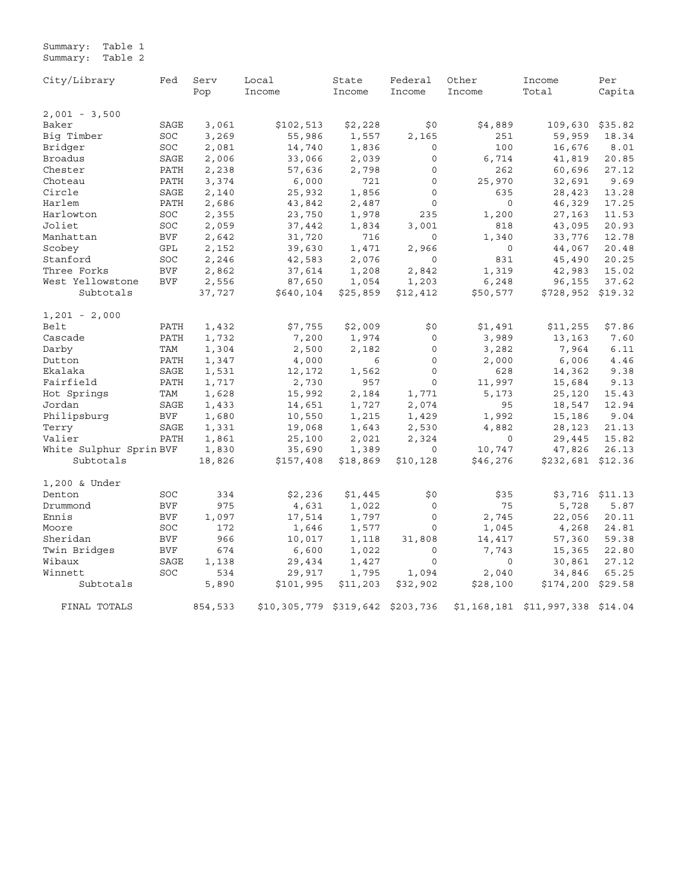Summary: Table 1 Summary: Table 2

City/Library Fed Serv Local State Federal Other Income Per Pop Income Income Income Income Total Capita 2,001 - 3,500 Baker SAGE 3,061 \$102,513 \$2,228 \$0 \$4,889 109,630 \$35.82 Big Timber SOC 3,269 55,986 1,557 2,165 251 59,959 18.34 Bridger SOC 2,081 14,740 1,836 0 100 16,676 8.01 Broadus SAGE 2,006 33,066 2,039 0 6,714 41,819 20.85 Chester PATH 2,238 57,636 2,798 0 262 60,696 27.12 Choteau PATH 3,374 6,000 721 0 25,970 32,691 9.69 Circle SAGE 2,140 25,932 1,856 0 635 28,423 13.28 Harlem PATH 2,686 43,842 2,487 0 0 46,329 17.25 Harlowton SOC 2,355 23,750 1,978 235 1,200 27,163 11.53 Joliet SOC 2,059 37,442 1,834 3,001 818 43,095 20.93 Manhattan BVF 2,642 31,720 716 0 1,340 33,776 12.78 Scobey GPL 2,152 39,630 1,471 2,966 0 44,067 20.48 Stanford SOC 2,246 42,583 2,076 0 831 45,490 20.25 Three Forks BVF 2,862 37,614 1,208 2,842 1,319 42,983 15.02 West Yellowstone BVF 2,556 87,650 1,054 1,203 6,248 96,155 37.62 Subtotals 37,727 \$640,104 \$25,859 \$12,412 \$50,577 \$728,952 \$19.32 1,201 - 2,000 Belt PATH 1,432 \$7,755 \$2,009 \$0 \$1,491 \$11,255 \$7.86 Cascade PATH 1,732 7,200 1,974 0 3,989 13,163 7.60 Darby TAM 1,304 2,500 2,182 0 3,282 7,964 6.11 Dutton PATH 1,347 4,000 6 0 2,000 6,006 4.46 Ekalaka SAGE 1,531 12,172 1,562 0 628 14,362 9.38 Fairfield PATH 1,717 2,730 957 0 11,997 15,684 9.13 Hot Springs TAM 1,628 15,992 2,184 1,771 5,173 25,120 15.43 Jordan SAGE 1,433 14,651 1,727 2,074 95 18,547 12.94 Philipsburg BVF 1,680 10,550 1,215 1,429 1,992 15,186 9.04 Terry SAGE 1,331 19,068 1,643 2,530 4,882 28,123 21.13 Valier PATH 1,861 25,100 2,021 2,324 0 29,445 15.82 White Sulphur Sprin BVF 1,830 35,690 1,389 0 10,747 47,826 26.13 Subtotals 18,826 \$157,408 \$18,869 \$10,128 \$46,276 \$232,681 \$12.36 1,200 & Under Denton SOC 334 \$2,236 \$1,445 \$0 \$35 \$3,716 \$11.13 Drummond BVF 975 4,631 1,022 0 75 5,728 5.87 Ennis BVF 1,097 17,514 1,797 0 2,745 22,056 20.11 Moore SOC 172 1,646 1,577 0 1,045 4,268 24.81 Sheridan BVF 966 10,017 1,118 31,808 14,417 57,360 59.38 Twin Bridges BVF 674 6,600 1,022 0 7,743 15,365 22.80 Wibaux SAGE 1,138 29,434 1,427 0 0 30,861 27.12 Winnett SOC 534 29,917 1,795 1,094 2,040 34,846 65.25 Subtotals 5,890 \$101,995 \$11,203 \$32,902 \$28,100 \$174,200 \$29.58 FINAL TOTALS 854,533 \$10,305,779 \$319,642 \$203,736 \$1,168,181 \$11,997,338 \$14.04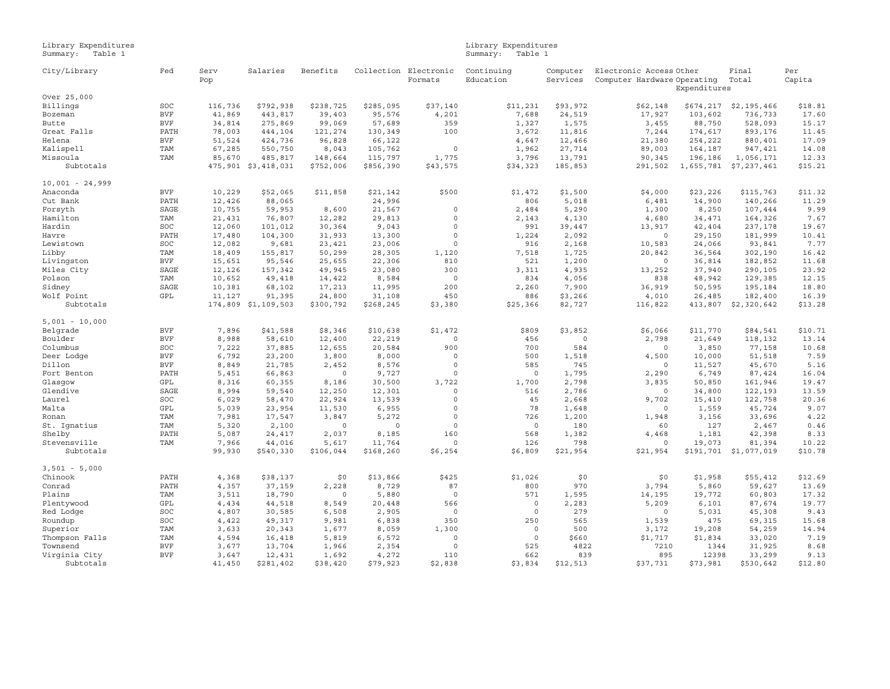<span id="page-15-0"></span>

Library Expenditures Library Expenditures Summary: Table 1 Summary: Table 1

| City/Library      | Fed        | Serv<br>Pop | Salaries            | Benefits  | Collection | Electronic<br>Formats | Continuing<br>Education | Computer<br>Services | Electronic Access Other<br>Computer Hardware Operating | Expenditures | Final<br>Total | Per<br>Capita |
|-------------------|------------|-------------|---------------------|-----------|------------|-----------------------|-------------------------|----------------------|--------------------------------------------------------|--------------|----------------|---------------|
| Over 25,000       |            |             |                     |           |            |                       |                         |                      |                                                        |              |                |               |
| Billings          | SOC        | 116,736     | \$792,938           | \$238,725 | \$285,095  | \$37,140              | \$11,231                | \$93,972             | \$62,148                                               | \$674,217    | \$2,195,466    | \$18.81       |
| Bozeman           | <b>BVF</b> | 41,869      | 443,817             | 39,403    | 95,576     | 4,201                 | 7,688                   | 24,519               | 17,927                                                 | 103,602      | 736,733        | 17.60         |
| <b>Butte</b>      | <b>BVF</b> | 34,814      | 275,869             | 99,069    | 57,689     | 359                   | 1,327                   | 1,575                | 3,455                                                  | 88,750       | 528,093        | 15.17         |
| Great Falls       | PATH       | 78,003      | 444,104             | 121,274   | 130,349    | 100                   | 3,672                   | 11,816               | 7,244                                                  | 174,617      | 893,176        | 11.45         |
| Helena            | <b>BVF</b> | 51,524      | 424,736             | 96,828    | 66,122     |                       | 4,647                   | 12,466               | 21,380                                                 | 254,222      | 880,401        | 17.09         |
| Kalispell         | TAM        | 67,285      | 550,750             | 8,043     | 105,762    | $\mathbb O$           | 1,962                   | 27,714               | 89,003                                                 | 164,187      | 947,421        | 14.08         |
| Missoula          | TAM        | 85,670      | 485,817             | 148,664   | 115,797    | 1,775                 | 3,796                   | 13,791               | 90,345                                                 | 196,186      | 1,056,171      | 12.33         |
| Subtotals         |            |             | 475,901 \$3,418,031 | \$752,006 | \$856,390  | \$43,575              | \$34,323                | 185,853              | 291,502                                                | 1,655,781    | \$7,237,461    | \$15.21       |
| $10,001 - 24,999$ |            |             |                     |           |            |                       |                         |                      |                                                        |              |                |               |
| Anaconda          | <b>BVF</b> | 10,229      | \$52,065            | \$11,858  | \$21,142   | \$500                 | \$1,472                 | \$1,500              | \$4,000                                                | \$23,226     | \$115,763      | \$11.32       |
| Cut Bank          | PATH       | 12,426      | 88,065              |           | 24,996     |                       | 806                     | 5,018                | 6,481                                                  | 14,900       | 140,266        | 11.29         |
| Forsyth           | SAGE       | 10,755      | 59,953              | 8,600     | 21,567     | $\mathbb O$           | 2,484                   | 5,290                | 1,300                                                  | 8,250        | 107,444        | 9.99          |
| Hamilton          | TAM        | 21,431      | 76,807              | 12,282    | 29,813     | $\mathbb O$           | 2,143                   | 4,130                | 4,680                                                  | 34,471       | 164,326        | 7.67          |
| Hardin            | SOC        | 12,060      | 101,012             | 30,364    | 9,043      | $\mathbf 0$           | 991                     | 39,447               | 13,917                                                 | 42,404       | 237,178        | 19.67         |
| Havre             | PATH       | 17,480      | 104,300             | 31,933    | 13,300     | $\circ$               | 1,224                   | 2,092                | $\circ$                                                | 29,150       | 181,999        | 10.41         |
| Lewistown         | SOC        | 12,082      | 9,681               | 23,421    | 23,006     | $\circ$               | 916                     | 2,168                | 10,583                                                 | 24,066       | 93,841         | 7.77          |
| Libby             | TAM        | 18,409      | 155,817             | 50,299    | 28,305     | 1,120                 | 7,518                   | 1,725                | 20,842                                                 | 36,564       | 302,190        | 16.42         |
| Livingston        | <b>BVF</b> | 15,651      | 95,546              | 25,655    | 22,306     | 810                   | 521                     | 1,200                | $\Omega$                                               | 36,814       | 182,852        | 11.68         |
| Miles City        | SAGE       | 12,126      | 157,342             | 49,945    | 23,080     | 300                   | 3,311                   | 4,935                | 13,252                                                 | 37,940       | 290,105        | 23.92         |
| Polson            | TAM        | 10,652      | 49,418              | 14,422    | 8,584      | $\mathbb O$           | 834                     | 4,056                | 838                                                    | 48,942       | 129,385        | 12.15         |
| Sidney            | SAGE       | 10,381      | 68,102              | 17,213    | 11,995     | 200                   | 2,260                   | 7,900                | 36,919                                                 | 50,595       | 195,184        | 18.80         |
| Wolf Point        | GPL        | 11,127      | 91,395              | 24,800    | 31,108     | 450                   | 886                     | \$3,266              | 4,010                                                  | 26,485       | 182,400        | 16.39         |
| Subtotals         |            | 174,809     | \$1,109,503         | \$300,792 | \$268,245  | \$3,380               | \$25,366                | 82,727               | 116,822                                                | 413,807      | \$2,320,642    | \$13.28       |
| $5,001 - 10,000$  |            |             |                     |           |            |                       |                         |                      |                                                        |              |                |               |
| Belgrade          | <b>BVF</b> | 7,896       | \$41,588            | \$8,346   | \$10,638   | \$1,472               | \$809                   | \$3,852              | \$6,066                                                | \$11,770     | \$84,541       | \$10.71       |
| Boulder           | <b>BVF</b> | 8,988       | 58,610              | 12,400    | 22,219     | $\mathbb O$           | 456                     | $\circ$              | 2,798                                                  | 21,649       | 118,132        | 13.14         |
| Columbus          | SOC        | 7,222       | 37,885              | 12,655    | 20,584     | 900                   | 700                     | 584                  | $\circ$                                                | 3,850        | 77,158         | 10.68         |
| Deer Lodge        | $\rm BVF$  | 6,792       | 23,200              | 3,800     | 8,000      | $\Omega$              | 500                     | 1,518                | 4,500                                                  | 10,000       | 51,518         | 7.59          |
| Dillon            | <b>BVF</b> | 8,849       | 21,785              | 2,452     | 8,576      | $\circ$               | 585                     | 745                  | $\circ$                                                | 11,527       | 45,670         | 5.16          |
| Fort Benton       | PATH       | 5,451       | 66,863              | $\Omega$  | 9,727      | $\mathbb O$           | $\Omega$                | 1,795                | 2,290                                                  | 6,749        | 87,424         | 16.04         |
| Glasqow           | GPL        | 8,316       | 60,355              | 8,186     | 30,500     | 3,722                 | 1,700                   | 2,798                | 3,835                                                  | 50,850       | 161,946        | 19.47         |
| Glendive          | SAGE       | 8,994       | 59,540              | 12,250    | 12,301     | $\mathbb O$           | 516                     | 2,786                | $\circ$                                                | 34,800       | 122,193        | 13.59         |
| Laurel            | SOC        | 6,029       | 58,470              | 22,924    | 13,539     | $\circ$               | 45                      | 2,668                | 9,702                                                  | 15,410       | 122,758        | 20.36         |
| Malta             | GPL        | 5,039       | 23,954              | 11,530    | 6,955      | $\Omega$              | 78                      | 1,648                | $\circ$                                                | 1,559        | 45,724         | 9.07          |
| Ronan             | TAM        | 7,981       | 17,547              | 3,847     | 5,272      | $\Omega$              | 726                     | 1,200                | 1,948                                                  | 3,156        | 33,696         | 4.22          |
| St. Ignatius      | TAM        | 5,320       | 2,100               | $\Omega$  | $\Omega$   | $\mathbb O$           | $\mathbf 0$             | 180                  | 60                                                     | 127          | 2,467          | 0.46          |
| Shelby            | PATH       | 5,087       | 24,417              | 2,037     | 8,185      | 160                   | 568                     | 1,382                | 4,468                                                  | 1,181        | 42,398         | 8.33          |
| Stevensville      | TAM        | 7,966       | 44,016              | 5,617     | 11,764     | $\mathbb O$           | 126                     | 798                  | $\circ$                                                | 19,073       | 81,394         | 10.22         |
| Subtotals         |            | 99,930      | \$540,330           | \$106,044 | \$168,260  | \$6,254               | \$6,809                 | \$21,954             | \$21,954                                               | \$191,701    | \$1,077,019    | \$10.78       |
| $3,501 - 5,000$   |            |             |                     |           |            |                       |                         |                      |                                                        |              |                |               |
| Chinook           | PATH       | 4,368       | \$38,137            | \$0       | \$13,866   | \$425                 | \$1,026                 | \$0                  | \$0                                                    | \$1,958      | \$55,412       | \$12.69       |
| Conrad            | PATH       | 4,357       | 37,159              | 2,228     | 8,729      | 87                    | 800                     | 970                  | 3,794                                                  | 5,860        | 59,627         | 13.69         |
| Plains            | TAM        | 3,511       | 18,790              | $\Omega$  | 5,880      | $\circ$               | 571                     | 1,595                | 14,195                                                 | 19,772       | 60,803         | 17.32         |
| Plentywood        | GPL        | 4,434       | 44,518              | 8,549     | 20,448     | 566                   | $\circ$                 | 2,283                | 5,209                                                  | 6,101        | 87,674         | 19.77         |
| Red Lodge         | SOC        | 4,807       | 30,585              | 6,508     | 2,905      | $\circ$               | $\circ$                 | 279                  | $\circ$                                                | 5,031        | 45,308         | 9.43          |
| Roundup           | SOC        | 4,422       | 49,317              | 9,981     | 6,838      | 350                   | 250                     | 565                  | 1,539                                                  | 475          | 69,315         | 15.68         |
| Superior          | <b>TAM</b> | 3,633       | 20,343              | 1,677     | 8,059      | 1,300                 | $\Omega$                | 500                  | 3,172                                                  | 19,208       | 54,259         | 14.94         |
| Thompson Falls    | TAM        | 4,594       | 16,418              | 5,819     | 6,572      | $\mathbb O$           | $\circ$                 | \$660                | \$1,717                                                | \$1,834      | 33,020         | 7.19          |
| Townsend          | <b>BVF</b> | 3,677       | 13,704              | 1,966     | 2,354      | $\circ$               | 525                     | 4822                 | 7210                                                   | 1344         | 31,925         | 8.68          |
| Virginia City     | <b>BVF</b> | 3,647       | 12,431              | 1,692     | 4,272      | 110                   | 662                     | 839                  | 895                                                    | 12398        | 33,299         | 9.13          |
| Subtotals         |            | 41,450      | \$281,402           | \$38,420  | \$79,923   | \$2,838               | \$3,834                 | \$12,513             | \$37,731                                               | \$73,981     | \$530,642      | \$12.80       |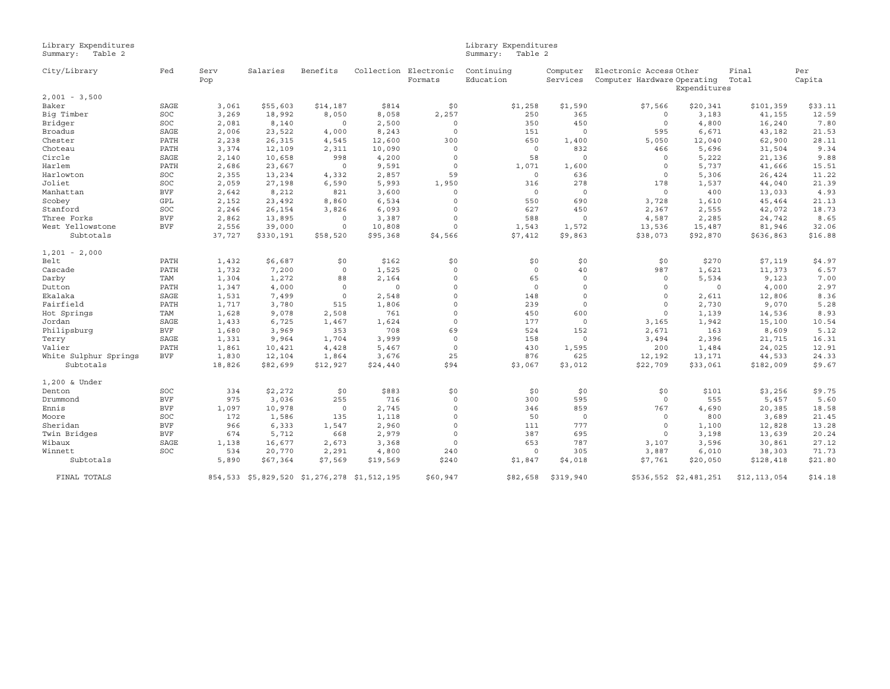# Library Expenditures Library Expenditures Summary: Table 2 Summary: Table 2

| City/Library          | Fed        | Serv   | Salaries                                    | Benefits |          | Collection Electronic | Continuing  | Computer  | Electronic Access Other                     |                       | Final        | Per     |
|-----------------------|------------|--------|---------------------------------------------|----------|----------|-----------------------|-------------|-----------|---------------------------------------------|-----------------------|--------------|---------|
|                       |            | Pop    |                                             |          |          | Formats               | Education   | Services  | Computer Hardware Operating<br>Expenditures |                       | Total        | Capita  |
| $2,001 - 3,500$       |            |        |                                             |          |          |                       |             |           |                                             |                       |              |         |
| Baker                 | SAGE       | 3,061  | \$55,603                                    | \$14,187 | \$814    | \$0                   | \$1,258     | \$1,590   | \$7,566                                     | \$20,341              | \$101,359    | \$33.11 |
| Big Timber            | SOC        | 3,269  | 18,992                                      | 8,050    | 8,058    | 2,257                 | 250         | 365       | $\circ$                                     | 3,183                 | 41,155       | 12.59   |
| Bridger               | SOC        | 2,081  | 8,140                                       | $\circ$  | 2,500    | $\Omega$              | 350         | 450       | $\circ$                                     | 4,800                 | 16,240       | 7.80    |
| <b>Broadus</b>        | SAGE       | 2,006  | 23,522                                      | 4,000    | 8,243    | $\Omega$              | 151         | $\circ$   | 595                                         | 6,671                 | 43,182       | 21.53   |
| Chester               | PATH       | 2,238  | 26,315                                      | 4,545    | 12,600   | 300                   | 650         | 1,400     | 5,050                                       | 12,040                | 62,900       | 28.11   |
| Choteau               | PATH       | 3,374  | 12,109                                      | 2,311    | 10,090   | $\Omega$              | $\mathbb O$ | 832       | 466                                         | 5,696                 | 31,504       | 9.34    |
| Circle                | SAGE       | 2,140  | 10,658                                      | 998      | 4,200    | $\Omega$              | 58          | $\circ$   | $\circ$                                     | 5,222                 | 21,136       | 9.88    |
| Harlem                | PATH       | 2,686  | 23,667                                      | $\circ$  | 9,591    | $\Omega$              | 1,071       | 1,600     | $\circ$                                     | 5,737                 | 41,666       | 15.51   |
| Harlowton             | SOC        | 2,355  | 13,234                                      | 4,332    | 2,857    | 59                    | 0           | 636       | $\circ$                                     | 5,306                 | 26,424       | 11.22   |
| Joliet                | SOC        | 2,059  | 27,198                                      | 6,590    | 5,993    | 1,950                 | 316         | 278       | 178                                         | 1,537                 | 44,040       | 21.39   |
| Manhattan             | <b>BVF</b> | 2,642  | 8,212                                       | 821      | 3,600    | $\Omega$              | 0           | $\circ$   | $\circ$                                     | 400                   | 13,033       | 4.93    |
| Scobey                | GPL        | 2,152  | 23,492                                      | 8,860    | 6,534    | $\Omega$              | 550         | 690       | 3,728                                       | 1,610                 | 45,464       | 21.13   |
| Stanford              | SOC        | 2,246  | 26,154                                      | 3,826    | 6,093    | $\Omega$              | 627         | 450       | 2,367                                       | 2,555                 | 42,072       | 18.73   |
| Three Forks           | <b>BVF</b> | 2,862  | 13,895                                      | $\circ$  | 3,387    | $\Omega$              | 588         | $\circ$   | 4,587                                       | 2,285                 | 24,742       | 8.65    |
| West Yellowstone      | <b>BVF</b> | 2,556  | 39,000                                      | $\circ$  | 10,808   | $\Omega$              | 1,543       | 1,572     | 13,536                                      | 15,487                | 81,946       | 32.06   |
| Subtotals             |            | 37,727 | \$330,191                                   | \$58,520 | \$95,368 | \$4,566               | \$7,412     | \$9,863   | \$38,073                                    | \$92,870              | \$636,863    | \$16.88 |
| $1,201 - 2,000$       |            |        |                                             |          |          |                       |             |           |                                             |                       |              |         |
| Belt                  | PATH       | 1,432  | \$6,687                                     | \$0      | \$162    | \$0                   | \$0         | \$0       | \$0                                         | \$270                 | \$7,119      | \$4.97  |
| Cascade               | PATH       | 1,732  | 7,200                                       | $\circ$  | 1,525    | $\Omega$              | $\circ$     | 40        | 987                                         | 1,621                 | 11,373       | 6.57    |
| Darby                 | <b>TAM</b> | 1,304  | 1,272                                       | 88       | 2,164    | $\Omega$              | 65          | $\Omega$  | $\circ$                                     | 5,534                 | 9,123        | 7.00    |
| Dutton                | PATH       | 1,347  | 4,000                                       | $\circ$  | $\circ$  | $\Omega$              | 0           | $\Omega$  | $\circ$                                     | $\circ$               | 4,000        | 2.97    |
| Ekalaka               | SAGE       | 1,531  | 7,499                                       | $\circ$  | 2,548    | $\Omega$              | 148         | $\circ$   | $\circ$                                     | 2,611                 | 12,806       | 8.36    |
| Fairfield             | PATH       | 1,717  | 3,780                                       | 515      | 1,806    | $\Omega$              | 239         | $\circ$   | $\circ$                                     | 2,730                 | 9,070        | 5.28    |
| Hot Springs           | TAM        | 1,628  | 9,078                                       | 2,508    | 761      | $\Omega$              | 450         | 600       | $\Omega$                                    | 1,139                 | 14,536       | 8.93    |
| Jordan                | SAGE       | 1,433  | 6,725                                       | 1,467    | 1,624    | $\Omega$              | 177         | $\circ$   | 3,165                                       | 1,942                 | 15,100       | 10.54   |
| Philipsburg           | <b>BVF</b> | 1,680  | 3,969                                       | 353      | 708      | 69                    | 524         | 152       | 2,671                                       | 163                   | 8,609        | 5.12    |
| Terry                 | SAGE       | 1,331  | 9,964                                       | 1,704    | 3,999    | $\Omega$              | 158         | $\circ$   | 3,494                                       | 2,396                 | 21,715       | 16.31   |
| Valier                | PATH       | 1,861  | 10,421                                      | 4,428    | 5,467    | $\Omega$              | 430         | 1,595     | 200                                         | 1,484                 | 24,025       | 12.91   |
| White Sulphur Springs | <b>BVF</b> | 1,830  | 12,104                                      | 1,864    | 3,676    | 25                    | 876         | 625       | 12,192                                      | 13,171                | 44,533       | 24.33   |
| Subtotals             |            | 18,826 | \$82,699                                    | \$12,927 | \$24,440 | \$94                  | \$3,067     | \$3,012   | \$22,709                                    | \$33,061              | \$182,009    | \$9.67  |
| 1,200 & Under         |            |        |                                             |          |          |                       |             |           |                                             |                       |              |         |
| Denton                | SOC        | 334    | \$2,272                                     | \$0      | \$883    | \$0                   | \$0         | \$0       | \$0                                         | \$101                 | \$3,256      | \$9.75  |
| Drummond              | <b>BVF</b> | 975    | 3,036                                       | 255      | 716      | $\Omega$              | 300         | 595       | $\circ$                                     | 555                   | 5,457        | 5.60    |
| Ennis                 | <b>BVF</b> | 1,097  | 10,978                                      | $\circ$  | 2,745    | $\Omega$              | 346         | 859       | 767                                         | 4,690                 | 20,385       | 18.58   |
| Moore                 | SOC        | 172    | 1,586                                       | 135      | 1,118    | $\Omega$              | 50          | $\circ$   | $\circ$                                     | 800                   | 3,689        | 21.45   |
| Sheridan              | <b>BVF</b> | 966    | 6,333                                       | 1,547    | 2,960    | $\Omega$              | 111         | 777       | $\circ$                                     | 1,100                 | 12,828       | 13.28   |
| Twin Bridges          | <b>BVF</b> | 674    | 5,712                                       | 668      | 2,979    | $\Omega$              | 387         | 695       | $\circ$                                     | 3,198                 | 13,639       | 20.24   |
| Wibaux                | SAGE       | 1,138  | 16,677                                      | 2,673    | 3,368    | $\Omega$              | 653         | 787       | 3,107                                       | 3,596                 | 30,861       | 27.12   |
| Winnett               | SOC        | 534    | 20,770                                      | 2,291    | 4,800    | 240                   | 0           | 305       | 3,887                                       | 6,010                 | 38,303       | 71.73   |
| Subtotals             |            | 5,890  | \$67,364                                    | \$7,569  | \$19,569 | \$240                 | \$1,847     | \$4,018   | \$7,761                                     | \$20,050              | \$128,418    | \$21.80 |
| FINAL TOTALS          |            |        | 854,533 \$5,829,520 \$1,276,278 \$1,512,195 |          |          | \$60,947              | \$82,658    | \$319,940 |                                             | \$536,552 \$2,481,251 | \$12,113,054 | \$14.18 |
|                       |            |        |                                             |          |          |                       |             |           |                                             |                       |              |         |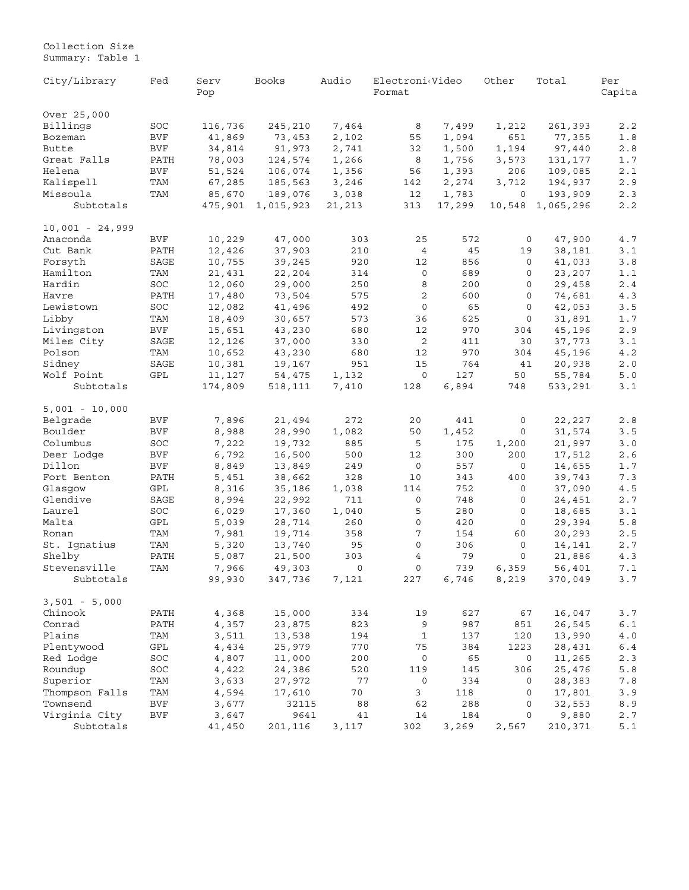<span id="page-17-0"></span>Collection Size Summary: Table 1

| City/Library              | Fed        | Serv<br>Pop     | Books             | Audio                 | Electroni <sub>Video</sub><br>Format |              | Other          | Total             | Per<br>Capita                                         |
|---------------------------|------------|-----------------|-------------------|-----------------------|--------------------------------------|--------------|----------------|-------------------|-------------------------------------------------------|
| Over 25,000               |            |                 |                   |                       |                                      |              |                |                   |                                                       |
| Billings                  | SOC        | 116,736         | 245,210           | 7,464                 | 8                                    | 7,499        | 1,212          | 261,393           | 2.2                                                   |
| Bozeman                   | <b>BVF</b> | 41,869          | 73,453            | 2,102                 | 55                                   | 1,094        | 651            | 77,355            | 1.8                                                   |
| Butte                     | BVF        | 34,814          | 91,973            | 2,741                 | 32                                   | 1,500        | 1,194          | 97,440            | 2.8                                                   |
| Great Falls               | PATH       | 78,003          | 124,574           | 1,266                 | 8                                    | 1,756        | 3,573          | 131,177           | $1.7$                                                 |
| Helena                    | BVF        | 51,524          | 106,074           | 1,356                 | 56                                   | 1,393        | 206            | 109,085           | 2.1                                                   |
| Kalispell                 | TAM        | 67,285          | 185,563           | 3,246                 | 142                                  | 2,274        | 3,712          | 194,937           | 2.9                                                   |
| Missoula                  | TAM        | 85,670          | 189,076           | 3,038                 | 12                                   | 1,783        | 0              | 193,909           | 2.3                                                   |
| Subtotals                 |            | 475,901         | 1,015,923         | 21,213                | 313                                  | 17,299       | 10,548         | 1,065,296         | 2.2                                                   |
| $10,001 - 24,999$         |            |                 |                   |                       |                                      |              |                |                   |                                                       |
| Anaconda                  | BVF        | 10,229          | 47,000            | 303                   | 25                                   | 572          | 0              | 47,900            | 4.7                                                   |
| Cut Bank                  | PATH       | 12,426          | 37,903            | 210                   | $\bf{4}$                             | 45           | 19             | 38,181            | $\ensuremath{\mathsf{3}}$ . $\ensuremath{\mathsf{1}}$ |
| Forsyth                   | SAGE       | 10,755          | 39,245            | 920                   | 12                                   | 856          | 0              | 41,033            | 3.8                                                   |
| Hamilton                  | TAM        | 21,431          | 22,204            | 314                   | 0                                    | 689          | 0              | 23,207            | $1.1$                                                 |
| Hardin                    | SOC        | 12,060          | 29,000            | 250                   | 8                                    | 200          | 0              | 29,458            | 2.4                                                   |
| Havre                     | PATH       | 17,480          | 73,504            | 575                   | 2                                    | 600          | 0              | 74,681            | 4.3                                                   |
| Lewistown                 | SOC        | 12,082          | 41,496            | 492                   | 0                                    | 65           | 0              | 42,053            | $3.5$                                                 |
| Libby                     | TAM        | 18,409          | 30,657            | 573                   | 36                                   | 625          | 0              | 31,891            | $1.7$                                                 |
| Livingston                | BVF        | 15,651          | 43,230            | 680                   | 12                                   | 970          | 304            | 45,196            | $2.9$                                                 |
| Miles City                | SAGE       | 12,126          | 37,000            | 330                   | 2                                    | 411          | 30             | 37,773            | 3.1                                                   |
| Polson                    | TAM        | 10,652          | 43,230            | 680                   | 12                                   | 970          | 304            | 45,196            | $4.2$                                                 |
| Sidney                    | SAGE       | 10,381          | 19,167            | 951                   | 15                                   | 764          | 41             | 20,938            | $2\,.\,0$                                             |
| Wolf Point                | GPL        | 11,127          | 54,475            | 1,132                 | $\mathbf 0$                          | 127          | 50             | 55,784            | 5.0                                                   |
| Subtotals                 |            | 174,809         | 518,111           | 7,410                 | 128                                  | 6,894        | 748            | 533,291           | 3.1                                                   |
| $5,001 - 10,000$          |            |                 |                   |                       |                                      |              |                |                   |                                                       |
| Belgrade                  | <b>BVF</b> | 7,896           | 21,494            | 272                   | 20                                   | 441          | 0              | 22,227            | 2.8                                                   |
| Boulder                   | BVF        | 8,988           | 28,990            | 1,082                 | 50                                   | 1,452        | 0              | 31,574            | 3.5                                                   |
| Columbus                  | SOC        | 7,222           | 19,732            | 885                   | 5                                    | 175          | 1,200          | 21,997            | $3.0$                                                 |
| Deer Lodge                | <b>BVF</b> | 6,792           | 16,500            | 500                   | 12                                   | 300          | 200            | 17,512            | $2.6$                                                 |
| Dillon                    | BVF        | 8,849           | 13,849            | 249                   | $\mathbf 0$                          | 557          | 0              | 14,655            | $1.7$                                                 |
| Fort Benton               | PATH       | 5,451           | 38,662            | 328                   | 10                                   | 343          | 400            | 39,743            | 7.3                                                   |
| Glasgow                   | GPL        | 8,316           | 35,186            | 1,038                 | 114                                  | 752          | 0              | 37,090            | 4.5                                                   |
| Glendive                  | SAGE       | 8,994           | 22,992            | 711                   | 0                                    | 748          | 0              | 24,451            | 2.7                                                   |
| Laurel                    | SOC        | 6,029           | 17,360            | 1,040                 | 5                                    | 280          | 0              | 18,685            | 3.1                                                   |
| Malta                     | GPL        | 5,039           | 28,714            | 260                   | $\mathbf 0$                          | 420          | 0              | 29,394            | 5.8                                                   |
| Ronan                     | TAM        | 7,981           | 19,714            | 358                   | 7                                    | 154          | 60             | 20,293            | 2.5                                                   |
| St. Ignatius              | TAM        | 5,320           | 13,740            | 95                    | 0                                    | 306          | 0              | 14,141            | $2.7$                                                 |
| Shelby                    | PATH       | 5,087           | 21,500            | 303                   | 4                                    | 79           | 0              | 21,886            | 4.3                                                   |
| Stevensville<br>Subtotals | TAM        | 7,966<br>99,930 | 49,303<br>347,736 | $\mathsf{O}$<br>7,121 | $\mathbf 0$<br>227                   | 739<br>6,746 | 6,359<br>8,219 | 56,401<br>370,049 | 7.1<br>3.7                                            |
|                           |            |                 |                   |                       |                                      |              |                |                   |                                                       |
| $3,501 - 5,000$           |            |                 |                   |                       |                                      |              |                |                   |                                                       |
| Chinook                   | PATH       | 4,368           | 15,000            | 334                   | 19                                   | 627          | 67             | 16,047            | 3.7                                                   |
| Conrad                    | PATH       | 4,357           | 23,875            | 823                   | 9                                    | 987          | 851            | 26,545            | $6.1\,$                                               |
| Plains                    | TAM        | 3,511           | 13,538            | 194                   | $\mathbf{1}$                         | 137          | 120            | 13,990            | $4\ .\ 0$                                             |
| Plentywood                | GPL        | 4,434           | 25,979            | 770                   | 75                                   | 384          | 1223           | 28,431            | $6.4\,$                                               |
| Red Lodge                 | SOC        | 4,807           | 11,000            | 200                   | $\mathsf{O}$                         | 65           | 0              | 11,265            | 2.3                                                   |
| Roundup                   | SOC        | 4,422           | 24,386            | 520                   | 119                                  | 145          | 306            | 25,476            | $5.8\,$                                               |
| Superior                  | TAM        | 3,633           | 27,972            | 77                    | 0                                    | 334          | 0              | 28,383            | 7.8                                                   |
| Thompson Falls            | TAM        | 4,594           | 17,610            | 70                    | 3                                    | 118          | 0              | 17,801            | 3.9                                                   |
| Townsend                  | $\rm BVF$  | 3,677           | 32115             | 88                    | 62                                   | 288          | 0              | 32,553            | 8.9                                                   |
| Virginia City             | <b>BVF</b> | 3,647           | 9641              | 41                    | 14                                   | 184          | 0              | 9,880             | 2.7                                                   |
| Subtotals                 |            | 41,450          | 201,116           | 3,117                 | 302                                  | 3,269        | 2,567          | 210,371           | 5.1                                                   |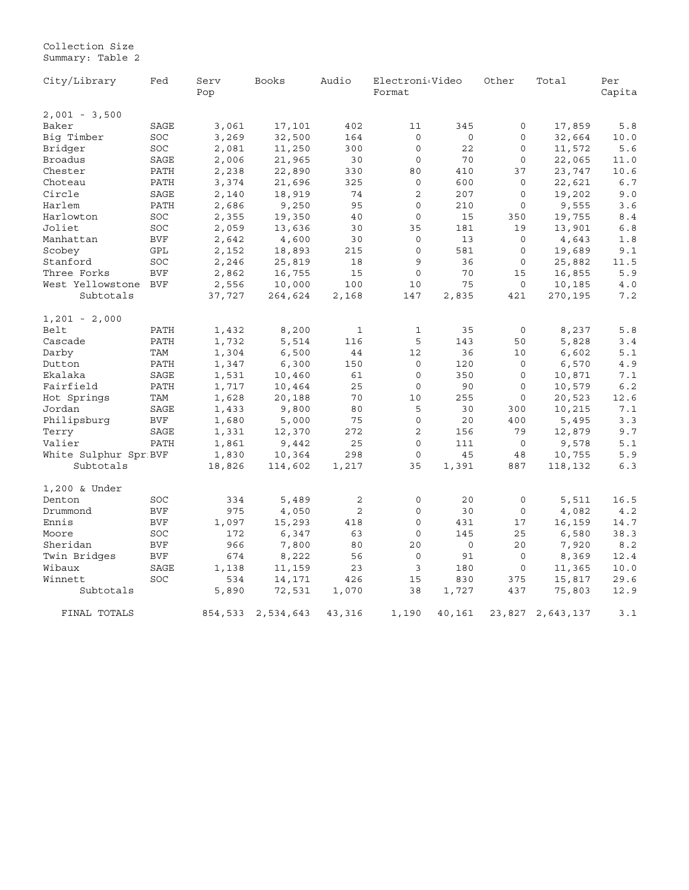#### Collection Size Summary: Table 2

| City/Library          | Fed        | Audio<br>Serv<br>Books<br>Pop |           |                | Electroni <sub>Video</sub><br>Format |         | Other       | Total            | Per<br>Capita |
|-----------------------|------------|-------------------------------|-----------|----------------|--------------------------------------|---------|-------------|------------------|---------------|
| $2,001 - 3,500$       |            |                               |           |                |                                      |         |             |                  |               |
| Baker                 | SAGE       | 3,061                         | 17,101    | 402            | 11                                   | 345     | 0           | 17,859           | 5.8           |
| Big Timber            | SOC        | 3,269                         | 32,500    | 164            | 0                                    | 0       | 0           | 32,664           | 10.0          |
| Bridger               | SOC        | 2,081                         | 11,250    | 300            | 0                                    | 22      | 0           | 11,572           | 5.6           |
| Broadus               | SAGE       | 2,006                         | 21,965    | 30             | $\circ$                              | 70      | $\mathsf 0$ | 22,065           | 11.0          |
| Chester               | PATH       | 2,238                         | 22,890    | 330            | 80                                   | 410     | 37          | 23,747           | 10.6          |
| Choteau               | PATH       | 3,374                         | 21,696    | 325            | $\circ$                              | 600     | $\circ$     | 22,621           | 6.7           |
| Circle                | SAGE       | 2,140                         | 18,919    | 74             | $\overline{2}$                       | 207     | $\mathbf 0$ | 19,202           | 9.0           |
| Harlem                | PATH       | 2,686                         | 9,250     | 95             | $\circ$                              | 210     | $\mathbf 0$ | 9,555            | 3.6           |
| Harlowton             | SOC        | 2,355                         | 19,350    | 40             | $\circ$                              | 15      | 350         | 19,755           | 8.4           |
| Joliet                | SOC        | 2,059                         | 13,636    | 30             | 35                                   | 181     | 19          | 13,901           | 6.8           |
| Manhattan             | <b>BVF</b> | 2,642                         | 4,600     | 30             | 0                                    | 13      | $\mathbf 0$ | 4,643            | 1.8           |
| Scobey                | GPL        | 2,152                         | 18,893    | 215            | $\circ$                              | 581     | 0           | 19,689           | 9.1           |
| Stanford              | SOC        | 2,246                         | 25,819    | 18             | 9                                    | 36      | $\mathsf 0$ | 25,882           | 11.5          |
| Three Forks           | <b>BVF</b> | 2,862                         | 16,755    | 15             | 0                                    | 70      | 15          | 16,855           | 5.9           |
| West Yellowstone      | <b>BVF</b> | 2,556                         | 10,000    | 100            | 10                                   | 75      | 0           | 10,185           | 4.0           |
| Subtotals             |            | 37,727                        | 264,624   | 2,168          | 147                                  | 2,835   | 421         | 270,195          | 7.2           |
| $1,201 - 2,000$       |            |                               |           |                |                                      |         |             |                  |               |
| Belt                  | PATH       | 1,432                         | 8,200     | $\mathbf{1}$   | $\mathbf{1}$                         | 35      | 0           | 8,237            | 5.8           |
| Cascade               | PATH       | 1,732                         | 5,514     | 116            | 5                                    | 143     | 50          | 5,828            | 3.4           |
| Darby                 | TAM        | 1,304                         | 6,500     | 44             | 12                                   | 36      | 10          | 6,602            | 5.1           |
| Dutton                | PATH       | 1,347                         | 6,300     | 150            | $\circ$                              | 120     | $\circ$     | 6,570            | $4\,.\,9$     |
| Ekalaka               | SAGE       | 1,531                         | 10,460    | 61             | $\mathbf 0$                          | 350     | 0           | 10,871           | 7.1           |
| Fairfield             | PATH       | 1,717                         | 10,464    | 25             | $\circ$                              | 90      | $\mathbf 0$ | 10,579           | 6.2           |
| Hot Springs           | TAM        | 1,628                         | 20,188    | 70             | 10                                   | 255     | $\mathbf 0$ | 20,523           | 12.6          |
| Jordan                | SAGE       | 1,433                         | 9,800     | 80             | 5                                    | 30      | 300         | 10,215           | 7.1           |
| Philipsburg           | <b>BVF</b> | 1,680                         | 5,000     | 75             | $\mathbf 0$                          | 20      | 400         | 5,495            | 3.3           |
| Terry                 | SAGE       | 1,331                         | 12,370    | 272            | 2                                    | 156     | 79          | 12,879           | 9.7           |
| Valier                | PATH       | 1,861                         | 9,442     | 25             | $\circ$                              | 111     | $\mathsf 0$ | 9,578            | 5.1           |
| White Sulphur Spr BVF |            | 1,830                         | 10,364    | 298            | $\mathbf 0$                          | 45      | 48          | 10,755           | 5.9           |
| Subtotals             |            | 18,826                        | 114,602   | 1,217          | 35                                   | 1,391   | 887         | 118,132          | 6.3           |
| 1,200 & Under         |            |                               |           |                |                                      |         |             |                  |               |
| Denton                | SOC        | 334                           | 5,489     | 2              | 0                                    | 20      | $\mathsf 0$ | 5,511            | 16.5          |
| Drummond              | <b>BVF</b> | 975                           | 4,050     | $\overline{2}$ | $\Omega$                             | 30      | 0           | 4,082            | 4.2           |
| Ennis                 | <b>BVF</b> | 1,097                         | 15,293    | 418            | $\circ$                              | 431     | 17          | 16,159           | 14.7          |
| Moore                 | SOC        | 172                           | 6,347     | 63             | $\circ$                              | 145     | 25          | 6,580            | 38.3          |
| Sheridan              | <b>BVF</b> | 966                           | 7,800     | 80             | 20                                   | $\circ$ | 20          | 7,920            | 8.2           |
| Twin Bridges          | <b>BVF</b> | 674                           | 8,222     | 56             | $\circ$                              | 91      | $\mathsf 0$ | 8,369            | 12.4          |
| Wibaux                | SAGE       | 1,138                         | 11,159    | 23             | 3                                    | 180     | 0           | 11,365           | 10.0          |
| Winnett               | SOC        | 534                           | 14,171    | 426            | 15                                   | 830     | 375         | 15,817           | 29.6          |
| Subtotals             |            | 5,890                         | 72,531    | 1,070          | 38                                   | 1,727   | 437         | 75,803           | 12.9          |
| FINAL TOTALS          |            | 854,533                       | 2,534,643 | 43,316         | 1,190                                | 40,161  |             | 23,827 2,643,137 | 3.1           |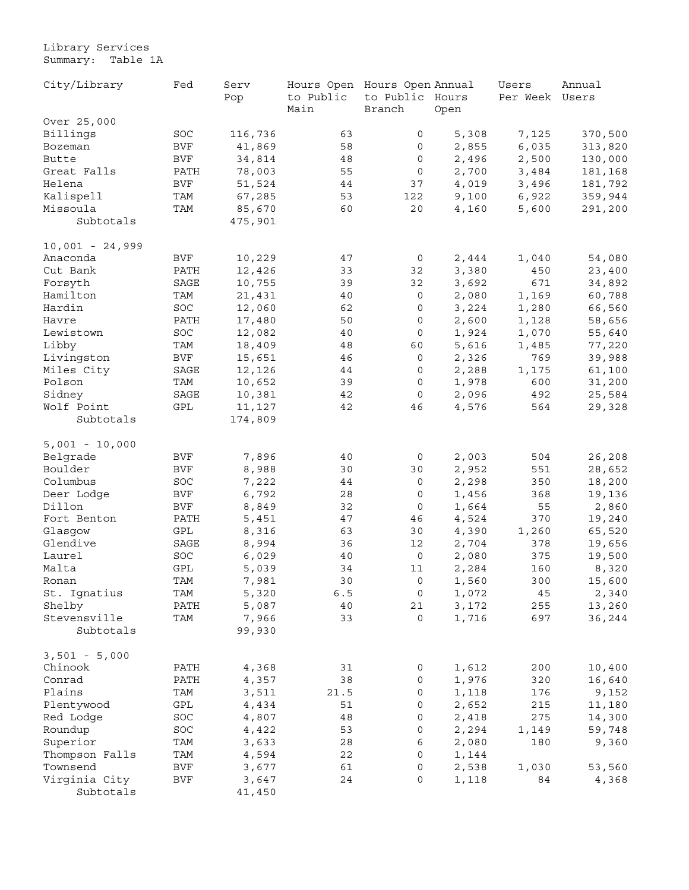<span id="page-19-0"></span>Library Services Summary: Table 1A

| City/Library      | Fed                  | Serv    | Hours Open Hours Open Annual |                 |       | Users        | Annual  |
|-------------------|----------------------|---------|------------------------------|-----------------|-------|--------------|---------|
|                   |                      | Pop     | to Public                    | to Public Hours |       | Per Week     | Users   |
|                   |                      |         | Main                         | Branch          | Open  |              |         |
| Over 25,000       |                      |         |                              |                 |       |              |         |
| Billings          | SOC                  | 116,736 | 63                           | 0               | 5,308 | 7,125        | 370,500 |
| Bozeman           | <b>BVF</b>           | 41,869  | 58                           | 0               | 2,855 | 6,035        | 313,820 |
| Butte             | <b>BVF</b>           | 34,814  | 48                           | 0               | 2,496 | 2,500        | 130,000 |
| Great Falls       | PATH                 | 78,003  | 55                           | 0               | 2,700 | 3,484        | 181,168 |
| Helena            | <b>BVF</b>           | 51,524  | 44                           | 37              | 4,019 | 3,496        | 181,792 |
| Kalispell         | TAM                  | 67,285  | 53                           | 122             | 9,100 | 6,922        | 359,944 |
| Missoula          | TAM                  | 85,670  | 60                           | 20              | 4,160 | 5,600        | 291,200 |
| Subtotals         |                      | 475,901 |                              |                 |       |              |         |
| $10,001 - 24,999$ |                      |         |                              |                 |       |              |         |
| Anaconda          | BVF                  | 10,229  | 47                           | 0               | 2,444 | 1,040        | 54,080  |
| Cut Bank          | PATH                 | 12,426  | 33                           | 32              | 3,380 | 450          | 23,400  |
| Forsyth           | SAGE                 | 10,755  | 39                           | 32              | 3,692 | 671          | 34,892  |
| Hamilton          | TAM                  | 21,431  | 40                           | 0               | 2,080 | 1,169        | 60,788  |
| Hardin            | SOC                  | 12,060  | 62                           | 0               | 3,224 | 1,280        | 66,560  |
| Havre             | PATH                 | 17,480  | 50                           | 0               | 2,600 | 1,128        | 58,656  |
| Lewistown         | SOC                  | 12,082  | 40                           | 0               | 1,924 | 1,070        | 55,640  |
| Libby             | TAM                  |         | 48                           | 60              | 5,616 |              |         |
|                   | <b>BVF</b>           | 18,409  | 46                           | 0               |       | 1,485<br>769 | 77,220  |
| Livingston        |                      | 15,651  |                              |                 | 2,326 |              | 39,988  |
| Miles City        | SAGE                 | 12,126  | 44                           | 0               | 2,288 | 1,175        | 61,100  |
| Polson            | TAM                  | 10,652  | 39                           | 0               | 1,978 | 600          | 31,200  |
| Sidney            | SAGE                 | 10,381  | 42                           | 0               | 2,096 | 492          | 25,584  |
| Wolf Point        | GPL                  | 11,127  | 42                           | 46              | 4,576 | 564          | 29,328  |
| Subtotals         |                      | 174,809 |                              |                 |       |              |         |
| $5,001 - 10,000$  |                      |         |                              |                 |       |              |         |
| Belgrade          | BVF                  | 7,896   | 40                           | 0               | 2,003 | 504          | 26,208  |
| Boulder           | BVF                  | 8,988   | 30                           | 30              | 2,952 | 551          | 28,652  |
| Columbus          | SOC                  | 7,222   | 44                           | 0               | 2,298 | 350          | 18,200  |
| Deer Lodge        | <b>BVF</b>           | 6,792   | 28                           | 0               | 1,456 | 368          | 19,136  |
| Dillon            | <b>BVF</b>           | 8,849   | 32                           | 0               | 1,664 | 55           | 2,860   |
| Fort Benton       | PATH                 | 5,451   | 47                           | 46              | 4,524 | 370          | 19,240  |
| Glasgow           | $\operatorname{GPL}$ | 8,316   | 63                           | 30              | 4,390 | 1,260        | 65,520  |
| Glendive          | SAGE                 | 8,994   | 36                           | 12              | 2,704 | 378          | 19,656  |
| Laurel            | SOC                  | 6,029   | 40                           | $\mathbf 0$     | 2,080 | 375          | 19,500  |
| Malta             | GPL                  | 5,039   | 34                           | 11              | 2,284 | 160          | 8,320   |
| Ronan             | TAM                  | 7,981   | 30                           | 0               | 1,560 | 300          | 15,600  |
| St. Ignatius      | TAM                  | 5,320   | $6.5\,$                      | $\overline{0}$  | 1,072 | 45           | 2,340   |
| Shelby            | PATH                 | 5,087   | 40                           | 21              | 3,172 | 255          | 13,260  |
| Stevensville      | TAM                  | 7,966   | 33                           | 0               | 1,716 | 697          | 36,244  |
| Subtotals         |                      | 99,930  |                              |                 |       |              |         |
|                   |                      |         |                              |                 |       |              |         |
| $3,501 - 5,000$   |                      |         |                              |                 |       |              |         |
| Chinook           | PATH                 | 4,368   | 31                           | 0               | 1,612 | 200          | 10,400  |
| Conrad            | PATH                 | 4,357   | 38                           | 0               | 1,976 | 320          | 16,640  |
| Plains            | TAM                  | 3,511   | 21.5                         | 0               | 1,118 | 176          | 9,152   |
| Plentywood        | GPL                  | 4,434   | 51                           | 0               | 2,652 | 215          | 11,180  |
| Red Lodge         | SOC                  | 4,807   | 48                           | 0               | 2,418 | 275          | 14,300  |
| Roundup           | $_{\mathrm{SOC}}$    | 4,422   | 53                           | 0               | 2,294 | 1,149        | 59,748  |
| Superior          | TAM                  | 3,633   | 28                           | 6               | 2,080 | 180          | 9,360   |
| Thompson Falls    | TAM                  | 4,594   | $2\sqrt{2}$                  | 0               | 1,144 |              |         |
| Townsend          | BVF                  | 3,677   | 61                           | 0               | 2,538 | 1,030        | 53,560  |
| Virginia City     | BVF                  | 3,647   | 24                           | 0               | 1,118 | 84           | 4,368   |
| Subtotals         |                      | 41,450  |                              |                 |       |              |         |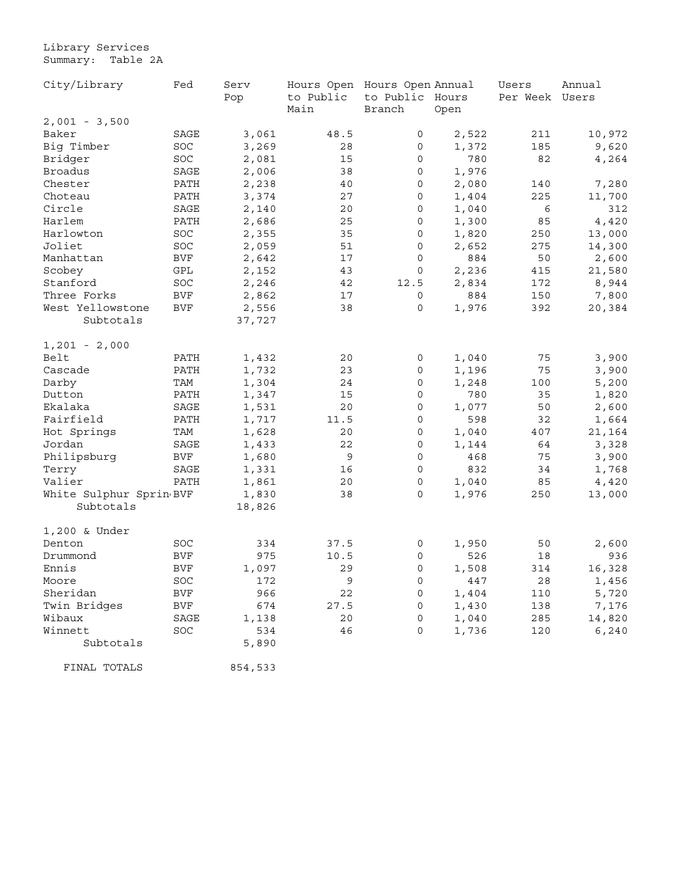Library Services Summary: Table 2A

| City/Library             | Fed        | Serv    | Hours Open Hours Open Annual |                 |       | Users    | Annual |
|--------------------------|------------|---------|------------------------------|-----------------|-------|----------|--------|
|                          |            | Pop     | to Public                    | to Public Hours |       | Per Week | Users  |
|                          |            |         | Main                         | Branch          | Open  |          |        |
| $2,001 - 3,500$<br>Baker | SAGE       |         | 48.5                         | 0               |       |          |        |
|                          |            | 3,061   |                              |                 | 2,522 | 211      | 10,972 |
| Big Timber               | SOC        | 3,269   | 28                           | 0               | 1,372 | 185      | 9,620  |
| Bridger                  | <b>SOC</b> | 2,081   | 15                           | 0               | 780   | 82       | 4,264  |
| <b>Broadus</b>           | SAGE       | 2,006   | 38                           | 0               | 1,976 |          |        |
| Chester                  | PATH       | 2,238   | 40                           | $\mathbf 0$     | 2,080 | 140      | 7,280  |
| Choteau                  | PATH       | 3,374   | 27                           | $\mathbf 0$     | 1,404 | 225      | 11,700 |
| Circle                   | SAGE       | 2,140   | 20                           | 0               | 1,040 | 6        | 312    |
| Harlem                   | PATH       | 2,686   | 25                           | 0               | 1,300 | 85       | 4,420  |
| Harlowton                | SOC        | 2,355   | 35                           | 0               | 1,820 | 250      | 13,000 |
| Joliet                   | SOC        | 2,059   | 51                           | 0               | 2,652 | 275      | 14,300 |
| Manhattan                | <b>BVF</b> | 2,642   | 17                           | 0               | 884   | 50       | 2,600  |
| Scobey                   | GPL        | 2,152   | 43                           | 0               | 2,236 | 415      | 21,580 |
| Stanford                 | SOC        | 2,246   | 42                           | 12.5            | 2,834 | 172      | 8,944  |
| Three Forks              | BVF        | 2,862   | 17                           | 0               | 884   | 150      | 7,800  |
| West Yellowstone         | <b>BVF</b> | 2,556   | 38                           | 0               | 1,976 | 392      | 20,384 |
| Subtotals                |            | 37,727  |                              |                 |       |          |        |
| $1,201 - 2,000$          |            |         |                              |                 |       |          |        |
| Belt                     | PATH       | 1,432   | 20                           | 0               | 1,040 | 75       | 3,900  |
| Cascade                  | PATH       | 1,732   | 23                           | 0               | 1,196 | 75       | 3,900  |
| Darby                    | TAM        | 1,304   | 24                           | 0               | 1,248 | 100      | 5,200  |
| Dutton                   | PATH       | 1,347   | 15                           | 0               | 780   | 35       | 1,820  |
| Ekalaka                  | SAGE       | 1,531   | 20                           | 0               | 1,077 | 50       | 2,600  |
| Fairfield                | PATH       | 1,717   | 11.5                         | 0               | 598   | 32       | 1,664  |
| Hot Springs              | TAM        | 1,628   | 20                           | 0               | 1,040 | 407      | 21,164 |
| Jordan                   | SAGE       | 1,433   | 22                           | 0               | 1,144 | 64       | 3,328  |
| Philipsburg              | BVF        | 1,680   | 9                            | 0               | 468   | 75       | 3,900  |
| Terry                    | SAGE       | 1,331   | 16                           | 0               | 832   | 34       | 1,768  |
| Valier                   | PATH       | 1,861   | 20                           | 0               | 1,040 | 85       | 4,420  |
| White Sulphur Sprin BVF  |            | 1,830   | 38                           | $\mathbf 0$     | 1,976 | 250      | 13,000 |
| Subtotals                |            | 18,826  |                              |                 |       |          |        |
| 1,200 & Under            |            |         |                              |                 |       |          |        |
| Denton                   | SOC        | 334     | 37.5                         | 0               | 1,950 | 50       | 2,600  |
| Drummond                 | <b>BVF</b> | 975     | 10.5                         | 0               | 526   | 18       | 936    |
| Ennis                    | BVF        | 1,097   | 29                           | 0               | 1,508 | 314      | 16,328 |
| Moore                    | SOC        | 172     | 9                            | $\mathbf 0$     | 447   | 28       | 1,456  |
| Sheridan                 | BVF        | 966     | 22                           | 0               | 1,404 | 110      | 5,720  |
| Twin Bridges             | BVF        | 674     | 27.5                         | 0               | 1,430 | 138      | 7,176  |
| Wibaux                   | SAGE       | 1,138   | 20                           | 0               | 1,040 | 285      | 14,820 |
| Winnett                  | SOC        | 534     | 46                           | 0               | 1,736 | 120      | 6,240  |
| Subtotals                |            | 5,890   |                              |                 |       |          |        |
| FINAL TOTALS             |            | 854,533 |                              |                 |       |          |        |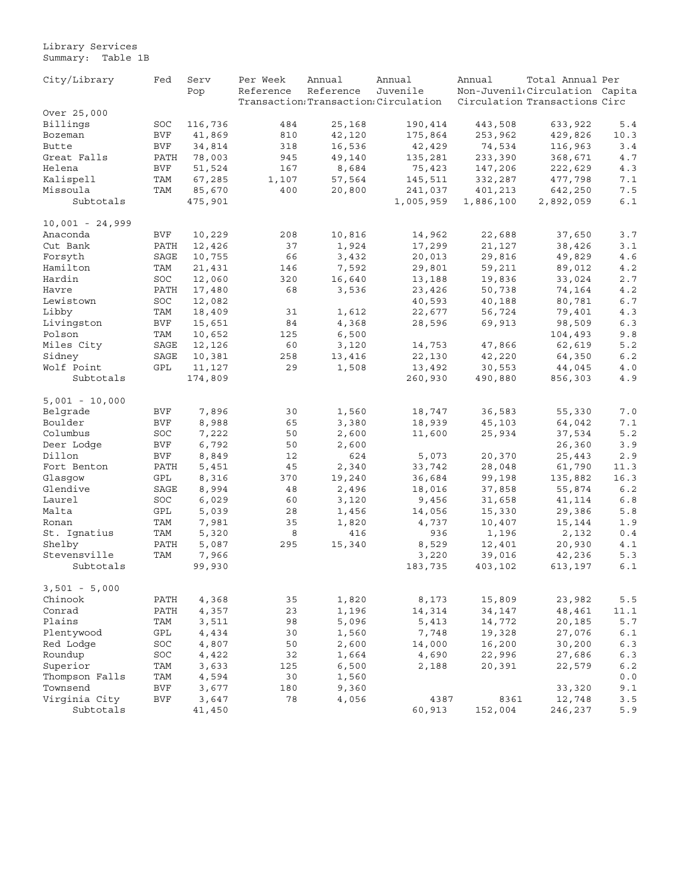Library Services Summary: Table 1B

| City/Library      | Fed        | Serv    | Per Week  | Annual    | Annual                                | Annual                        | Total Annual Per               |                       |  |
|-------------------|------------|---------|-----------|-----------|---------------------------------------|-------------------------------|--------------------------------|-----------------------|--|
|                   |            | Pop     | Reference | Reference | Juvenile                              |                               | Non-Juvenil(Circulation Capita |                       |  |
|                   |            |         |           |           | Transaction: Transaction: Circulation | Circulation Transactions Circ |                                |                       |  |
| Over 25,000       |            |         |           |           |                                       |                               |                                |                       |  |
| Billings          | SOC        | 116,736 | 484       | 25,168    | 190,414                               | 443,508                       | 633,922                        | 5.4                   |  |
| Bozeman           | <b>BVF</b> | 41,869  | 810       | 42,120    | 175,864                               | 253,962                       | 429,826                        | 10.3                  |  |
| Butte             | <b>BVF</b> | 34,814  | 318       | 16,536    | 42,429                                | 74,534                        | 116,963                        | 3.4                   |  |
| Great Falls       | PATH       | 78,003  | 945       | 49,140    | 135,281                               | 233,390                       | 368,671                        | 4.7                   |  |
| Helena            | <b>BVF</b> | 51,524  | 167       | 8,684     | 75,423                                | 147,206                       | 222,629                        | 4.3                   |  |
| Kalispell         | TAM        | 67,285  | 1,107     | 57,564    | 145,511                               | 332,287                       | 477,798                        | 7.1                   |  |
| Missoula          | TAM        | 85,670  | 400       | 20,800    | 241,037                               | 401,213                       | 642,250                        | 7.5                   |  |
| Subtotals         |            | 475,901 |           |           | 1,005,959                             | 1,886,100                     | 2,892,059                      | 6.1                   |  |
| $10,001 - 24,999$ |            |         |           |           |                                       |                               |                                |                       |  |
| Anaconda          | BVF        | 10,229  | 208       | 10,816    | 14,962                                | 22,688                        | 37,650                         | 3.7                   |  |
| Cut Bank          | PATH       | 12,426  | 37        | 1,924     | 17,299                                | 21,127                        | 38,426                         | 3.1                   |  |
| Forsyth           | SAGE       | 10,755  | 66        | 3,432     | 20,013                                | 29,816                        | 49,829                         | 4.6                   |  |
| Hamilton          | TAM        | 21,431  | 146       | 7,592     | 29,801                                | 59,211                        | 89,012                         | 4.2                   |  |
| Hardin            | <b>SOC</b> | 12,060  | 320       | 16,640    | 13,188                                | 19,836                        | 33,024                         | 2.7                   |  |
| Havre             | PATH       | 17,480  | 68        | 3,536     | 23,426                                | 50,738                        | 74,164                         | 4.2                   |  |
| Lewistown         | SOC        | 12,082  |           |           | 40,593                                | 40,188                        | 80,781                         | 6.7                   |  |
| Libby             | TAM        | 18,409  | 31        | 1,612     | 22,677                                | 56,724                        | 79,401                         | 4.3                   |  |
| Livingston        | <b>BVF</b> | 15,651  | 84        | 4,368     | 28,596                                | 69,913                        | 98,509                         | 6.3                   |  |
| Polson            | TAM        | 10,652  | 125       | 6,500     |                                       |                               | 104,493                        | 9.8                   |  |
| Miles City        | SAGE       | 12,126  | 60        | 3,120     | 14,753                                | 47,866                        | 62,619                         | 5.2                   |  |
| Sidney            | SAGE       | 10,381  | 258       | 13,416    | 22,130                                | 42,220                        | 64,350                         | 6.2                   |  |
| Wolf Point        | GPL        | 11,127  | 29        | 1,508     | 13,492                                | 30,553                        | 44,045                         | $4.0$                 |  |
| Subtotals         |            | 174,809 |           |           | 260,930                               | 490,880                       | 856,303                        | 4.9                   |  |
|                   |            |         |           |           |                                       |                               |                                |                       |  |
| $5,001 - 10,000$  |            |         |           |           |                                       |                               |                                |                       |  |
| Belgrade          | <b>BVF</b> | 7,896   | 30        | 1,560     | 18,747                                | 36,583                        | 55,330                         | $7.0$                 |  |
| Boulder           | <b>BVF</b> | 8,988   | 65        | 3,380     | 18,939                                | 45,103                        | 64,042                         | 7.1                   |  |
| Columbus          | SOC        | 7,222   | 50        | 2,600     | 11,600                                | 25,934                        | 37,534                         | 5.2                   |  |
| Deer Lodge        | <b>BVF</b> | 6,792   | 50        | 2,600     |                                       |                               | 26,360                         | 3.9                   |  |
| Dillon            | <b>BVF</b> | 8,849   | 12        | 624       | 5,073                                 | 20,370                        | 25,443                         | 2.9                   |  |
| Fort Benton       | PATH       | 5,451   | 45        | 2,340     | 33,742                                | 28,048                        | 61,790                         | 11.3                  |  |
| Glasgow           | GPL        | 8,316   | 370       | 19,240    | 36,684                                | 99,198                        | 135,882                        | 16.3                  |  |
| Glendive          | SAGE       | 8,994   | 48        | 2,496     | 18,016                                | 37,858                        | 55,874                         | $6.2$                 |  |
| Laurel            | SOC        | 6,029   | 60        | 3,120     | 9,456                                 | 31,658                        | 41,114                         | 6.8                   |  |
| Malta             | GPL        | 5,039   | 28        | 1,456     | 14,056                                | 15,330                        | 29,386                         | 5.8                   |  |
| Ronan             | TAM        | 7,981   | 35        | 1,820     | 4,737                                 | 10,407                        | 15,144                         | 1.9                   |  |
| St. Ignatius      | TAM        | 5,320   | 8         | 416       | 936                                   | 1,196                         | 2,132                          | 0.4                   |  |
| Shelby            | PATH       | 5,087   | 295       | 15,340    | 8,529                                 | 12,401                        | 20,930                         | 4.1                   |  |
| Stevensville      | TAM        | 7,966   |           |           | 3,220                                 | 39,016                        | 42,236                         | 5.3                   |  |
| Subtotals         |            | 99,930  |           |           |                                       |                               |                                | 6.1                   |  |
|                   |            |         |           |           | 183,735                               | 403,102                       | 613,197                        |                       |  |
| $3,501 - 5,000$   |            |         |           |           |                                       |                               |                                |                       |  |
| Chinook           | PATH       | 4,368   | 35        | 1,820     | 8,173                                 | 15,809                        | 23,982                         | 5.5                   |  |
| Conrad            | PATH       | 4,357   | 23        | 1,196     | 14,314                                | 34,147                        | 48,461                         | 11.1                  |  |
| Plains            | TAM        | 3,511   | 98        | 5,096     | 5,413                                 | 14,772                        | 20,185                         | 5.7                   |  |
| Plentywood        | GPL        | 4,434   | 30        | 1,560     | 7,748                                 | 19,328                        | 27,076                         | 6.1                   |  |
| Red Lodge         | SOC        | 4,807   | 50        | 2,600     | 14,000                                | 16,200                        | 30,200                         | 6.3                   |  |
| Roundup           | SOC        | 4,422   | 32        | 1,664     | 4,690                                 | 22,996                        | 27,686                         | 6.3                   |  |
| Superior          | TAM        | 3,633   | 125       | 6,500     | 2,188                                 | 20,391                        | 22,579                         | 6.2                   |  |
| Thompson Falls    | TAM        | 4,594   | 30        | 1,560     |                                       |                               |                                | ${\bf 0}$ . ${\bf 0}$ |  |
| Townsend          |            |         |           |           |                                       |                               |                                |                       |  |
|                   | $\rm BVF$  | 3,677   | 180       | 9,360     |                                       |                               | 33,320                         | 9.1                   |  |
| Virginia City     | <b>BVF</b> | 3,647   | 78        | 4,056     | 4387                                  | 8361                          | 12,748                         | 3.5                   |  |
| Subtotals         |            | 41,450  |           |           | 60,913                                | 152,004                       | 246,237                        | 5.9                   |  |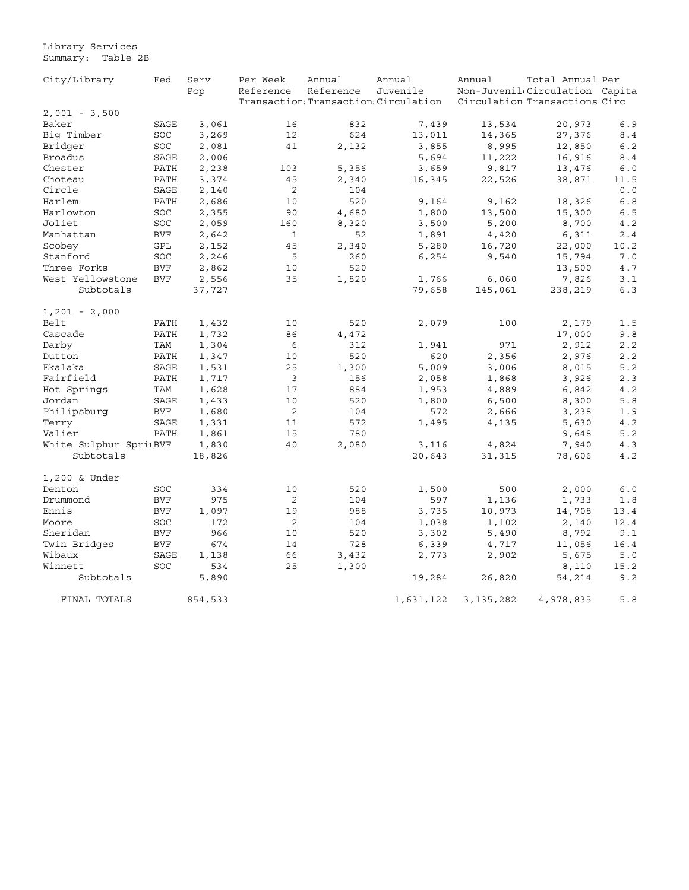#### Library Services Summary: Table 2B

| City/Library          | Fed        | Serv    | Per Week       | Annual    | Annual                                | Annual      | Total Annual Per               |      |
|-----------------------|------------|---------|----------------|-----------|---------------------------------------|-------------|--------------------------------|------|
|                       |            | Pop     | Reference      | Reference | Juvenile                              |             | Non-Juvenil(Circulation Capita |      |
|                       |            |         |                |           | Transaction: Transaction: Circulation |             | Circulation Transactions Circ  |      |
| $2,001 - 3,500$       |            |         |                |           |                                       |             |                                |      |
| Baker                 | SAGE       | 3,061   | 16             | 832       | 7,439                                 | 13,534      | 20,973                         | 6.9  |
| Big Timber            | SOC        | 3,269   | 12             | 624       | 13,011                                | 14,365      | 27,376                         | 8.4  |
| Bridger               | SOC        | 2,081   | 41             | 2,132     | 3,855                                 | 8,995       | 12,850                         | 6.2  |
| <b>Broadus</b>        | SAGE       | 2,006   |                |           | 5,694                                 | 11,222      | 16,916                         | 8.4  |
| Chester               | PATH       | 2,238   | 103            | 5,356     | 3,659                                 | 9,817       | 13,476                         | 6.0  |
| Choteau               | PATH       | 3,374   | 45             | 2,340     | 16,345                                | 22,526      | 38,871                         | 11.5 |
| Circle                | SAGE       | 2,140   | $\overline{c}$ | 104       |                                       |             |                                | 0.0  |
| Harlem                | PATH       | 2,686   | 10             | 520       | 9,164                                 | 9,162       | 18,326                         | 6.8  |
| Harlowton             | SOC        | 2,355   | 90             | 4,680     | 1,800                                 | 13,500      | 15,300                         | 6.5  |
| Joliet                | SOC        | 2,059   | 160            | 8,320     | 3,500                                 | 5,200       | 8,700                          | 4.2  |
| Manhattan             | <b>BVF</b> | 2,642   | $\mathbf 1$    | 52        | 1,891                                 | 4,420       | 6,311                          | 2.4  |
| Scobey                | GPL        | 2,152   | 45             | 2,340     | 5,280                                 | 16,720      | 22,000                         | 10.2 |
| Stanford              | SOC        | 2,246   | 5              | 260       | 6,254                                 | 9,540       | 15,794                         | 7.0  |
| Three Forks           | <b>BVF</b> | 2,862   | 10             | 520       |                                       |             | 13,500                         | 4.7  |
| West Yellowstone      | <b>BVF</b> | 2,556   | 35             | 1,820     | 1,766                                 | 6,060       | 7,826                          | 3.1  |
| Subtotals             |            | 37,727  |                |           | 79,658                                | 145,061     | 238,219                        | 6.3  |
|                       |            |         |                |           |                                       |             |                                |      |
| $1,201 - 2,000$       |            |         |                |           |                                       |             |                                |      |
| Belt                  | PATH       | 1,432   | 10             | 520       | 2,079                                 | 100         | 2,179                          | 1.5  |
| Cascade               | PATH       | 1,732   | 86             | 4,472     |                                       |             | 17,000                         | 9.8  |
| Darby                 | TAM        | 1,304   | 6              | 312       | 1,941                                 | 971         | 2,912                          | 2.2  |
| Dutton                | PATH       | 1,347   | 10             | 520       | 620                                   | 2,356       | 2,976                          | 2.2  |
| Ekalaka               | SAGE       | 1,531   | 25             | 1,300     | 5,009                                 | 3,006       | 8,015                          | 5.2  |
| Fairfield             | PATH       | 1,717   | 3              | 156       | 2,058                                 | 1,868       | 3,926                          | 2.3  |
| Hot Springs           | TAM        | 1,628   | 17             | 884       | 1,953                                 | 4,889       | 6,842                          | 4.2  |
| Jordan                | SAGE       | 1,433   | 10             | 520       | 1,800                                 | 6,500       | 8,300                          | 5.8  |
| Philipsburg           | <b>BVF</b> | 1,680   | 2              | 104       | 572                                   | 2,666       | 3,238                          | 1.9  |
| Terry                 | SAGE       | 1,331   | 11             | 572       | 1,495                                 | 4,135       | 5,630                          | 4.2  |
| Valier                | PATH       | 1,861   | 15             | 780       |                                       |             | 9,648                          | 5.2  |
| White Sulphur SpriBVF |            | 1,830   | 40             | 2,080     | 3,116                                 | 4,824       | 7,940                          | 4.3  |
| Subtotals             |            | 18,826  |                |           | 20,643                                | 31,315      | 78,606                         | 4.2  |
|                       |            |         |                |           |                                       |             |                                |      |
| 1,200 & Under         |            |         |                |           |                                       |             |                                |      |
| Denton                | SOC        | 334     | 10             | 520       | 1,500                                 | 500         | 2,000                          | 6.0  |
| Drummond              | <b>BVF</b> | 975     | $\overline{c}$ | 104       | 597                                   | 1,136       | 1,733                          | 1.8  |
| Ennis                 | <b>BVF</b> | 1,097   | 19             | 988       | 3,735                                 | 10,973      | 14,708                         | 13.4 |
| Moore                 | SOC        | 172     | 2              | 104       | 1,038                                 | 1,102       | 2,140                          | 12.4 |
| Sheridan              | <b>BVF</b> | 966     | 10             | 520       | 3,302                                 | 5,490       | 8,792                          | 9.1  |
| Twin Bridges          | <b>BVF</b> | 674     | 14             | 728       | 6,339                                 | 4,717       | 11,056                         | 16.4 |
| Wibaux                | SAGE       | 1,138   | 66             | 3,432     | 2,773                                 | 2,902       | 5,675                          | 5.0  |
| Winnett               | SOC        | 534     | 25             | 1,300     |                                       |             | 8,110                          | 15.2 |
| Subtotals             |            | 5,890   |                |           | 19,284                                | 26,820      | 54,214                         | 9.2  |
|                       |            |         |                |           |                                       |             |                                |      |
| FINAL TOTALS          |            | 854,533 |                |           | 1,631,122                             | 3, 135, 282 | 4,978,835                      | 5.8  |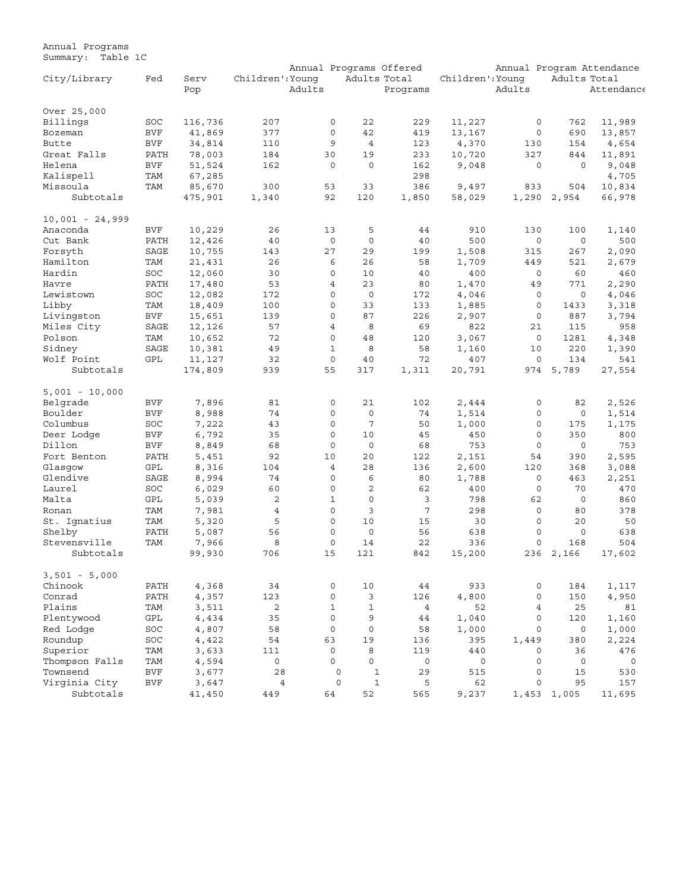Annual Programs Summary: Table 1C

|                   |            |         |                  |        |                     |                | Annual Programs Offered |                  |                     |              | Annual Program Attendance |
|-------------------|------------|---------|------------------|--------|---------------------|----------------|-------------------------|------------------|---------------------|--------------|---------------------------|
| City/Library      | Fed        | Serv    | Children': Younq |        |                     | Adults Total   |                         | Children': Younq |                     | Adults Total |                           |
|                   |            | Pop     |                  | Adults |                     |                | Programs                |                  | Adults              |              | Attendance                |
|                   |            |         |                  |        |                     |                |                         |                  |                     |              |                           |
| Over 25,000       |            |         |                  |        |                     |                |                         |                  |                     |              |                           |
| Billings          | SOC        | 116,736 | 207              |        | 0                   | 22             | 229                     | 11,227           | $\circ$             | 762          | 11,989                    |
| Bozeman           | <b>BVF</b> | 41,869  | 377              |        | $\mathbf 0$         | 42             | 419                     | 13,167           | $\circ$             | 690          | 13,857                    |
| Butte             | <b>BVF</b> | 34,814  | 110              |        | 9                   | $\overline{4}$ | 123                     | 4,370            | 130                 | 154          | 4,654                     |
| Great Falls       |            |         |                  |        | 30                  | 19             | 233                     |                  | 327                 |              |                           |
|                   | PATH       | 78,003  | 184              |        |                     |                |                         | 10,720           |                     | 844          | 11,891                    |
| Helena            | <b>BVF</b> | 51,524  | 162              |        | $\mathbf 0$         | $\mathbf 0$    | 162                     | 9,048            | $\circ$             | $\Omega$     | 9,048                     |
| Kalispell         | TAM        | 67,285  |                  |        |                     |                | 298                     |                  |                     |              | 4,705                     |
| Missoula          | TAM        | 85,670  | 300              |        | 53                  | 33             | 386                     | 9,497            | 833                 | 504          | 10,834                    |
| Subtotals         |            | 475,901 | 1,340            |        | 92                  | 120            | 1,850                   | 58,029           | 1,290               | 2,954        | 66,978                    |
| $10,001 - 24,999$ |            |         |                  |        |                     |                |                         |                  |                     |              |                           |
| Anaconda          | <b>BVF</b> | 10,229  | 26               |        | 13                  | 5              | 44                      | 910              | 130                 | 100          | 1,140                     |
| Cut Bank          | PATH       | 12,426  | 40               |        | $\mathbf 0$         | $\mathbf 0$    | 40                      | 500              | $\mathsf{O}\xspace$ | $\circ$      | 500                       |
|                   |            |         |                  |        |                     |                |                         |                  |                     |              |                           |
| Forsyth           | SAGE       | 10,755  | 143              |        | 27                  | 29             | 199                     | 1,508            | 315                 | 267          | 2,090                     |
| Hamilton          | TAM        | 21,431  | 26               |        | 6                   | 26             | 58                      | 1,709            | 449                 | 521          | 2,679                     |
| Hardin            | SOC        | 12,060  | 30               |        | $\mathbf 0$         | 10             | 40                      | 400              | 0                   | 60           | 460                       |
| Havre             | PATH       | 17,480  | 53               |        | $\overline{4}$      | 23             | 80                      | 1,470            | 49                  | 771          | 2,290                     |
| Lewistown         | SOC        | 12,082  | 172              |        | $\mathbf 0$         | $\mathbf 0$    | 172                     | 4,046            | 0                   | $\mathbf 0$  | 4,046                     |
| Libby             | TAM        | 18,409  | 100              |        | 0                   | 33             | 133                     | 1,885            | $\circ$             | 1433         | 3,318                     |
| Livingston        | <b>BVF</b> | 15,651  | 139              |        | $\Omega$            | 87             | 226                     | 2,907            | $\circ$             | 887          | 3,794                     |
| Miles City        | SAGE       | 12,126  | 57               |        | $\overline{4}$      | 8              | 69                      | 822              | 21                  | 115          | 958                       |
| Polson            | TAM        | 10,652  | 72               |        | $\mathbf 0$         | 48             | 120                     | 3,067            | $\mathbf 0$         | 1281         | 4,348                     |
|                   |            |         |                  |        | $1\,$               |                |                         |                  |                     |              |                           |
| Sidney            | SAGE       | 10,381  | 49               |        |                     | 8              | 58                      | 1,160            | 10                  | 220          | 1,390                     |
| Wolf Point        | GPL        | 11,127  | 32               |        | $\mathbf 0$         | 40             | 72                      | 407              | $\circ$             | 134          | 541                       |
| Subtotals         |            | 174,809 | 939              |        | 55                  | 317            | 1,311                   | 20,791           | 974                 | 5,789        | 27,554                    |
| $5,001 - 10,000$  |            |         |                  |        |                     |                |                         |                  |                     |              |                           |
| Belgrade          | BVF        | 7,896   | 81               |        | 0                   | 21             | 102                     | 2,444            | 0                   | 82           | 2,526                     |
| Boulder           | <b>BVF</b> | 8,988   | 74               |        | $\mathbf 0$         | $\mathbf 0$    | 74                      | 1,514            | $\circ$             | $\mathbf 0$  | 1,514                     |
| Columbus          | SOC        | 7,222   | 43               |        | $\Omega$            | 7              | 50                      | 1,000            | $\circ$             | 175          | 1,175                     |
|                   |            |         |                  |        |                     |                |                         |                  |                     |              |                           |
| Deer Lodge        | <b>BVF</b> | 6,792   | 35               |        | $\mathbf 0$         | 10             | 45                      | 450              | $\mathsf{O}\xspace$ | 350          | 800                       |
| Dillon            | <b>BVF</b> | 8,849   | 68               |        | $\mathbf 0$         | $\circ$        | 68                      | 753              | $\circ$             | $\mathbf 0$  | 753                       |
| Fort Benton       | PATH       | 5,451   | 92               |        | 10                  | 20             | 122                     | 2,151            | 54                  | 390          | 2,595                     |
| Glasqow           | GPL        | 8,316   | 104              |        | $\overline{4}$      | 28             | 136                     | 2,600            | 120                 | 368          | 3,088                     |
| Glendive          | SAGE       | 8,994   | 74               |        | $\Omega$            | 6              | 80                      | 1,788            | $\circ$             | 463          | 2,251                     |
| Laurel            | SOC        | 6,029   | 60               |        | $\mathbf 0$         | $\overline{c}$ | 62                      | 400              | 0                   | 70           | 470                       |
| Malta             | GPL        | 5,039   | 2                |        | $\mathbf{1}$        | $\mathbf 0$    | 3                       | 798              | 62                  | $\mathbf 0$  | 860                       |
| Ronan             | TAM        | 7,981   | $\overline{4}$   |        | $\mathbf 0$         | 3              | $\overline{7}$          | 298              | $\mathsf{O}\xspace$ | 80           | 378                       |
| St. Ignatius      | TAM        | 5,320   | 5                |        | $\mathbf 0$         | 10             | 15                      | 30               | $\circ$             | 20           | 50                        |
| Shelby            | PATH       |         | 56               |        | 0                   | $\circ$        | 56                      | 638              | $\Omega$            | $\mathbf 0$  | 638                       |
|                   |            | 5,087   |                  |        |                     |                |                         |                  |                     |              |                           |
| Stevensville      | TAM        | 7,966   | 8                |        | $\mathbf 0$         | 14             | 22                      | 336              | $\mathsf{O}\xspace$ | 168          | 504                       |
| Subtotals         |            | 99,930  | 706              |        | 15                  | 121            | 842                     | 15,200           | 236                 | 2,166        | 17,602                    |
| $3,501 - 5,000$   |            |         |                  |        |                     |                |                         |                  |                     |              |                           |
| Chinook           | PATH       | 4,368   | 34               |        | 0                   | 10             | 44                      | 933              | $\mathsf{O}\xspace$ | 184          | 1,117                     |
| Conrad            | PATH       | 4,357   | 123              |        | $\mathsf{O}\xspace$ | 3              | 126                     | 4,800            | $\circ$             | 150          | 4,950                     |
| Plains            | TAM        | 3,511   | 2                |        | $\mathbf{1}$        | $\mathbf{1}$   | $\overline{4}$          | 52               | 4                   | 25           | 81                        |
|                   |            |         |                  |        | $\mathbf 0$         |                |                         |                  |                     |              |                           |
| Plentywood        | GPL        | 4,434   | 35               |        |                     | 9              | 44                      | 1,040            | $\circ$             | 120          | 1,160                     |
| Red Lodge         | SOC        | 4,807   | 58               |        | $\mathbf 0$         | $\mathbf 0$    | 58                      | 1,000            | $\circ$             | 0            | 1,000                     |
| Roundup           | SOC        | 4,422   | 54               |        | 63                  | 19             | 136                     | 395              | 1,449               | 380          | 2,224                     |
| Superior          | TAM        | 3,633   | 111              |        | $\mathbf 0$         | 8              | 119                     | 440              | 0                   | 36           | 476                       |
| Thompson Falls    | TAM        | 4,594   | 0                |        | $\mathbf 0$         | $\mathbf{0}$   | $\circ$                 | $\mathsf 0$      | $\mathbf 0$         | $\circ$      | $\mathsf{O}$              |
| Townsend          | <b>BVF</b> | 3,677   | 28               |        | 0                   | $\mathbf 1$    | 29                      | 515              | $\circ$             | 15           | 530                       |
| Virginia City     | BVF        | 3,647   | $\overline{4}$   |        | $\mathsf{O}\xspace$ | $1\,$          | 5                       | 62               | $\circ$             | 95           | 157                       |
| Subtotals         |            | 41,450  | 449              |        | 64                  | 52             | 565                     | 9,237            | 1,453               | 1,005        | 11,695                    |
|                   |            |         |                  |        |                     |                |                         |                  |                     |              |                           |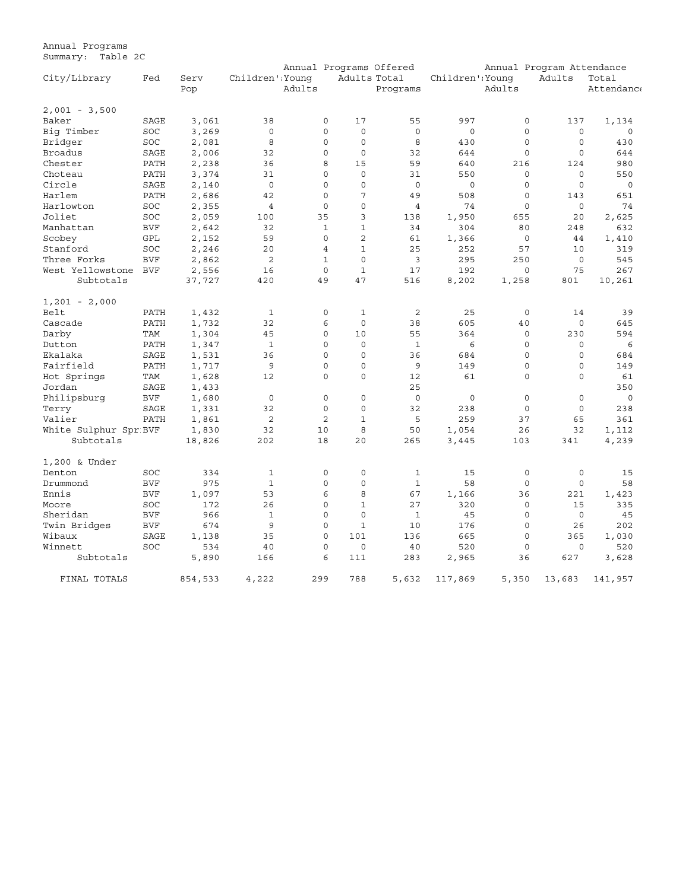Annual Programs Summary: Table 2C

|                       |            |         |                     |        |                |                | Annual Programs Offered |                     |                     | Annual Program Attendance |            |
|-----------------------|------------|---------|---------------------|--------|----------------|----------------|-------------------------|---------------------|---------------------|---------------------------|------------|
| City/Library          | Fed        | Serv    | Children' Younq     |        |                | Adults Total   |                         | Children' Young     |                     | Adults                    | Total      |
|                       |            | Pop     |                     | Adults |                |                | Programs                |                     | Adults              |                           | Attendance |
| $2,001 - 3,500$       |            |         |                     |        |                |                |                         |                     |                     |                           |            |
| Baker                 | SAGE       | 3,061   | 38                  |        | $\mathbf 0$    | 17             | 55                      | 997                 | $\mathsf{O}\xspace$ | 137                       | 1,134      |
| Big Timber            | SOC        | 3,269   | $\mathsf{O}\xspace$ |        | $\mathbf 0$    | $\mathsf{O}$   | $\mathbf 0$             | $\circ$             | $\mathbf 0$         | $\circ$                   | $\circ$    |
| Bridger               | SOC        | 2,081   | 8                   |        | $\mathbf 0$    | $\circ$        | 8                       | 430                 | $\circ$             | $\circ$                   | 430        |
| <b>Broadus</b>        | SAGE       | 2,006   | 32                  |        | $\mathbf 0$    | $\circ$        | 32                      | 644                 | $\mathbf 0$         | $\circ$                   | 644        |
| Chester               | PATH       | 2,238   | 36                  |        | 8              | 15             | 59                      | 640                 | 216                 | 124                       | 980        |
| Choteau               | PATH       | 3,374   | 31                  |        | $\mathbf 0$    | 0              | 31                      | 550                 | $\mathsf{O}\xspace$ | $\circ$                   | 550        |
| Circle                | SAGE       | 2,140   | $\mathbf 0$         |        | $\mathbf 0$    | 0              | $\mathbf 0$             | $\mathsf{O}\xspace$ | $\mathbf 0$         | $\mathbf 0$               | $\circ$    |
| Harlem                | PATH       | 2,686   | 42                  |        | $\mathbf 0$    | 7              | 49                      | 508                 | $\mathbf 0$         | 143                       | 651        |
| Harlowton             | SOC        | 2,355   | $\overline{4}$      |        | $\mathbf 0$    | $\circ$        | $\overline{4}$          | 74                  | $\circ$             | $\circ$                   | 74         |
| Joliet                | SOC        | 2,059   | 100                 |        | 35             | 3              | 138                     | 1,950               | 655                 | 20                        | 2,625      |
| Manhattan             | <b>BVF</b> | 2,642   | 32                  |        | $\mathbf{1}$   | $\mathbf 1$    | 34                      | 304                 | 80                  | 248                       | 632        |
| Scobey                | GPL        | 2,152   | 59                  |        | $\Omega$       | $\overline{a}$ | 61                      | 1,366               | $\circ$             | 44                        | 1,410      |
| Stanford              | <b>SOC</b> | 2,246   | 20                  |        | 4              | $\mathbf 1$    | 25                      | 252                 | 57                  | 10                        | 319        |
| Three Forks           | <b>BVF</b> | 2,862   | $\overline{c}$      |        | $\mathbf{1}$   | $\Omega$       | 3                       | 295                 | 250                 | 0                         | 545        |
| West Yellowstone      | BVF        | 2,556   | 16                  |        | $\Omega$       | $\mathbf{1}$   | 17                      | 192                 | 0                   | 75                        | 267        |
| Subtotals             |            | 37,727  | 420                 |        | 49             | 47             | 516                     | 8,202               | 1,258               | 801                       | 10,261     |
|                       |            |         |                     |        |                |                |                         |                     |                     |                           |            |
| $1,201 - 2,000$       |            |         |                     |        |                |                |                         |                     |                     |                           |            |
| Belt                  | PATH       | 1,432   | 1                   |        | 0              | 1              | 2                       | 25                  | 0                   | 14                        | 39         |
| Cascade               | PATH       | 1,732   | 32                  |        | 6              | $\mathsf{O}$   | 38                      | 605                 | 40                  | 0                         | 645        |
| Darby                 | <b>TAM</b> | 1,304   | 45                  |        | $\mathbf 0$    | 10             | 55                      | 364                 | $\mathbf 0$         | 230                       | 594        |
| Dutton                | PATH       | 1,347   | $\mathbf 1$         |        | $\Omega$       | $\mathbf 0$    | $\mathbf{1}$            | 6                   | $\mathbf 0$         | $\circ$                   | 6          |
| Ekalaka               | SAGE       | 1,531   | 36                  |        | $\Omega$       | $\mathbf 0$    | 36                      | 684                 | $\mathbf 0$         | $\mathbf 0$               | 684        |
| Fairfield             | PATH       | 1,717   | 9                   |        | $\mathbf 0$    | $\circ$        | 9                       | 149                 | $\mathsf{O}\xspace$ | $\circ$                   | 149        |
| Hot Springs           | TAM        | 1,628   | 12                  |        | $\mathbf 0$    | $\circ$        | 12                      | 61                  | $\mathbf 0$         | $\circ$                   | 61         |
| Jordan                | SAGE       | 1,433   |                     |        |                |                | 25                      |                     |                     |                           | 350        |
| Philipsburg           | <b>BVF</b> | 1,680   | $\circ$             |        | $\circ$        | $\circ$        | $\mathbf 0$             | $\circ$             | $\mathsf{O}\xspace$ | $\circ$                   | $\circ$    |
| Terry                 | SAGE       | 1,331   | 32                  |        | $\mathbf 0$    | $\circ$        | 32                      | 238                 | $\mathsf{O}\xspace$ | $\mathbf 0$               | 238        |
| Valier                | PATH       | 1,861   | $\overline{2}$      |        | $\overline{2}$ | $\mathbf 1$    | 5                       | 259                 | 37                  | 65                        | 361        |
| White Sulphur Spr BVF |            | 1,830   | 32                  |        | 10             | 8              | 50                      | 1,054               | 26                  | 32                        | 1,112      |
| Subtotals             |            | 18,826  | 202                 |        | 18             | 20             | 265                     | 3,445               | 103                 | 341                       | 4,239      |
| 1,200 & Under         |            |         |                     |        |                |                |                         |                     |                     |                           |            |
| Denton                | <b>SOC</b> | 334     | $\mathbf{1}$        |        | $\mathbf 0$    | $\Omega$       | $\mathbf{1}$            | 15                  | $\mathbf 0$         | 0                         | 15         |
| Drummond              | <b>BVF</b> | 975     | $\mathbf{1}$        |        | $\Omega$       | $\Omega$       | $\mathbf{1}$            | 58                  | $\circ$             | $\circ$                   | 58         |
| Ennis                 | <b>BVF</b> | 1,097   | 53                  |        | 6              | 8              | 67                      | 1,166               | 36                  | 221                       | 1,423      |
| Moore                 | SOC        | 172     | 26                  |        | 0              | $\mathbf{1}$   | 27                      | 320                 | $\circ$             | 15                        | 335        |
| Sheridan              | <b>BVF</b> | 966     | $\mathbf{1}$        |        | 0              | $\Omega$       | $\mathbf{1}$            | 45                  | $\mathbf 0$         | $\Omega$                  | 45         |
| Twin Bridges          | <b>BVF</b> | 674     | 9                   |        | 0              | $\mathbf{1}$   | 10                      | 176                 | $\circ$             | 26                        | 202        |
| Wibaux                | SAGE       | 1,138   | 35                  |        | 0              | 101            | 136                     | 665                 | $\circ$             | 365                       | 1,030      |
| Winnett               | SOC        | 534     | 40                  |        | 0              | 0              | 40                      | 520                 | $\circ$             | $\mathbf 0$               | 520        |
| Subtotals             |            | 5,890   | 166                 |        | 6              | 111            | 283                     | 2,965               | 36                  | 627                       | 3,628      |
| FINAL TOTALS          |            | 854,533 | 4,222               |        | 299            | 788            | 5,632                   | 117,869             | 5,350               | 13,683                    | 141,957    |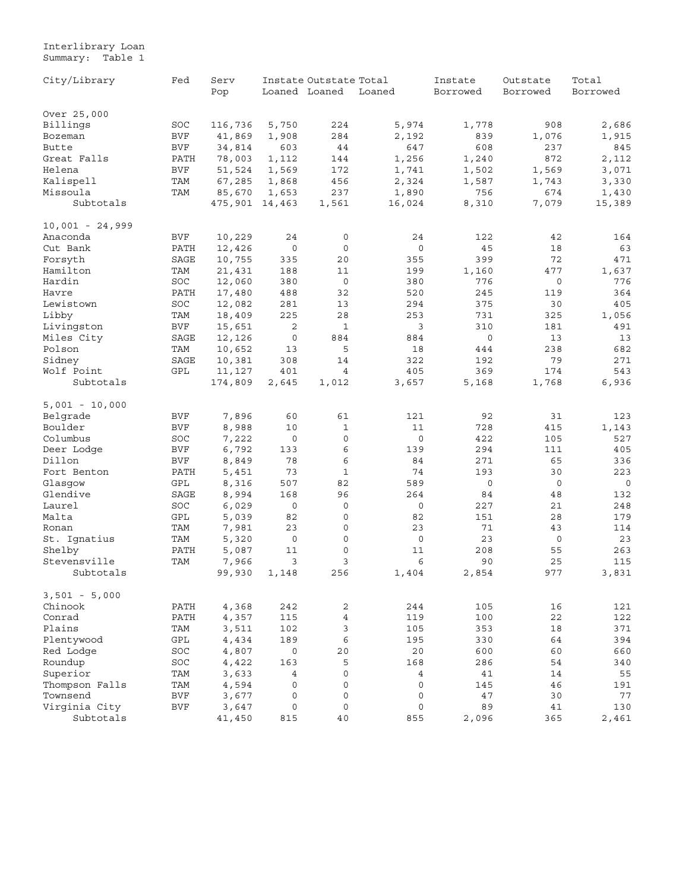#### <span id="page-25-0"></span>Interlibrary Loan Summary: Table 1

| City/Library      | Fed        | Serv    |                     | Instate Outstate Total |                | Instate  | Outstate    | Total    |  |
|-------------------|------------|---------|---------------------|------------------------|----------------|----------|-------------|----------|--|
|                   |            | Pop     |                     | Loaned Loaned          | Loaned         | Borrowed | Borrowed    | Borrowed |  |
| Over 25,000       |            |         |                     |                        |                |          |             |          |  |
| Billings          | SOC        | 116,736 | 5,750               | 224                    | 5,974          | 1,778    | 908         | 2,686    |  |
| Bozeman           | <b>BVF</b> | 41,869  | 1,908               | 284                    | 2,192          | 839      | 1,076       | 1,915    |  |
| Butte             | BVF        | 34,814  | 603                 | 44                     | 647            | 608      | 237         | 845      |  |
| Great Falls       | PATH       | 78,003  | 1,112               | 144                    | 1,256          | 1,240    | 872         | 2,112    |  |
| Helena            | <b>BVF</b> | 51,524  | 1,569               | 172                    | 1,741          | 1,502    | 1,569       | 3,071    |  |
| Kalispell         | TAM        | 67,285  | 1,868               | 456                    | 2,324          | 1,587    | 1,743       | 3,330    |  |
| Missoula          | TAM        | 85,670  | 1,653               | 237                    | 1,890          | 756      | 674         | 1,430    |  |
| Subtotals         |            | 475,901 | 14,463              | 1,561                  | 16,024         | 8,310    | 7,079       | 15,389   |  |
| $10,001 - 24,999$ |            |         |                     |                        |                |          |             |          |  |
| Anaconda          | <b>BVF</b> | 10,229  | 24                  | $\mathbf 0$            | 24             | 122      | 42          | 164      |  |
| Cut Bank          | PATH       | 12,426  | $\mathsf{O}\xspace$ | $\mathbf 0$            | 0              | 45       | 18          | 63       |  |
| Forsyth           | SAGE       | 10,755  | 335                 | 20                     | 355            | 399      | 72          | 471      |  |
| Hamilton          | TAM        | 21,431  | 188                 | 11                     | 199            | 1,160    | 477         | 1,637    |  |
| Hardin            | SOC        | 12,060  | 380                 | $\mathbf 0$            | 380            | 776      | $\mathbf 0$ | 776      |  |
| Havre             | PATH       | 17,480  | 488                 | 32                     | 520            | 245      | 119         | 364      |  |
| Lewistown         | SOC        | 12,082  | 281                 | 13                     | 294            | 375      | 30          | 405      |  |
| Libby             | TAM        | 18,409  | 225                 | 28                     | 253            | 731      | 325         | 1,056    |  |
| Livingston        | <b>BVF</b> | 15,651  | 2                   | 1                      | 3              | 310      | 181         | 491      |  |
| Miles City        | SAGE       | 12,126  | 0                   | 884                    | 884            | 0        | 13          | 13       |  |
| Polson            | TAM        | 10,652  | 13                  | 5                      | 18             | 444      | 238         | 682      |  |
| Sidney            | SAGE       | 10,381  | 308                 | 14                     | 322            | 192      | 79          | 271      |  |
| Wolf Point        | GPL        | 11,127  | 401                 | 4                      | 405            | 369      | 174         | 543      |  |
| Subtotals         |            | 174,809 | 2,645               | 1,012                  | 3,657          | 5,168    | 1,768       | 6,936    |  |
| $5,001 - 10,000$  |            |         |                     |                        |                |          |             |          |  |
| Belgrade          | <b>BVF</b> | 7,896   | 60                  | 61                     | 121            | 92       | 31          | 123      |  |
| Boulder           | <b>BVF</b> | 8,988   | 10                  | 1                      | 11             | 728      | 415         | 1,143    |  |
| Columbus          | SOC        | 7,222   | 0                   | $\mathsf{O}\xspace$    | 0              | 422      | 105         | 527      |  |
| Deer Lodge        | <b>BVF</b> | 6,792   | 133                 | 6                      | 139            | 294      | 111         | 405      |  |
| Dillon            | <b>BVF</b> | 8,849   | 78                  | 6                      | 84             | 271      | 65          | 336      |  |
| Fort Benton       | PATH       | 5,451   | 73                  | $\mathbf 1$            | 74             | 193      | 30          | 223      |  |
| Glasqow           | GPL        | 8,316   | 507                 | 82                     | 589            | 0        | $\circ$     | 0        |  |
| Glendive          | SAGE       | 8,994   | 168                 | 96                     | 264            | 84       | 48          | 132      |  |
| Laurel            | SOC        | 6,029   | 0                   | $\mathbf 0$            | 0              | 227      | 21          | 248      |  |
| Malta             | GPL        | 5,039   | 82                  | 0                      | 82             | 151      | 28          | 179      |  |
| Ronan             | TAM        | 7,981   | 23                  | 0                      | 23             | 71       | 43          | 114      |  |
| St. Ignatius      | TAM        | 5,320   | $\mathsf O$         | 0                      | $\mathsf O$    | 23       | $\circ$     | 23       |  |
| Shelby            | PATH       | 5,087   | 11                  | $\mathbf 0$            | 11             | 208      | 55          | 263      |  |
| Stevensville      | TAM        | 7,966   | 3                   | 3                      | 6              | 90       | 25          | 115      |  |
| Subtotals         |            | 99,930  | 1,148               | 256                    | 1,404          | 2,854    | 977         | 3,831    |  |
| $3,501 - 5,000$   |            |         |                     |                        |                |          |             |          |  |
| Chinook           | PATH       | 4,368   | 242                 | $\mathbf{2}$           | 244            | 105      | 16          | 121      |  |
| Conrad            | PATH       | 4,357   | 115                 | $\overline{4}$         | 119            | 100      | 22          | 122      |  |
| Plains            | TAM        | 3,511   | 102                 | 3                      | 105            | 353      | 18          | 371      |  |
| Plentywood        | GPL        | 4,434   | 189                 | 6                      | 195            | 330      | 64          | 394      |  |
| Red Lodge         | SOC        | 4,807   | $\circ$             | 20                     | $20$           | 600      | 60          | 660      |  |
| Roundup           | SOC        | 4,422   | 163                 | 5                      | 168            | 286      | 54          | 340      |  |
| Superior          | TAM        | 3,633   | $\overline{4}$      | 0                      | $\overline{4}$ | 41       | 14          | 55       |  |
| Thompson Falls    | TAM        | 4,594   | 0                   | $\mathsf{O}\xspace$    | $\circ$        | 145      | 46          | 191      |  |
| Townsend          | <b>BVF</b> | 3,677   | 0                   | 0                      | $\mathsf{O}$   | 47       | 30          | 77       |  |
| Virginia City     | <b>BVF</b> | 3,647   | $\mathsf{O}\xspace$ | 0                      | 0              | 89       | 41          | 130      |  |
| Subtotals         |            | 41,450  | 815                 | $40$                   | 855            | 2,096    | 365         | 2,461    |  |
|                   |            |         |                     |                        |                |          |             |          |  |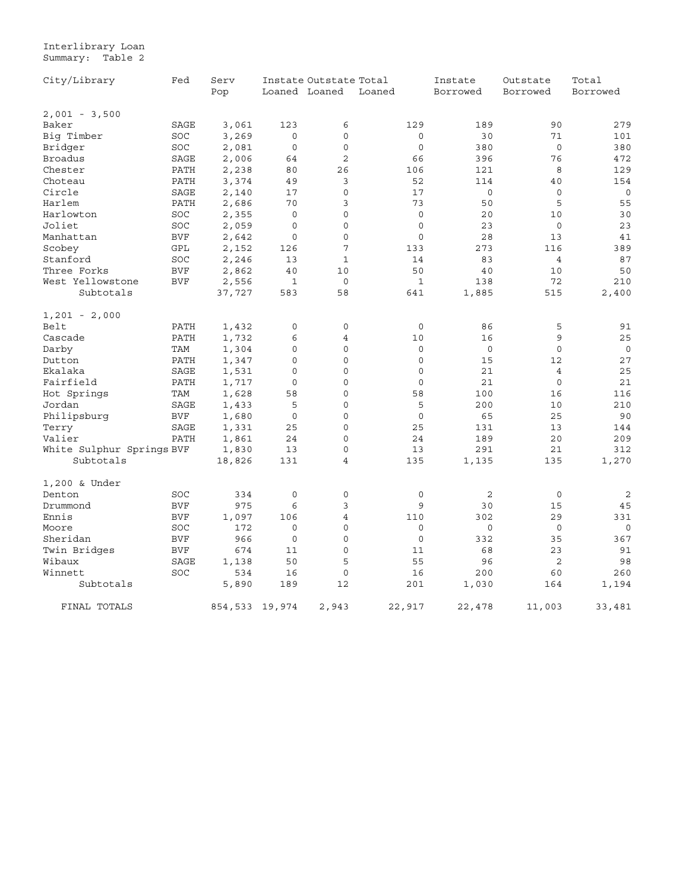#### Interlibrary Loan Summary: Table 2

| City/Library              | Fed        | Serv           | Instate Outstate Total |                |              | Instate        | Outstate       | Total       |  |
|---------------------------|------------|----------------|------------------------|----------------|--------------|----------------|----------------|-------------|--|
|                           |            | Pop            |                        | Loaned Loaned  | Loaned       | Borrowed       | Borrowed       | Borrowed    |  |
| $2,001 - 3,500$           |            |                |                        |                |              |                |                |             |  |
| Baker                     | SAGE       | 3,061          | 123                    | 6              | 129          | 189            | 90             | 279         |  |
| Big Timber                | SOC        | 3,269          | $\Omega$               | $\Omega$       | $\Omega$     | 30             | 71             | 101         |  |
| Bridger                   | SOC        | 2,081          | $\mathbf 0$            | $\mathbf 0$    | $\circ$      | 380            | $\mathbf 0$    | 380         |  |
| Broadus                   | SAGE       | 2,006          | 64                     | $\overline{2}$ | 66           | 396            | 76             | 472         |  |
| Chester                   | PATH       | 2,238          | 80                     | 26             | 106          | 121            | 8              | 129         |  |
| Choteau                   | PATH       | 3,374          | 49                     | 3              | 52           | 114            | 40             | 154         |  |
| Circle                    | SAGE       | 2,140          | 17                     | $\mathbf 0$    | 17           | $\mathbf 0$    | $\circ$        | $\circ$     |  |
| Harlem                    | PATH       | 2,686          | 70                     | 3              | 73           | 50             | 5              | 55          |  |
| Harlowton                 | SOC        | 2,355          | $\mathbf 0$            | $\mathbf 0$    | $\circ$      | 20             | 10             | 30          |  |
| Joliet                    | SOC        | 2,059          | $\mathbf 0$            | $\mathbf 0$    | $\mathbf 0$  | 23             | $\mathbf 0$    | 23          |  |
| Manhattan                 | <b>BVF</b> | 2,642          | $\mathbf 0$            | 0              | $\mathbf 0$  | 28             | 13             | 41          |  |
| Scobey                    | GPL        | 2,152          | 126                    | 7              | 133          | 273            | 116            | 389         |  |
| Stanford                  | SOC        | 2,246          | 13                     | $\mathbf{1}$   | 14           | 83             | $\overline{4}$ | 87          |  |
| Three Forks               | <b>BVF</b> | 2,862          | 40                     | 10             | 50           | 40             | 10             | 50          |  |
| West Yellowstone          | <b>BVF</b> | 2,556          | $\mathbf 1$            | $\mathbf 0$    | $\mathbf{1}$ | 138            | 72             | 210         |  |
| Subtotals                 |            | 37,727         | 583                    | 58             | 641          | 1,885          | 515            | 2,400       |  |
| $1,201 - 2,000$           |            |                |                        |                |              |                |                |             |  |
| Belt                      | PATH       | 1,432          | 0                      | 0              | $\mathbf 0$  | 86             | 5              | 91          |  |
| Cascade                   | PATH       | 1,732          | 6                      | 4              | 10           | 16             | 9              | 25          |  |
| Darby                     | TAM        | 1,304          | $\mathbf 0$            | $\mathbf 0$    | $\mathbf 0$  | $\circ$        | $\circ$        | $\mathbf 0$ |  |
| Dutton                    | PATH       | 1,347          | $\mathbf 0$            | $\mathbf 0$    | $\mathbf 0$  | 15             | 12             | 27          |  |
| Ekalaka                   | SAGE       | 1,531          | $\mathbf 0$            | $\mathbf 0$    | $\mathbf 0$  | 21             | $\overline{4}$ | 25          |  |
| Fairfield                 | PATH       | 1,717          | $\mathsf{O}\xspace$    | $\mathbf 0$    | $\mathbf 0$  | 21             | $\circ$        | 21          |  |
| Hot Springs               | TAM        | 1,628          | 58                     | $\mathbf 0$    | 58           | 100            | 16             | 116         |  |
| Jordan                    | SAGE       | 1,433          | 5                      | $\mathbf 0$    | 5            | 200            | 10             | 210         |  |
| Philipsburg               | <b>BVF</b> | 1,680          | 0                      | 0              | $\circ$      | 65             | 25             | 90          |  |
| Terry                     | SAGE       | 1,331          | 25                     | $\mathbf 0$    | 25           | 131            | 13             | 144         |  |
| Valier                    | PATH       | 1,861          | 24                     | $\mathbf 0$    | 24           | 189            | 20             | 209         |  |
| White Sulphur Springs BVF |            | 1,830          | 13                     | $\mathbf 0$    | 13           | 291            | 21             | 312         |  |
| Subtotals                 |            | 18,826         | 131                    | $\overline{4}$ | 135          | 1,135          | 135            | 1,270       |  |
| 1,200 & Under             |            |                |                        |                |              |                |                |             |  |
| Denton                    | SOC        | 334            | $\circ$                | $\mathbf 0$    | $\circ$      | $\overline{c}$ | $\circ$        | 2           |  |
| Drummond                  | <b>BVF</b> | 975            | 6                      | 3              | 9            | 30             | 15             | 45          |  |
| Ennis                     | <b>BVF</b> | 1,097          | 106                    | 4              | 110          | 302            | 29             | 331         |  |
| Moore                     | SOC        | 172            | $\mathbf 0$            | $\mathbf 0$    | $\mathbf 0$  | $\circ$        | $\circ$        | $\circ$     |  |
| Sheridan                  | <b>BVF</b> | 966            | $\mathbf 0$            | $\mathbf 0$    | $\circ$      | 332            | 35             | 367         |  |
| Twin Bridges              | <b>BVF</b> | 674            | 11                     | $\mathbf 0$    | 11           | 68             | 23             | 91          |  |
| Wibaux                    | SAGE       | 1,138          | 50                     | 5              | 55           | 96             | 2              | 98          |  |
| Winnett                   | SOC        | 534            | 16                     | $\mathbf 0$    | 16           | 200            | 60             | 260         |  |
| Subtotals                 |            | 5,890          | 189                    | 12             | 201          | 1,030          | 164            | 1,194       |  |
| FINAL TOTALS              |            | 854,533 19,974 |                        | 2,943          | 22,917       | 22,478         | 11,003         | 33,481      |  |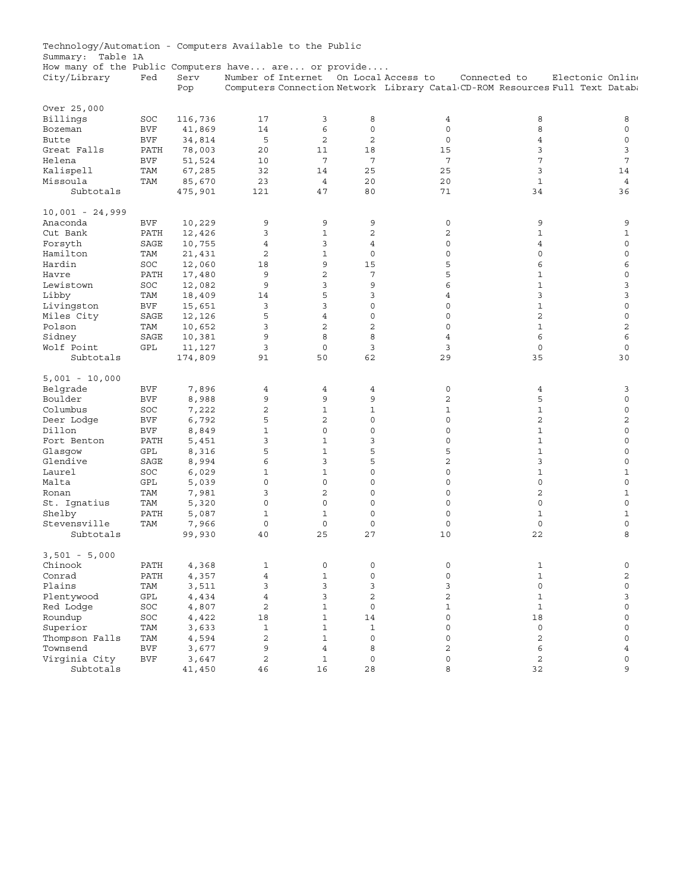<span id="page-27-0"></span>

| Technology/Automation - Computers Available to the Public |                      |                 |                     |                |                     |                     |                                                                                              |                  |
|-----------------------------------------------------------|----------------------|-----------------|---------------------|----------------|---------------------|---------------------|----------------------------------------------------------------------------------------------|------------------|
| Summary:<br>Table 1A                                      |                      |                 |                     |                |                     |                     |                                                                                              |                  |
| How many of the Public Computers have are or provide      |                      |                 |                     |                |                     |                     |                                                                                              |                  |
| City/Library                                              | Fed                  | Serv<br>Pop     | Number of Internet  |                |                     | On Local Access to  | Connected to<br>Computers Connection Network Library Catal CD-ROM Resources Full Text Databa | Electonic Online |
|                                                           |                      |                 |                     |                |                     |                     |                                                                                              |                  |
| Over 25,000                                               |                      |                 |                     |                |                     |                     |                                                                                              |                  |
| Billings                                                  | SOC                  | 116,736         | 17                  | 3              | 8                   | 4                   | 8                                                                                            | 8                |
| Bozeman                                                   | <b>BVF</b>           | 41,869          | 14                  | 6              | $\mathbf 0$         | $\mathbf 0$         | 8                                                                                            | $\mathbf 0$      |
| Butte                                                     | <b>BVF</b>           | 34,814          | 5                   | $\overline{c}$ | $\overline{c}$      | $\mathbf 0$         | $\overline{4}$                                                                               | $\mathbf 0$      |
| Great Falls                                               | PATH                 | 78,003          | 20                  | 11             | 18                  | 15                  | 3                                                                                            | 3                |
| Helena                                                    | <b>BVF</b>           | 51,524          | 10                  | 7              | 7                   | 7                   | 7                                                                                            | 7                |
| Kalispell                                                 | TAM                  | 67,285          | 32                  | 14             | 25                  | 25                  | 3                                                                                            | 14               |
| Missoula                                                  | TAM                  | 85,670          | 23                  | 4              | 20                  | 20                  | $\mathbf{1}$                                                                                 | 4                |
| Subtotals                                                 |                      | 475,901         | 121                 | 47             | 80                  | 71                  | 34                                                                                           | 36               |
| $10,001 - 24,999$                                         |                      |                 |                     |                |                     |                     |                                                                                              |                  |
| Anaconda                                                  | <b>BVF</b>           | 10,229          | 9                   | 9              | 9                   | 0                   | 9                                                                                            | 9                |
| Cut Bank                                                  | PATH                 |                 | 3                   | $\mathbf{1}$   | $\mathbf{2}$        | 2                   | 1                                                                                            | 1                |
|                                                           | SAGE                 | 12,426          | $\overline{4}$      | 3              | $\overline{4}$      | $\mathsf 0$         | $\overline{4}$                                                                               | $\mathbf 0$      |
| Forsyth                                                   |                      | 10,755          | $\mathbf{2}$        | $\mathbf{1}$   | $\mathbf 0$         | 0                   | $\circ$                                                                                      | $\mathbf 0$      |
| Hamilton                                                  | TAM                  | 21,431          |                     |                |                     |                     |                                                                                              |                  |
| Hardin                                                    | SOC                  | 12,060          | 18                  | 9              | 15                  | 5                   | 6                                                                                            | 6                |
| Havre                                                     | PATH                 | 17,480          | 9                   | $\overline{c}$ | 7                   | 5                   | $\mathbf{1}$                                                                                 | $\mathbf 0$      |
| Lewistown                                                 | SOC                  | 12,082          | 9                   | 3              | 9                   | 6                   | $\mathbf{1}$                                                                                 | 3                |
| Libby                                                     | TAM                  | 18,409          | 14                  | 5              | 3                   | $\overline{4}$      | 3                                                                                            | 3                |
| Livingston                                                | <b>BVF</b>           | 15,651          | 3                   | 3              | 0                   | 0                   | $\mathbf{1}$                                                                                 | 0                |
| Miles City                                                | SAGE                 | 12,126          | 5                   | $\overline{4}$ | $\circ$             | $\mathbf 0$         | $\overline{c}$                                                                               | $\mathbf 0$      |
| Polson                                                    | TAM                  | 10,652          | 3                   | $\overline{c}$ | $\overline{c}$      | $\mathbf 0$         | $\mathbf{1}$                                                                                 | $\overline{c}$   |
| Sidney                                                    | <b>SAGE</b>          | 10,381          | 9                   | 8              | 8                   | 4                   | 6                                                                                            | 6                |
| Wolf Point                                                | GPL                  | 11,127          | 3                   | $\mathbf 0$    | 3                   | 3                   | $\circ$                                                                                      | 0                |
| Subtotals                                                 |                      | 174,809         | 91                  | 50             | 62                  | 29                  | 35                                                                                           | 30               |
| $5,001 - 10,000$                                          |                      |                 |                     |                |                     |                     |                                                                                              |                  |
| Belgrade                                                  | <b>BVF</b>           | 7,896           | 4                   | 4              | 4                   | 0                   | 4                                                                                            | 3                |
| Boulder                                                   | <b>BVF</b>           | 8,988           | 9                   | 9              | 9                   | 2                   | 5                                                                                            | $\mathbf 0$      |
| Columbus                                                  | SOC                  | 7,222           | $\overline{c}$      | $\mathbf{1}$   | $\mathbf{1}$        | 1                   | $1\,$                                                                                        | $\mathbf 0$      |
| Deer Lodge                                                | <b>BVF</b>           | 6,792           | 5                   | 2              | 0                   | 0                   | $\overline{c}$                                                                               | 2                |
| Dillon                                                    | <b>BVF</b>           | 8,849           | 1                   | 0              | 0                   | 0                   | 1                                                                                            | 0                |
| Fort Benton                                               | PATH                 | 5,451           | 3                   | $\mathbf{1}$   | 3                   | 0                   | $\mathbf{1}$                                                                                 | $\mathbf 0$      |
| Glasqow                                                   | GPL                  | 8,316           | 5                   | $\mathbf{1}$   | 5                   | 5                   | $\mathbf{1}$                                                                                 | $\mathbf 0$      |
| Glendive                                                  | SAGE                 |                 | 6                   | 3              | 5                   | $\overline{c}$      | 3                                                                                            | $\mathbf 0$      |
|                                                           |                      | 8,994           | $\mathbf{1}$        | $\mathbf{1}$   | $\circ$             | $\mathsf 0$         | $\mathbf{1}$                                                                                 |                  |
| Laurel<br>Malta                                           | SOC                  | 6,029           | $\mathsf{O}\xspace$ | $\mathsf 0$    | 0                   | 0                   | $\mathsf{O}\xspace$                                                                          | 1<br>$\mathbf 0$ |
|                                                           | GPL                  | 5,039           | 3                   | 2              | $\mathbf 0$         |                     | $\overline{2}$                                                                               |                  |
| Ronan                                                     | TAM                  | 7,981           |                     |                |                     | 0                   |                                                                                              | $\mathbf{1}$     |
| St. Ignatius                                              | TAM                  | 5,320           | $\circ$             | $\mathbf 0$    | $\mathbf 0$         | $\mathbf 0$         | $\mathbf{0}$                                                                                 | $\mathbf 0$      |
| Shelby                                                    | PATH                 | 5,087           | $1\,$               | $\mathbf{1}$   | $\mathbf 0$         | 0                   | $\mathbf 1$                                                                                  | 1                |
| Stevensville<br>Subtotals                                 | TAM                  | 7,966<br>99,930 | $\mathbf 0$<br>40   | 0<br>25        | $\mathbf 0$<br>27   | 0<br>10             | $\mathsf{O}\xspace$<br>22                                                                    | $\mathbf 0$<br>8 |
|                                                           |                      |                 |                     |                |                     |                     |                                                                                              |                  |
| $3,501 - 5,000$                                           |                      |                 |                     |                |                     |                     |                                                                                              |                  |
| Chinook                                                   | PATH                 | 4,368           | 1                   | 0              | 0                   | 0                   | $\mathbf{1}$                                                                                 | 0                |
| Conrad                                                    | PATH                 | 4,357           | $\overline{4}$      | $\mathbf{1}$   | $\mathsf{O}\xspace$ | $\mathsf{O}\xspace$ | $\mathbf{1}$                                                                                 | $\overline{c}$   |
| Plains                                                    | TAM                  | 3,511           | 3                   | 3              | 3                   | 3                   | $\mathsf{O}\xspace$                                                                          | 0                |
| Plentywood                                                | $\operatorname{GPL}$ | 4,434           | $\overline{4}$      | 3              | $\overline{c}$      | 2                   | $\mathbf{1}$                                                                                 | 3                |
| Red Lodge                                                 | SOC                  | 4,807           | $\overline{c}$      | $\mathbf{1}$   | 0                   | $\mathbf 1$         | $\mathbf 1$                                                                                  | 0                |
| Roundup                                                   | SOC                  | 4,422           | 18                  | $\mathbf{1}$   | 14                  | $\circ$             | 18                                                                                           | 0                |
| Superior                                                  | TAM                  | 3,633           | $\mathbf{1}$        | $\mathbf{1}$   | $\mathbf{1}$        | 0                   | $\mathsf O$                                                                                  | 0                |
| Thompson Falls                                            | TAM                  | 4,594           | $\overline{c}$      | $\mathbf{1}$   | $\mathsf{O}\xspace$ | $\circ$             | $\overline{c}$                                                                               | $\mathbf 0$      |
| Townsend                                                  | <b>BVF</b>           | 3,677           | 9                   | 4              | 8                   | 2                   | 6                                                                                            | $\overline{4}$   |
| Virginia City                                             | $\rm BVF$            | 3,647           | $\overline{c}$      | $\mathbf{1}$   | $\mathsf{O}\xspace$ | 0                   | $\sqrt{2}$                                                                                   | 0                |
| Subtotals                                                 |                      | 41,450          | $4\,6$              | 16             | 28                  | 8                   | 32                                                                                           | 9                |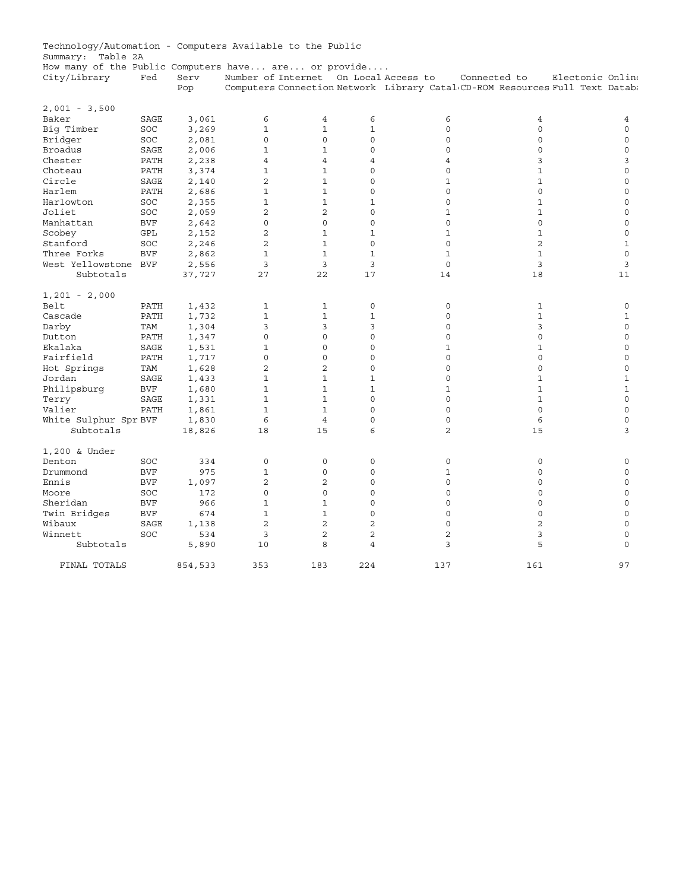| Technology/Automation - Computers Available to the Public |            |              |                       |                              |                   |                                                                              |                     |                            |
|-----------------------------------------------------------|------------|--------------|-----------------------|------------------------------|-------------------|------------------------------------------------------------------------------|---------------------|----------------------------|
| Summary: Table 2A                                         |            |              |                       |                              |                   |                                                                              |                     |                            |
| How many of the Public Computers have are or provide      |            |              |                       |                              |                   |                                                                              |                     |                            |
| City/Library                                              | Fed        | Serv         | Number of Internet    |                              |                   | On Local Access to                                                           | Connected to        | Electonic Online           |
|                                                           |            | Pop          |                       |                              |                   | Computers Connection Network Library Catal CD-ROM Resources Full Text Databa |                     |                            |
|                                                           |            |              |                       |                              |                   |                                                                              |                     |                            |
| $2,001 - 3,500$                                           |            |              |                       |                              |                   |                                                                              |                     |                            |
| Baker                                                     | SAGE       | 3,061        | 6                     | 4                            | 6                 | 6                                                                            | 4                   | 4                          |
| Big Timber                                                | SOC        | 3,269        | $\mathbf{1}$          | $\mathbf 1$                  | $\mathbf{1}$      | $\mathbf 0$                                                                  | $\mathsf{O}\xspace$ | $\Omega$                   |
| Bridger                                                   | SOC        | 2,081        | $\mathbf{0}$          | 0                            | 0                 | $\mathbf 0$                                                                  | $\mathbf{0}$        | $\mathbf 0$                |
| Broadus                                                   | SAGE       | 2,006        | $\mathbf 1$           | $\mathbf 1$                  | 0                 | $\mathbf 0$                                                                  | $\circ$             | $\mathbf 0$                |
| Chester                                                   | PATH       | 2,238        | $\overline{4}$        | 4                            | 4                 | $\overline{4}$                                                               | 3                   | 3                          |
| Choteau                                                   | PATH       | 3,374        | $\mathbf 1$           | $\mathbf{1}$                 | $\Omega$          | $\mathbf 0$                                                                  | $\mathbf{1}$        | $\overline{0}$             |
| Circle                                                    | SAGE       | 2,140        | $\overline{2}$        | $\mathbf{1}$                 | 0                 | $\mathbf 1$                                                                  | $\mathbf{1}$        | $\mathbf 0$                |
| Harlem                                                    | PATH       | 2,686        | $\mathbf{1}$          | $\mathbf{1}$                 | 0                 | $\mathbf 0$                                                                  | $\mathbf 0$         | $\mathbf 0$                |
| Harlowton                                                 | SOC        | 2,355        | $\mathbf{1}$          | $\mathbf 1$                  | $\mathbf{1}$      | $\mathbf 0$                                                                  | $\mathbf{1}$        | $\mathbf 0$                |
| Joliet                                                    | SOC        | 2,059        | $\overline{c}$        | $\overline{2}$               | 0                 | $\mathbf 1$                                                                  | $\mathbf{1}$        | $\mathbf 0$                |
| Manhattan                                                 | <b>BVF</b> | 2,642        | $\mathbf{0}$          | $\mathbf 0$                  | 0                 | $\mathbf 0$                                                                  | $\mathbf 0$         | $\mathbf 0$                |
| Scobey                                                    | GPL        | 2,152        | $\overline{2}$        | $\mathbf{1}$                 | $\mathbf{1}$      | $\mathbf{1}$                                                                 | $\mathbf{1}$        | $\overline{0}$             |
| Stanford                                                  | SOC        | 2,246        | $\overline{c}$        | $\mathbf{1}$                 | 0                 | $\mathbf 0$                                                                  | $\overline{c}$      | $\mathbf{1}$               |
| Three Forks                                               | <b>BVF</b> | 2,862        | $\mathbf{1}$          | $\mathbf{1}$                 | $\mathbf{1}$      | $\mathbf 1$                                                                  | $\mathbf{1}$        | $\Omega$                   |
| West Yellowstone BVF                                      |            | 2,556        | 3                     | 3                            | 3                 | $\mathbf 0$                                                                  | 3                   | 3                          |
| Subtotals                                                 |            | 37,727       | 27                    | 22                           | 17                | 14                                                                           | 18                  | 11                         |
|                                                           |            |              |                       |                              |                   |                                                                              |                     |                            |
| $1,201 - 2,000$                                           |            |              |                       |                              |                   |                                                                              |                     |                            |
| Belt                                                      | PATH       | 1,432        | 1                     | $\mathbf 1$                  | 0                 | 0                                                                            | 1                   | 0                          |
| Cascade                                                   | PATH       | 1,732        | $\mathbf{1}$          | $\mathbf{1}$                 | $\mathbf{1}$      | $\mathbf 0$                                                                  | $\mathbf{1}$        | $\mathbf{1}$               |
| Darby                                                     | TAM        | 1,304        | 3                     | 3                            | 3                 | $\mathbf 0$                                                                  | 3                   | $\mathbf 0$                |
| Dutton                                                    | PATH       | 1,347        | $\mathbf{0}$          | 0                            | 0                 | $\mathbf 0$                                                                  | $\circ$             | $\mathbf 0$                |
| Ekalaka                                                   | SAGE       | 1,531        | $1\,$                 | 0                            | 0                 | 1                                                                            | $\mathbf{1}$        | $\mathbf 0$                |
| Fairfield                                                 | PATH       | 1,717        | $\mathbf 0$           | 0                            | 0                 | $\mathbf 0$                                                                  | $\mathbf{0}$        | $\mathbf 0$                |
|                                                           | TAM        | 1,628        | $\overline{c}$        | $\overline{c}$               | 0                 | $\mathbf 0$                                                                  | $\circ$             | $\mathbf 0$                |
| Hot Springs<br>Jordan                                     | SAGE       |              | $\mathbf{1}$          | $\mathbf{1}$                 | $\mathbf{1}$      | $\mathbf 0$                                                                  | $\mathbf{1}$        | $\mathbf{1}$               |
|                                                           |            | 1,433        |                       |                              |                   |                                                                              |                     |                            |
| Philipsburg                                               | <b>BVF</b> | 1,680        | $1\,$<br>$\mathbf{1}$ | $\mathbf{1}$<br>$\mathbf{1}$ | $\mathbf{1}$<br>0 | $\mathbf 1$<br>$\mathbf 0$                                                   | $\mathbf{1}$        | $1\,$<br>$\mathbf 0$       |
| Terry                                                     | SAGE       | 1,331        |                       |                              |                   |                                                                              | $\mathbf{1}$        |                            |
| Valier                                                    | PATH       | 1,861        | $1\,$                 | $\mathbf{1}$                 | 0                 | $\mathbf 0$                                                                  | $\mathsf{O}\xspace$ | $\mathbf 0$                |
| White Sulphur Spr BVF                                     |            | 1,830        | 6                     | $\overline{4}$               | 0                 | $\mathbf 0$                                                                  | 6                   | $\mathbf 0$                |
| Subtotals                                                 |            | 18,826       | 18                    | 15                           | 6                 | 2                                                                            | 15                  | 3                          |
| 1,200 & Under                                             |            |              |                       |                              |                   |                                                                              |                     |                            |
| Denton                                                    | SOC        | 334          | 0                     | 0                            | 0                 | 0                                                                            | 0                   | $\mathbf 0$                |
| Drummond                                                  | <b>BVF</b> | 975          | $1\,$                 | $\Omega$                     | $\Omega$          | $\mathbf 1$                                                                  | $\Omega$            | $\Omega$                   |
| Ennis                                                     | <b>BVF</b> | 1,097        | $\overline{c}$        | 2                            | 0                 | $\mathsf 0$                                                                  | $\circ$             | $\mathbf 0$                |
| Moore                                                     | SOC        | 172          | $\mathsf{O}\xspace$   | $\mathsf 0$                  | 0                 | 0                                                                            | $\mathsf{O}\xspace$ | 0                          |
| Sheridan                                                  | <b>BVF</b> | 966          | $\mathbf{1}$          | $\mathbf{1}$                 | 0                 | $\mathbf 0$                                                                  | $\mathbf{0}$        | $\mathbf 0$                |
| Twin Bridges                                              | <b>BVF</b> | 674          | 1                     | $\mathbf{1}$                 | $\Omega$          | $\Omega$                                                                     | $\Omega$            | $\Omega$                   |
| Wibaux                                                    | SAGE       | 1,138        | $\overline{2}$        | $\overline{2}$               | $\overline{2}$    | $\overline{0}$                                                               | $\overline{a}$      | $\mathbf 0$                |
|                                                           |            |              | 3                     | $\overline{2}$               | $\overline{c}$    | $\overline{c}$                                                               |                     |                            |
| Winnett<br>Subtotals                                      | SOC        | 534<br>5,890 | 10                    | 8                            | $\overline{4}$    | 3                                                                            | 3<br>5              | $\mathbf 0$<br>$\mathbf 0$ |
|                                                           |            |              |                       |                              |                   |                                                                              |                     |                            |
| FINAL TOTALS                                              |            | 854,533      | 353                   | 183                          | 224               | 137                                                                          | 161                 | 97                         |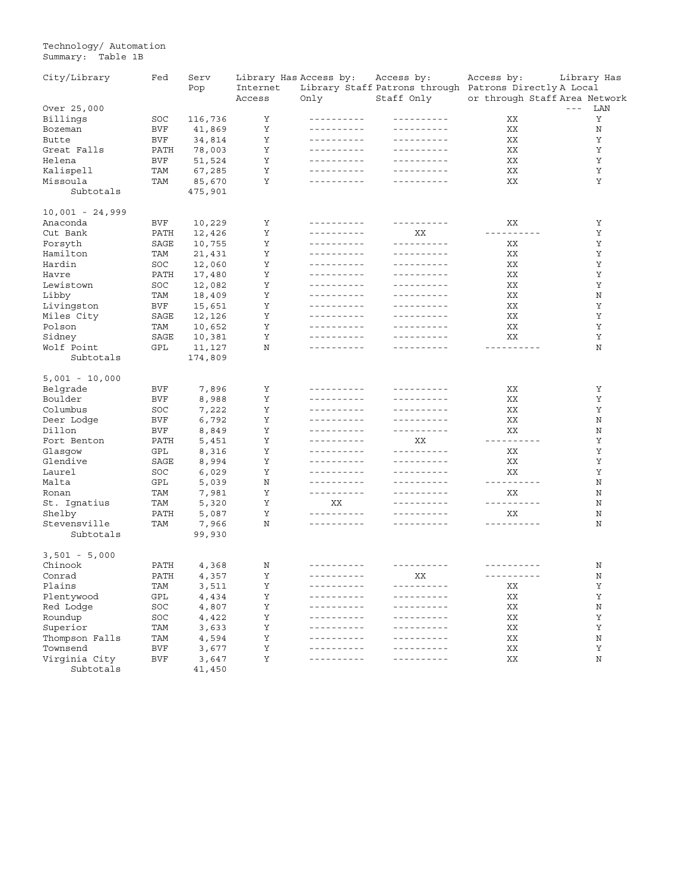Technology/ Automation Summary: Table 1B

| City/Library      | Fed        | Serv    |          | Library Has Access by:      | Access by:                                             | Access by:                    | Library Has  |
|-------------------|------------|---------|----------|-----------------------------|--------------------------------------------------------|-------------------------------|--------------|
|                   |            | Pop     | Internet |                             | Library Staff Patrons through Patrons Directly A Local |                               |              |
|                   |            |         | Access   | Only                        | Staff Only                                             | or through Staff Area Network |              |
| Over 25,000       |            |         |          |                             |                                                        |                               | $  -$<br>LAN |
| Billings          | SOC        | 116,736 | Υ        | ----------                  | ----------                                             | ΧX                            | Υ            |
| Bozeman           | BVF        | 41,869  | Υ        | ----------                  | ----------                                             | XX                            | Ν            |
| Butte             | BVF        | 34,814  | Υ        | ----------                  | ----------                                             | XX                            | Υ            |
| Great Falls       | PATH       | 78,003  | Υ        | <u> - - - - - - - - - -</u> | ----------                                             | XX                            | Υ            |
| Helena            | <b>BVF</b> | 51,524  | Υ        | ----------                  | ----------                                             | XX                            | Υ            |
| Kalispell         | TAM        | 67,285  | Υ        | ----------                  | ----------                                             | ΧX                            | Υ            |
| Missoula          | TAM        | 85,670  | Υ        | ----------                  | --------                                               | XX                            | Υ            |
| Subtotals         |            | 475,901 |          |                             |                                                        |                               |              |
| $10,001 - 24,999$ |            |         |          |                             |                                                        |                               |              |
| Anaconda          | BVF        | 10,229  | Υ        | ----------                  | ----------                                             | XХ                            | Υ            |
| Cut Bank          | PATH       | 12,426  | Υ        | ----------                  | XХ                                                     | ----------                    | Υ            |
| Forsyth           | SAGE       | 10,755  | Υ        | ----------                  | ----------                                             | XХ                            | Υ            |
| Hamilton          | TAM        | 21,431  | Υ        | ----------                  | ----------                                             | XХ                            | Υ            |
| Hardin            | SOC        | 12,060  | Υ        |                             | ----------                                             | XX                            | Υ            |
|                   |            |         | Υ        | ----------                  | ----------                                             | XX                            | Υ            |
| Havre             | PATH       | 17,480  |          | ----------                  | ----------                                             |                               |              |
| Lewistown         | SOC        | 12,082  | Υ        |                             |                                                        | XX                            | Υ            |
| Libby             | TAM        | 18,409  | Υ        | ----------                  | ----------                                             | XX                            | Ν            |
| Livingston        | BVF        | 15,651  | Υ        | ----------                  | ----------                                             | ΧX                            | Υ            |
| Miles City        | SAGE       | 12,126  | Υ        | ----------                  |                                                        | XX                            | Υ            |
| Polson            | TAM        | 10,652  | Υ        | ----------                  | ----------                                             | XX                            | Υ            |
| Sidney            | SAGE       | 10,381  | Υ        | ----------                  | ----------                                             | XX                            | Υ            |
| Wolf Point        | GPL        | 11,127  | N        | ----------                  | --------                                               | ----------                    | Ν            |
| Subtotals         |            | 174,809 |          |                             |                                                        |                               |              |
| $5,001 - 10,000$  |            |         |          |                             |                                                        |                               |              |
| Belgrade          | BVF        | 7,896   | Υ        | ----------                  | ----------                                             | XХ                            | Υ            |
| Boulder           | BVF        | 8,988   | Υ        | ----------                  | ----------                                             | XX                            | Υ            |
| Columbus          | SOC        | 7,222   | Υ        | ----------                  | ----------                                             | XX                            | Υ            |
| Deer Lodge        | BVF        | 6,792   | Υ        | ----------                  | ----------                                             | XX                            | Ν            |
| Dillon            | BVF        | 8,849   | Υ        | ----------                  | ----------                                             | XХ                            | Ν            |
| Fort Benton       | PATH       | 5,451   | Υ        | ----------                  | XX                                                     | ----------                    | Υ            |
| Glasgow           | GPL        | 8,316   | Υ        | ----------                  | ----------                                             | XX                            | Υ            |
| Glendive          | SAGE       | 8,994   | Υ        | ----------                  | ----------                                             | XХ                            | Υ            |
| Laurel            | SOC        | 6,029   | Υ        | ----------                  | ----------                                             | XХ                            | Υ            |
| Malta             | GPL        | 5,039   | N        | ----------                  | ----------                                             | ----------                    | Ν            |
| Ronan             | TAM        | 7,981   | Υ        | ----------                  | ----------                                             | XХ                            | Ν            |
| St. Ignatius      | TAM        | 5,320   | Υ        | ΧX                          | ----------                                             | ----------                    | Ν            |
| Shelby            | PATH       | 5,087   | Υ        | ----------                  | ----------                                             | XХ                            | Ν            |
| Stevensville      | TAM        | 7,966   | N        | ----------                  | ----------                                             | -----------                   | Ν            |
| Subtotals         |            | 99,930  |          |                             |                                                        |                               |              |
| $3,501 - 5,000$   |            |         |          |                             |                                                        |                               |              |
|                   |            |         |          | ----------                  | ----------                                             | -----------                   |              |
| Chinook           | PATH       | 4,368   | Ν        |                             |                                                        |                               | Ν            |
| Conrad            | PATH       | 4,357   | Υ        | ----------                  | XХ                                                     | ----------                    | Ν            |
| Plains            | TAM        | 3,511   | Υ        | ----------                  |                                                        | ΧX                            | Υ            |
| Plentywood        | GPL        | 4,434   | Υ        | ---------                   | --------                                               | XХ                            | Υ            |
| Red Lodge         | SOC        | 4,807   | Υ        | ------                      | ----                                                   | ΧX                            | Ν            |
| Roundup           | SOC        | 4,422   | Υ        |                             |                                                        | ΧX                            | Υ            |
| Superior          | TAM        | 3,633   | Υ        | $- - - - - - -$             |                                                        | ΧX                            | Υ            |
| Thompson Falls    | TAM        | 4,594   | Υ        | $- - - - - - -$             |                                                        | ΧX                            | Ν            |
| Townsend          | BVF        | 3,677   | Υ        | - - - - - - - - - -         | $- - - -$                                              | XХ                            | Υ            |
| Virginia City     | BVF        | 3,647   | Υ        |                             | -------                                                | XХ                            | Ν            |
| Subtotals         |            | 41,450  |          |                             |                                                        |                               |              |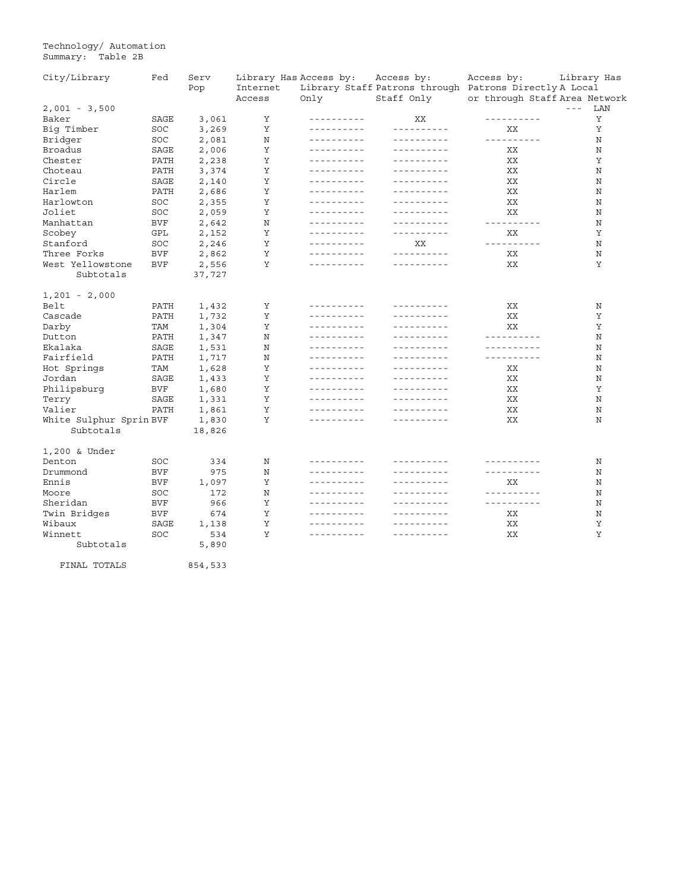Technology/ Automation Summary: Table 2B

| City/Library            | Fed        | Serv    | Library Has Access by: |                             | Access by:                  | Access by:                                             | Library Has                                                                                                                                                                                                                                                                                                                                                                                         |
|-------------------------|------------|---------|------------------------|-----------------------------|-----------------------------|--------------------------------------------------------|-----------------------------------------------------------------------------------------------------------------------------------------------------------------------------------------------------------------------------------------------------------------------------------------------------------------------------------------------------------------------------------------------------|
|                         |            | Pop     | Internet               |                             |                             | Library Staff Patrons through Patrons Directly A Local |                                                                                                                                                                                                                                                                                                                                                                                                     |
|                         |            |         | Access                 | Only                        | Staff Only                  | or through Staff Area Network                          |                                                                                                                                                                                                                                                                                                                                                                                                     |
| $2,001 - 3,500$         |            |         |                        |                             |                             |                                                        | LAN<br>$\frac{1}{2} \frac{1}{2} \frac{1}{2} \frac{1}{2} \frac{1}{2} \frac{1}{2} \frac{1}{2} \frac{1}{2} \frac{1}{2} \frac{1}{2} \frac{1}{2} \frac{1}{2} \frac{1}{2} \frac{1}{2} \frac{1}{2} \frac{1}{2} \frac{1}{2} \frac{1}{2} \frac{1}{2} \frac{1}{2} \frac{1}{2} \frac{1}{2} \frac{1}{2} \frac{1}{2} \frac{1}{2} \frac{1}{2} \frac{1}{2} \frac{1}{2} \frac{1}{2} \frac{1}{2} \frac{1}{2} \frac{$ |
| Baker                   | SAGE       | 3,061   | Υ                      | ----------                  | XX                          | ----------                                             | Υ                                                                                                                                                                                                                                                                                                                                                                                                   |
| Big Timber              | SOC        | 3,269   | Υ                      | ----------                  | ----------                  | XX                                                     | Υ                                                                                                                                                                                                                                                                                                                                                                                                   |
| Bridger                 | SOC        | 2,081   | Ν                      | ----------                  | <u> - - - - - - - - - -</u> | ----------                                             | Ν                                                                                                                                                                                                                                                                                                                                                                                                   |
| Broadus                 | SAGE       | 2,006   | Υ                      | ----------                  | ----------                  | XХ                                                     | N                                                                                                                                                                                                                                                                                                                                                                                                   |
| Chester                 | PATH       | 2,238   | Υ                      | ----------                  |                             | XX                                                     | Υ                                                                                                                                                                                                                                                                                                                                                                                                   |
| Choteau                 | PATH       | 3,374   | Υ                      | ----------                  | ----------                  | ΧX                                                     | Ν                                                                                                                                                                                                                                                                                                                                                                                                   |
| Circle                  | SAGE       | 2,140   | Υ                      | <u> - - - - - - - - - -</u> |                             | XX                                                     | N                                                                                                                                                                                                                                                                                                                                                                                                   |
| Harlem                  | PATH       | 2,686   | Υ                      | ----------                  | ----------                  | XX                                                     | Ν                                                                                                                                                                                                                                                                                                                                                                                                   |
| Harlowton               | SOC        | 2,355   | Υ                      | ----------                  | ----------                  | XX                                                     | N                                                                                                                                                                                                                                                                                                                                                                                                   |
| Joliet                  | SOC        | 2,059   | Υ                      | - - - - - - - - - -         |                             | XX                                                     | Ν                                                                                                                                                                                                                                                                                                                                                                                                   |
| Manhattan               | <b>BVF</b> | 2,642   | Ν                      | ----------                  | ----------                  | ----------                                             | Ν                                                                                                                                                                                                                                                                                                                                                                                                   |
| Scobey                  | GPL        | 2,152   | Υ                      | ----------                  | ----------                  | XX                                                     | Υ                                                                                                                                                                                                                                                                                                                                                                                                   |
| Stanford                | SOC        | 2,246   | Υ                      | ----------                  | XX                          | ----------                                             | Ν                                                                                                                                                                                                                                                                                                                                                                                                   |
| Three Forks             | BVF        | 2,862   | Υ                      | ----------                  | ----------                  | XX                                                     | N                                                                                                                                                                                                                                                                                                                                                                                                   |
| West Yellowstone        | <b>BVF</b> | 2,556   | Υ                      | - - - - - - - - - -         |                             | XX                                                     | Υ                                                                                                                                                                                                                                                                                                                                                                                                   |
| Subtotals               |            | 37,727  |                        |                             |                             |                                                        |                                                                                                                                                                                                                                                                                                                                                                                                     |
|                         |            |         |                        |                             |                             |                                                        |                                                                                                                                                                                                                                                                                                                                                                                                     |
| $1,201 - 2,000$         |            |         |                        |                             |                             |                                                        |                                                                                                                                                                                                                                                                                                                                                                                                     |
| Belt                    | PATH       | 1,432   | Υ                      | ----------                  |                             | XX                                                     | Ν                                                                                                                                                                                                                                                                                                                                                                                                   |
| Cascade                 | PATH       | 1,732   | Υ                      | <u> - - - - - - - - - -</u> |                             | XX                                                     | Υ                                                                                                                                                                                                                                                                                                                                                                                                   |
| Darby                   | TAM        | 1,304   | Υ                      | ----------                  | ----------                  | XX                                                     | Υ                                                                                                                                                                                                                                                                                                                                                                                                   |
| Dutton                  | PATH       | 1,347   | Ν                      | ----------                  | --------                    | ----------                                             | N                                                                                                                                                                                                                                                                                                                                                                                                   |
| Ekalaka                 | SAGE       | 1,531   | Ν                      | ----------                  | ----------                  | ----------                                             | Ν                                                                                                                                                                                                                                                                                                                                                                                                   |
| Fairfield               | PATH       | 1,717   | N                      | ----------                  | ----------                  | ----------                                             | N                                                                                                                                                                                                                                                                                                                                                                                                   |
| Hot Springs             | TAM        | 1,628   | Υ                      | ----------                  | ----------                  | XX                                                     | N                                                                                                                                                                                                                                                                                                                                                                                                   |
| Jordan                  | SAGE       | 1,433   | Υ                      | <u> - - - - - - - - - -</u> |                             | XX                                                     | Ν                                                                                                                                                                                                                                                                                                                                                                                                   |
| Philipsburg             | BVF        | 1,680   | Υ                      | ----------                  | ----------                  | XХ                                                     | Υ                                                                                                                                                                                                                                                                                                                                                                                                   |
| Terry                   | SAGE       | 1,331   | Υ                      | ----------                  | ----------                  | XX                                                     | N                                                                                                                                                                                                                                                                                                                                                                                                   |
| Valier                  | PATH       | 1,861   | Υ                      | ----------                  | ----------                  | XX                                                     | Ν                                                                                                                                                                                                                                                                                                                                                                                                   |
| White Sulphur Sprin BVF |            | 1,830   | Υ                      | ----------                  |                             | XX                                                     | N                                                                                                                                                                                                                                                                                                                                                                                                   |
| Subtotals               |            | 18,826  |                        |                             |                             |                                                        |                                                                                                                                                                                                                                                                                                                                                                                                     |
|                         |            |         |                        |                             |                             |                                                        |                                                                                                                                                                                                                                                                                                                                                                                                     |
| 1,200 & Under           |            |         |                        |                             |                             |                                                        |                                                                                                                                                                                                                                                                                                                                                                                                     |
| Denton                  | SOC        | 334     | Ν                      | ----------                  | ----------                  | ----------                                             | Ν                                                                                                                                                                                                                                                                                                                                                                                                   |
| Drummond                | <b>BVF</b> | 975     | N                      | ----------                  | ----------                  | ----------                                             | Ν                                                                                                                                                                                                                                                                                                                                                                                                   |
| Ennis                   | BVF        | 1,097   | Υ                      | ----------                  | ----------                  | XX                                                     | Ν                                                                                                                                                                                                                                                                                                                                                                                                   |
| Moore                   | SOC        | 172     | N                      | - - - - - - - - - -         |                             | ----------                                             | N                                                                                                                                                                                                                                                                                                                                                                                                   |
| Sheridan                | <b>BVF</b> | 966     | Υ                      | ----------                  |                             | ----------                                             | Ν                                                                                                                                                                                                                                                                                                                                                                                                   |
| Twin Bridges            | BVF        | 674     | Υ                      | ----------                  | ----------                  | XХ                                                     | Ν                                                                                                                                                                                                                                                                                                                                                                                                   |
| Wibaux                  | SAGE       | 1,138   | Y                      | ----------                  | ----------                  | XX                                                     | Υ                                                                                                                                                                                                                                                                                                                                                                                                   |
| Winnett                 | SOC        | 534     | Υ                      | ----------                  | ----------                  | XX                                                     | Υ                                                                                                                                                                                                                                                                                                                                                                                                   |
| Subtotals               |            | 5,890   |                        |                             |                             |                                                        |                                                                                                                                                                                                                                                                                                                                                                                                     |
|                         |            |         |                        |                             |                             |                                                        |                                                                                                                                                                                                                                                                                                                                                                                                     |
| FINAL TOTALS            |            | 854,533 |                        |                             |                             |                                                        |                                                                                                                                                                                                                                                                                                                                                                                                     |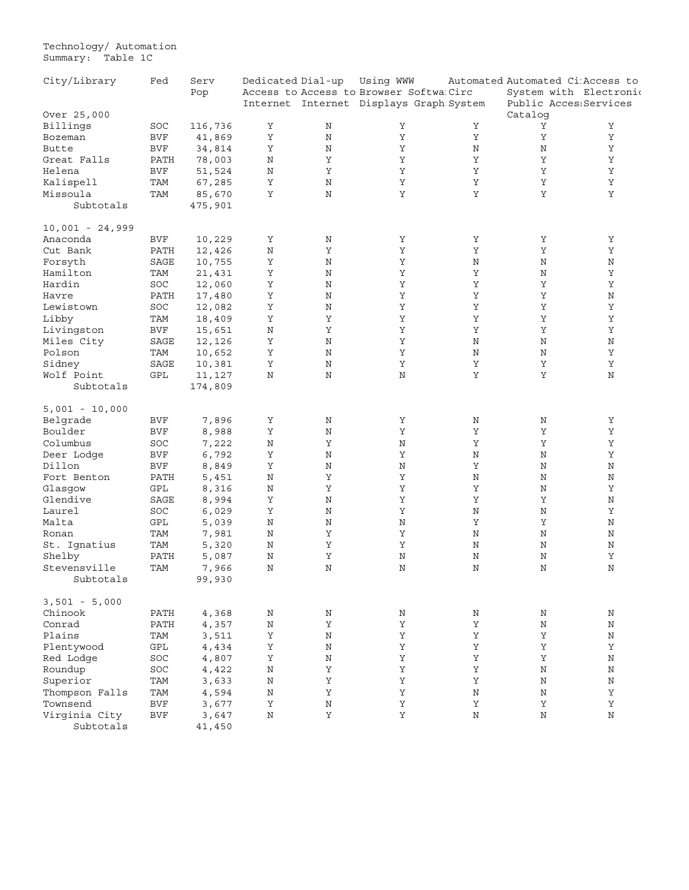Technology/ Automation Summary: Table 1C

| City/Library         | Fed        | Serv    | Dedicated Dial-up |             | Using WWW                               |             | Automated Automated Ci: Access to |             |
|----------------------|------------|---------|-------------------|-------------|-----------------------------------------|-------------|-----------------------------------|-------------|
|                      |            | Pop     |                   |             | Access to Access to Browser Softwa Circ |             | System with Electronic            |             |
|                      |            |         |                   |             | Internet Internet Displays Graph System |             | Public Acces: Services            |             |
| Over 25,000          |            |         |                   |             |                                         |             | Catalog                           |             |
| Billings             | SOC        | 116,736 | Υ                 | Ν           | Υ                                       | Υ           | Υ                                 | Υ           |
| Bozeman              | <b>BVF</b> | 41,869  | Υ                 | $\rm N$     | Υ                                       | Υ           | Υ                                 | Υ           |
| Butte                | <b>BVF</b> | 34,814  | Υ                 | $\rm N$     | Υ                                       | $\rm N$     | Ν                                 | Y           |
| Great Falls          | PATH       | 78,003  | Ν                 | $\mathbf Y$ | Υ                                       | $\rm Y$     | Υ                                 | Υ           |
| Helena               | <b>BVF</b> | 51,524  | N                 | Υ           | Υ                                       | Υ           | Y                                 | Y           |
| Kalispell            | TAM        | 67,285  | Υ                 | $\rm N$     | Υ                                       | $\mathbf Y$ | Υ                                 | Y           |
| Missoula             | TAM        | 85,670  | Y                 | $\rm N$     | Υ                                       | $\mathbf Y$ | Υ                                 | Y           |
| Subtotals            |            | 475,901 |                   |             |                                         |             |                                   |             |
| $10,001 - 24,999$    |            |         |                   |             |                                         |             |                                   |             |
| Anaconda             | <b>BVF</b> | 10,229  | Υ                 | Ν           | Υ                                       | Υ           | Υ                                 | Υ           |
| Cut Bank             | PATH       | 12,426  | $\rm N$           | Υ           | Υ                                       | $\mathbf Y$ | Υ                                 | Y           |
| Forsyth              | SAGE       | 10,755  | Υ                 | $\rm N$     | Υ                                       | N           | Ν                                 | N           |
| Hamilton             | TAM        | 21,431  | Υ                 | $\rm N$     | Υ                                       | Υ           | Ν                                 | Υ           |
| Hardin               | SOC        | 12,060  | Υ                 | $\rm N$     | Υ                                       | Y           | Υ                                 | Υ           |
| Havre                | PATH       | 17,480  | Υ                 | $\rm N$     | Υ                                       | $\rm Y$     | Υ                                 | $\rm N$     |
| Lewistown            | SOC        | 12,082  | Υ                 | $\rm N$     | Υ                                       | Υ           | Υ                                 | Υ           |
| Libby                | TAM        | 18,409  | Υ                 | $\mathbf Y$ | Υ                                       | Υ           | Υ                                 | Υ           |
| Livingston           | <b>BVF</b> | 15,651  | N                 | $\mathbf Y$ | Υ                                       | Υ           | Y                                 | $\mathbf Y$ |
| Miles City           | SAGE       | 12,126  | Υ                 | $\rm N$     | Υ                                       | N           | Ν                                 | N           |
| Polson               | TAM        | 10,652  | Υ                 | $\rm N$     | Υ                                       | N           | Ν                                 | Υ           |
| Sidney               | SAGE       |         | $\mathbf Y$       | $\rm N$     | Υ                                       | $\rm Y$     | $\mathbf Y$                       | $\rm Y$     |
| Wolf Point           | GPL        | 10,381  | N                 | $\rm N$     | N                                       | Υ           | Υ                                 | N           |
|                      |            | 11,127  |                   |             |                                         |             |                                   |             |
| Subtotals            |            | 174,809 |                   |             |                                         |             |                                   |             |
| $5,001 - 10,000$     |            |         |                   |             |                                         |             |                                   |             |
| Belgrade             | <b>BVF</b> | 7,896   | Υ                 | N           | Υ                                       | N           | Ν                                 | Υ           |
| Boulder              | <b>BVF</b> | 8,988   | Υ                 | $\rm N$     | Y                                       | Υ           | Υ                                 | $\mathbf Y$ |
| Columbus             | SOC        | 7,222   | $\rm N$           | $\mathbf Y$ | N                                       | Υ           | Υ                                 | $\mathbf Y$ |
| Deer Lodge           | <b>BVF</b> | 6,792   | Υ                 | $\rm N$     | Υ                                       | Ν           | Ν                                 | Υ           |
| Dillon               | <b>BVF</b> | 8,849   | Υ                 | $\rm N$     | N                                       | Υ           | Ν                                 | $\rm N$     |
| Fort Benton          | PATH       | 5,451   | N                 | $\mathbf Y$ | Y                                       | $\rm N$     | $\rm N$                           | N           |
| Glasgow              | GPL        | 8,316   | N                 | Υ           | Υ                                       | Υ           | Ν                                 | Υ           |
| Glendive             | SAGE       | 8,994   | Υ                 | $\rm N$     | Υ                                       | $\mathbf Y$ | Υ                                 | Ν           |
| Laurel               | SOC        | 6,029   | Y                 | $\rm N$     | Y                                       | $\rm N$     | $\rm N$                           | Y           |
| Malta                | GPL        | 5,039   | Ν                 | N           | Ν                                       | Υ           | Υ                                 | Ν           |
| Ronan                | TAM        | 7,981   | $\rm N$           | Υ           | Υ                                       | $\rm N$     | Ν                                 | $\rm N$     |
| St. Ignatius         | TAM        | 5,320   | N                 | $\mathbf Y$ | Υ                                       | N           | Ν                                 | N           |
| Shelby               | PATH       | 5,087   | Ν                 | Υ           | Ν                                       | Ν           | Ν                                 | Υ           |
| Stevensville         | TAM        | 7,966   | N                 | $\rm N$     | N                                       | N           | Ν                                 | N           |
| Subtotals            |            | 99,930  |                   |             |                                         |             |                                   |             |
| $3,501 - 5,000$      |            |         |                   |             |                                         |             |                                   |             |
| Chinook              | PATH       | 4,368   | $\rm N$           | $\rm N$     | Ν                                       | $\rm N$     | Ν                                 | N           |
| Conrad               | PATH       | 4,357   | Ν                 | Υ           | Υ                                       | Υ           | Ν                                 | Ν           |
| Plains               | TAM        | 3,511   | Υ                 | $\rm N$     | Υ                                       | $\mathbf Y$ | Υ                                 | $\rm N$     |
| Plentywood           | GPL        | 4,434   | $\mathbf Y$       | $\rm N$     | Υ                                       | $\mathbf Y$ | Y                                 | Υ           |
|                      | SOC        |         | Υ                 | $\rm N$     | Υ                                       | Υ           | Υ                                 | $\rm N$     |
| Red Lodge<br>Roundup |            | 4,807   |                   | Υ           | Υ                                       |             |                                   |             |
|                      | SOC        | 4,422   | Ν                 |             |                                         | Υ           | Ν                                 | Ν           |
| Superior             | TAM        | 3,633   | $\rm N$           | $\mathbf Y$ | Y                                       | $\mathbf Y$ | Ν                                 | $\rm N$     |
| Thompson Falls       | TAM        | 4,594   | $\rm N$           | Υ           | Υ                                       | $\rm N$     | $\rm N$                           | Υ           |
| Townsend             | <b>BVF</b> | 3,677   | Υ                 | $\rm N$     | Υ                                       | Υ           | Υ                                 | Υ           |
| Virginia City        | <b>BVF</b> | 3,647   | $\rm N$           | Υ           | Υ                                       | $\rm N$     | N                                 | Ν           |
| Subtotals            |            | 41,450  |                   |             |                                         |             |                                   |             |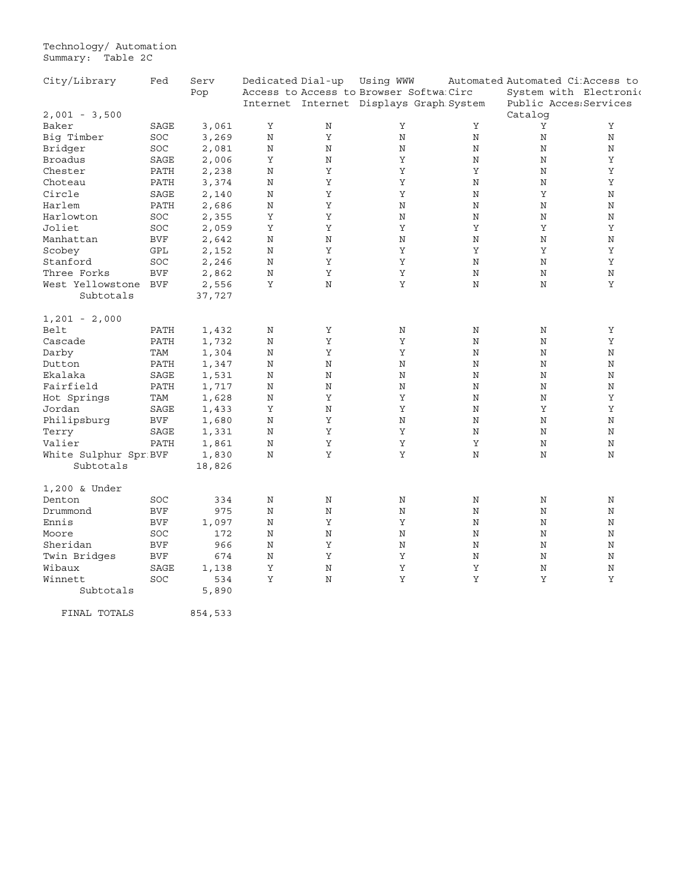Technology/ Automation Summary: Table 2C

| City/Library          | Fed        | Serv   | Dedicated Dial-up |             | Using WWW                               |         | Automated Automated Ci: Access to |         |
|-----------------------|------------|--------|-------------------|-------------|-----------------------------------------|---------|-----------------------------------|---------|
|                       |            | Pop    |                   |             | Access to Access to Browser Softwa Circ |         | System with Electronic            |         |
|                       |            |        |                   |             | Internet Internet Displays Graph System |         | Public Acces: Services            |         |
| $2,001 - 3,500$       |            |        |                   |             |                                         |         | Catalog                           |         |
| Baker                 | SAGE       | 3,061  | $\mathbf Y$       | Ν           | Υ                                       | Υ       | Υ                                 | Υ       |
| Big Timber            | SOC        | 3,269  | N                 | Υ           | N                                       | N       | N                                 | N       |
| Bridger               | SOC        | 2,081  | N                 | N           | N                                       | Ν       | Ν                                 | N       |
| <b>Broadus</b>        | SAGE       | 2,006  | Υ                 | N           | Υ                                       | N       | N                                 | Υ       |
| Chester               | PATH       | 2,238  | N                 | Υ           | Υ                                       | Υ       | N                                 | Υ       |
| Choteau               | PATH       | 3,374  | N                 | Y           | Υ                                       | N       | N                                 | Υ       |
| Circle                | SAGE       | 2,140  | N                 | Υ           | Υ                                       | N       | Υ                                 | N       |
| Harlem                | PATH       | 2,686  | $\rm N$           | Υ           | N                                       | $\rm N$ | N                                 | N       |
| Harlowton             | SOC        | 2,355  | Υ                 | Y           | N                                       | N       | N                                 | $\rm N$ |
| Joliet                | SOC        | 2,059  | Υ                 | Υ           | Υ                                       | Υ       | Υ                                 | Υ       |
| Manhattan             | <b>BVF</b> | 2,642  | N                 | $\rm N$     | N                                       | N       | Ν                                 | N       |
| Scobey                | GPL        | 2,152  | $\mathbf N$       | Υ           | Υ                                       | Υ       | Y                                 | Υ       |
| Stanford              | SOC        | 2,246  | N                 | Υ           | Υ                                       | N       | N                                 | Υ       |
| Three Forks           | <b>BVF</b> | 2,862  | N                 | Υ           | Υ                                       | $\rm N$ | N                                 | N       |
| West Yellowstone      | <b>BVF</b> | 2,556  | Υ                 | $\mathbf N$ | Υ                                       | N       | N                                 | Υ       |
| Subtotals             |            | 37,727 |                   |             |                                         |         |                                   |         |
|                       |            |        |                   |             |                                         |         |                                   |         |
| $1,201 - 2,000$       |            |        |                   |             |                                         |         |                                   |         |
| Belt                  | PATH       | 1,432  | N                 | Υ           | Ν                                       | Ν       | Ν                                 | Υ       |
| Cascade               | PATH       | 1,732  | N                 | $\rm Y$     | Υ                                       | Ν       | Ν                                 | Υ       |
| Darby                 | TAM        | 1,304  | N                 | Υ           | Υ                                       | N       | N                                 | N       |
| Dutton                | PATH       | 1,347  | N                 | $\mathbf N$ | N                                       | N       | N                                 | N       |
| Ekalaka               | SAGE       | 1,531  | N                 | N           | N                                       | N       | N                                 | N       |
| Fairfield             | PATH       | 1,717  | N                 | N           | N                                       | Ν       | Ν                                 | N       |
| Hot Springs           | TAM        | 1,628  | N                 | Υ           | Υ                                       | N       | N                                 | Υ       |
| Jordan                | SAGE       | 1,433  | Υ                 | N           | Υ                                       | N       | Υ                                 | Υ       |
| Philipsburg           | <b>BVF</b> | 1,680  | N                 | Υ           | N                                       | N       | N                                 | N       |
| Terry                 | SAGE       | 1,331  | N                 | Υ           | Υ                                       | N       | N                                 | N       |
| Valier                | PATH       | 1,861  | N                 | $\rm Y$     | $\rm Y$                                 | Υ       | N                                 | N       |
| White Sulphur Spr BVF |            | 1,830  | N                 | Υ           | Υ                                       | N       | N                                 | N       |
| Subtotals             |            | 18,826 |                   |             |                                         |         |                                   |         |
| 1,200 & Under         |            |        |                   |             |                                         |         |                                   |         |
| Denton                | SOC        | 334    | Ν                 | Ν           | Ν                                       | Ν       | Ν                                 | Ν       |
| Drummond              | <b>BVF</b> | 975    | N                 | $\rm N$     | N                                       | N       | N                                 | N       |
| Ennis                 | <b>BVF</b> | 1,097  | Ν                 | Υ           | Υ                                       | N       | Ν                                 | Ν       |
| Moore                 | SOC        | 172    | N                 | $\rm N$     | N                                       | N       | N                                 | N       |
| Sheridan              | <b>BVF</b> | 966    | $\rm N$           | Υ           | N                                       | $\rm N$ | N                                 | N       |
| Twin Bridges          | <b>BVF</b> | 674    | Ν                 | Υ           | Υ                                       | Ν       | Ν                                 | N       |
| Wibaux                | SAGE       | 1,138  | Υ                 | N           | Υ                                       | Υ       | N                                 | N       |
| Winnett               | SOC        | 534    | Υ                 | $\rm N$     | Υ                                       | Y       | Υ                                 | Υ       |
| Subtotals             |            | 5,890  |                   |             |                                         |         |                                   |         |
|                       |            |        |                   |             |                                         |         |                                   |         |

FINAL TOTALS 854,533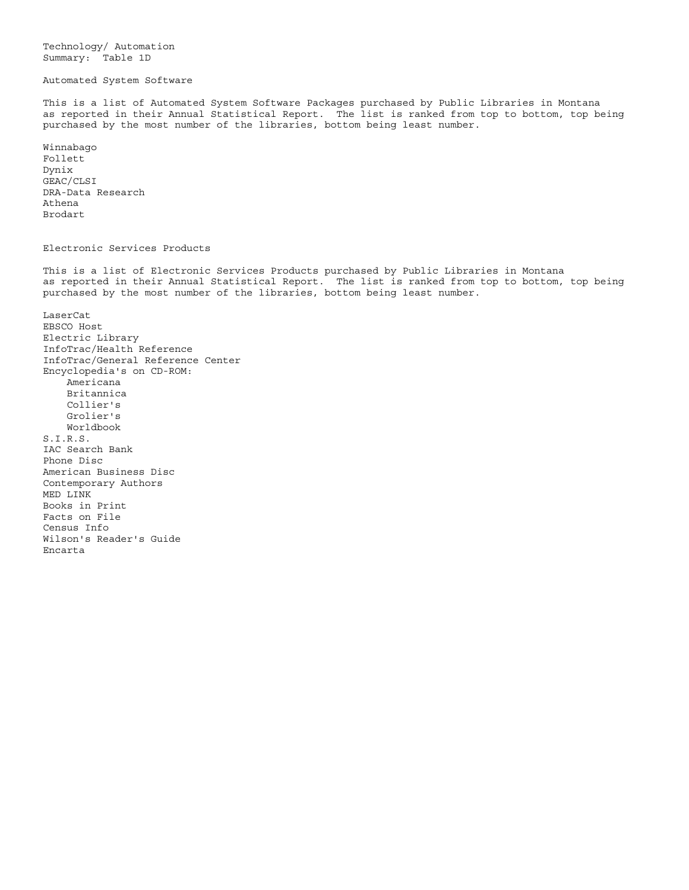Technology/ Automation Summary: Table 1D

### Automated System Software

This is a list of Automated System Software Packages purchased by Public Libraries in Montana as reported in their Annual Statistical Report. The list is ranked from top to bottom, top being purchased by the most number of the libraries, bottom being least number.

Winnabago Follett Dynix GEAC/CLSI DRA-Data Research Athena Brodart

#### Electronic Services Products

This is a list of Electronic Services Products purchased by Public Libraries in Montana as reported in their Annual Statistical Report. The list is ranked from top to bottom, top being purchased by the most number of the libraries, bottom being least number.

LaserCat EBSCO Host Electric Library InfoTrac/Health Reference InfoTrac/General Reference Center Encyclopedia's on CD-ROM: Americana Britannica Collier's Grolier's Worldbook S.I.R.S. IAC Search Bank Phone Disc American Business Disc Contemporary Authors MED LINK Books in Print Facts on File Census Info Wilson's Reader's Guide Encarta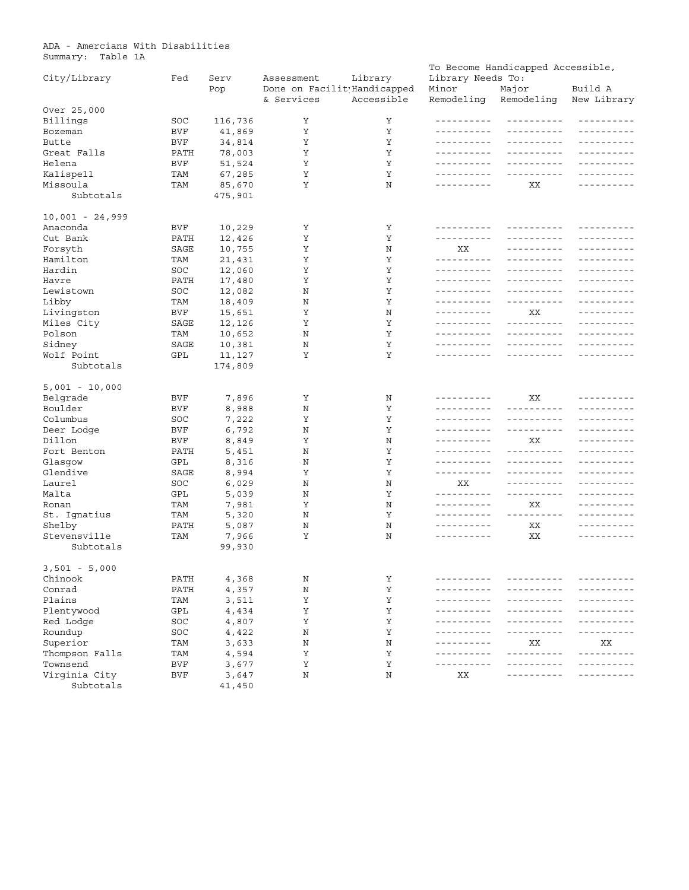<span id="page-34-0"></span>ADA - Amercians With Disabilities Summary: Table 1A

| City/Library         | Fed        | Serv              | Library<br>Library Needs To:<br>Assessment |            |                     | To Become Handicapped Accessible, |                        |  |
|----------------------|------------|-------------------|--------------------------------------------|------------|---------------------|-----------------------------------|------------------------|--|
|                      |            | Pop               | Done on Facilit Handicapped<br>& Services  | Accessible | Minor<br>Remodeling | Major<br>Remodeling               | Build A<br>New Library |  |
| Over 25,000          |            |                   |                                            |            |                     |                                   |                        |  |
| Billings             | SOC        | 116,736           | Υ                                          | Υ          |                     | ----------                        | __________             |  |
| Bozeman              | BVF        | 41,869            | Υ                                          | Υ          |                     | ----------                        | ----------             |  |
| Butte                | BVF        | 34,814            | Υ                                          | Υ          | ----------          | <u> - - - - - - - - - -</u>       | - - - - - - - - - -    |  |
| Great Falls          | PATH       | 78,003            | Υ                                          | Υ          | ----------          | -----------                       | -------                |  |
| Helena               | BVF        | 51,524            | Υ                                          | Υ          |                     | ----------                        | ----------             |  |
| Kalispell            | TAM        | 67,285            | Υ                                          | Υ          | ----------          |                                   | -------                |  |
| Missoula             | TAM        | 85,670            | Υ                                          | N          | ----------          | XX                                | ----------             |  |
| Subtotals            |            | 475,901           |                                            |            |                     |                                   |                        |  |
| $10,001 - 24,999$    |            |                   |                                            |            |                     |                                   |                        |  |
| Anaconda             | BVF        | 10,229            | Υ                                          | Υ          | - - - - - - - - - - |                                   | --------               |  |
| Cut Bank             | PATH       | 12,426            | Υ                                          | Υ          | ----------          |                                   | - - - - - - - - - -    |  |
| Forsyth              | SAGE       | 10,755            | Υ                                          | N          | XХ                  |                                   | $- - - - - - -$        |  |
| Hamilton             | TAM        | 21,431            | Υ                                          | Υ          | -----------         | -----------                       | ----------             |  |
| Hardin               | SOC        | 12,060            | Υ                                          | Y          |                     | ----------                        | -------                |  |
| Havre                | PATH       | 17,480            | Υ                                          | Υ          |                     | -----------                       | $- - - - - - -$        |  |
| Lewistown            | SOC        | 12,082            | N                                          | Υ          |                     | ----------                        | -------                |  |
| Libby                | TAM        | 18,409            | N                                          | Y          | -----------         | ----------                        | _ _ _ _ _ _ _ _ _ _    |  |
| Livingston           | BVF        | 15,651            | Υ                                          | N          | ----------          | XХ                                | ----------             |  |
| Miles City           | SAGE       | 12,126            | Υ                                          | Υ          | __________          | <u> - - - - - - - - - -</u>       | -------                |  |
| Polson               | TAM        | 10,652            | N                                          | Υ          |                     | ----------                        | - - - - - - - - - -    |  |
|                      | SAGE       |                   |                                            | Υ          | ----------          | ----------                        |                        |  |
| Sidney<br>Wolf Point | GPL        | 10,381            | Ν<br>Υ                                     | Υ          |                     | -----------                       | _ _ _ _ _ _ _ _ _ _    |  |
| Subtotals            |            | 11,127<br>174,809 |                                            |            |                     |                                   |                        |  |
|                      |            |                   |                                            |            |                     |                                   |                        |  |
| $5,001 - 10,000$     |            |                   |                                            |            |                     |                                   |                        |  |
| Belgrade             | BVF        | 7,896             | Υ                                          | Ν          | -----------         | XX                                | - - - - - - - - - -    |  |
| Boulder              | <b>BVF</b> | 8,988             | N                                          | Υ          | ----------          | ----------                        | - - - - - - - - - -    |  |
| Columbus             | SOC        | 7,222             | Υ                                          | Υ          |                     | -----------                       | $- - - - - - -$        |  |
| Deer Lodge           | BVF        | 6,792             | N                                          | Υ          | -----------         | ----------                        | -------                |  |
| Dillon               | BVF        | 8,849             | Υ                                          | N          |                     | XX                                | - - - - - - - - - -    |  |
| Fort Benton          | PATH       | 5,451             | N                                          | Υ          | ----------          | ----------                        | $- - - - -$            |  |
| Glasgow              | GPL        | 8,316             | N                                          | Υ          |                     | -----------                       | -------                |  |
| Glendive             | SAGE       | 8,994             | Υ                                          | Υ          | __________          | ----------                        | - - - - - - -          |  |
| Laurel               | SOC        | 6,029             | N                                          | Ν          | XX                  | ----------                        | $- - - - - - -$        |  |
| Malta                | GPL        | 5,039             | N                                          | Υ          |                     | -----------                       | - - - - - - - - - -    |  |
| Ronan                | TAM        | 7,981             | Υ                                          | N          | ----------          | XX                                | ----------             |  |
| St. Ignatius         | TAM        | 5,320             | N                                          | Υ          | ----------          | ----------                        | - - - - - - - - - -    |  |
| Shelby               | PATH       | 5,087             | Ν                                          | Ν          |                     | XX                                | - - - - - - - - - -    |  |
| Stevensville         | TAM        | 7,966             | Υ                                          | N          | ----------          | XX                                | _ _ _ _ _ _ _ _ _ _    |  |
| Subtotals            |            | 99,930            |                                            |            |                     |                                   |                        |  |
|                      |            |                   |                                            |            |                     |                                   |                        |  |
| $3,501 - 5,000$      |            |                   |                                            |            |                     |                                   |                        |  |
| Chinook              | PATH       | 4,368             | Ν                                          | Υ          |                     |                                   |                        |  |
| Conrad               | PATH       | 4,357             | Ν                                          | Υ          |                     |                                   | $\frac{1}{2}$          |  |
| Plains               | TAM        | 3,511             | Υ                                          | Υ          |                     |                                   |                        |  |
| Plentywood           | GPL        | 4,434             | Υ                                          | Υ          |                     |                                   |                        |  |
| Red Lodge            | SOC        | 4,807             | Υ                                          | Υ          |                     |                                   |                        |  |
| Roundup              | SOC        | 4,422             | Ν                                          | Υ          |                     | -------                           | $\frac{1}{2}$          |  |
| Superior             | TAM        | 3,633             | N                                          | Ν          |                     | ΧX                                | XX                     |  |
| Thompson Falls       | TAM        | 4,594             | Υ                                          | Υ          |                     | ----------                        | ----------             |  |
| Townsend             | BVF        | 3,677             | Υ                                          | Υ          | $\frac{1}{2}$       | --------                          | -------                |  |
| Virginia City        | <b>BVF</b> | 3,647             | Ν                                          | Ν          | XX                  | $- - - - - - -$                   | - - - - - - -          |  |
| Subtotals            |            | 41,450            |                                            |            |                     |                                   |                        |  |
|                      |            |                   |                                            |            |                     |                                   |                        |  |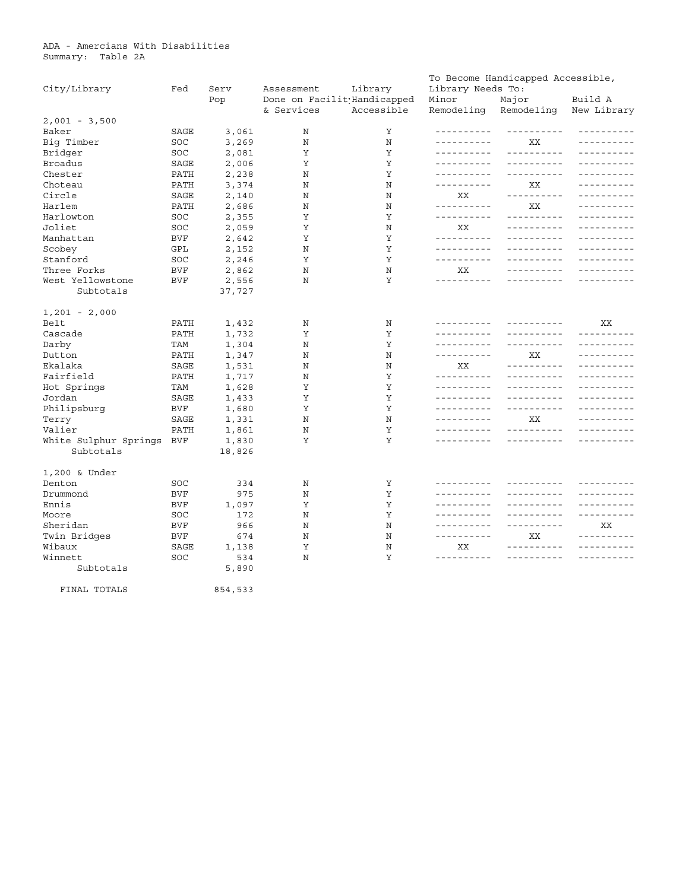| City/Library              | Fed  | Serv    | Assessment                                | Library    | Library Needs To:           | To Become Handicapped Accessible, |                        |
|---------------------------|------|---------|-------------------------------------------|------------|-----------------------------|-----------------------------------|------------------------|
|                           |      | Pop     | Done on Facilit Handicapped<br>& Services | Accessible | Minor<br>Remodeling         | Major<br>Remodeling               | Build A<br>New Library |
| $2,001 - 3,500$           |      |         |                                           |            |                             |                                   |                        |
| Baker                     | SAGE | 3,061   | Ν                                         | Υ          | ----------                  |                                   |                        |
| Big Timber                | SOC  | 3,269   | Ν                                         | Ν          | - - - - - - - - - -         | ΧX                                | ----------             |
| Bridger                   | SOC  | 2,081   | Υ                                         | Υ          | ----------                  |                                   |                        |
| Broadus                   | SAGE | 2,006   | Υ                                         | Υ          | ----------                  |                                   |                        |
| Chester                   | PATH | 2,238   | N                                         | Υ          | ----------                  |                                   |                        |
| Choteau                   | PATH | 3,374   | N                                         | N          | ----------                  | XX                                |                        |
| Circle                    | SAGE | 2,140   | N                                         | N          | XX                          | ----------                        |                        |
| Harlem                    | PATH | 2,686   | N                                         | N          | <u> - - - - - - - - -</u>   | XX                                |                        |
| Harlowton                 | SOC  | 2,355   | Υ                                         | Υ          | ----------                  | ----------                        |                        |
| Joliet                    | SOC  | 2,059   | Y                                         | N          | XX                          | ----------                        |                        |
| Manhattan                 | BVF  | 2,642   | Υ                                         | Υ          | ----------                  | ----------                        |                        |
| Scobey                    | GPL  | 2,152   | N                                         | Υ          | ----------                  | ----------                        |                        |
| Stanford                  | SOC  | 2,246   | Y                                         | Y          | ----------                  | ----------                        |                        |
| Three Forks               | BVF  | 2,862   | N                                         | N          | XX                          | <u> - - - - - - - - - -</u>       |                        |
| West Yellowstone          | BVF  | 2,556   | N                                         | Y          | ----------                  |                                   |                        |
| Subtotals                 |      | 37,727  |                                           |            |                             |                                   |                        |
| $1,201 - 2,000$           |      |         |                                           |            |                             |                                   |                        |
| Belt                      | PATH | 1,432   | N                                         | N          | <u> - - - - - - - - - -</u> | ----------                        | XX                     |
| Cascade                   | PATH | 1,732   | Υ                                         | Υ          | ----------                  |                                   | ----------             |
| Darby                     | TAM  | 1,304   | N                                         | Y          | ----------                  | ----------                        | ----------             |
| Dutton                    | PATH | 1,347   | N                                         | N          |                             | XX                                | ----------             |
| Ekalaka                   | SAGE | 1,531   | N                                         | N          | XX                          |                                   | $- - - - - - -$        |
| Fairfield                 | PATH | 1,717   | N                                         | Y          | <u> - - - - - - - - - -</u> |                                   | $- - - - - -$          |
| Hot Springs               | TAM  | 1,628   | Υ                                         | Υ          | ----------                  | _ _ _ _ _ _ _ _ _ _               |                        |
| Jordan                    | SAGE | 1,433   | Υ                                         | Y          | ----------                  | ----------                        |                        |
| Philipsburg               | BVF  | 1,680   | Υ                                         | Υ          | ----------                  | ----------                        |                        |
| Terry                     | SAGE | 1,331   | N                                         | N          | -----------                 | XХ                                | -------                |
| Valier                    | PATH | 1,861   | Ν                                         | Υ          | -----------                 | -----------                       | - - - - - - - - - -    |
| White Sulphur Springs BVF |      | 1,830   | Υ                                         | Υ          | - - - - - - - - - -         | ----------                        | - - - - - - - - - -    |
| Subtotals                 |      | 18,826  |                                           |            |                             |                                   |                        |
| 1,200 & Under             |      |         |                                           |            |                             |                                   |                        |
| Denton                    | SOC  | 334     | Ν                                         | Υ          | ----------                  | ----------                        | .                      |
| Drummond                  | BVF  | 975     | N                                         | Υ          | ----------                  | ----------                        |                        |
| Ennis                     | BVF  | 1,097   | Υ                                         | Υ          |                             | - - - - - - - - - -               | $- - - - - - -$        |
| Moore                     | SOC  | 172     | N                                         | Υ          |                             | - - - - - - - - - -               | ----------             |
| Sheridan                  | BVF  | 966     | N                                         | N          |                             | ----------                        | XX                     |
| Twin Bridges              | BVF  | 674     | Ν                                         | Ν          | ----------                  | XХ                                | ----------             |
| Wibaux                    | SAGE | 1,138   | Υ                                         | N          | XX                          | ----------                        | - - - - - - - - - -    |
| Winnett                   | SOC  | 534     | N                                         | Y          |                             | <u> - - - - - - - - - -</u>       | - - - - - - - - - -    |
| Subtotals                 |      | 5,890   |                                           |            |                             |                                   |                        |
| FINAL TOTALS              |      | 854,533 |                                           |            |                             |                                   |                        |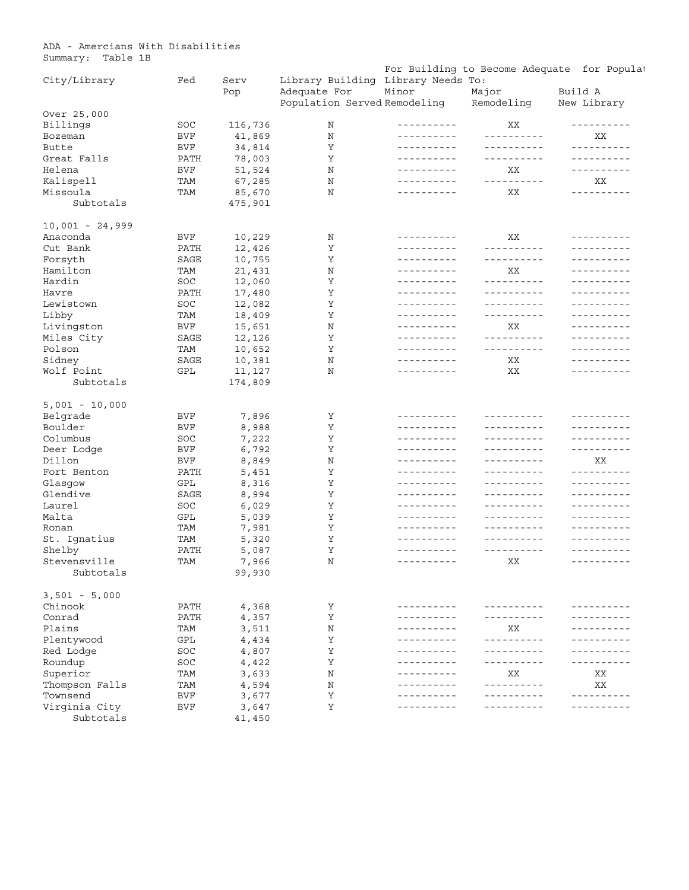ADA - Amercians With Disabilities Summary: Table 1B

| ⊃ummar y .        | rante th |      |         |                                    |                          |                             | For Building to Become Adequate for Populat                                                                   |
|-------------------|----------|------|---------|------------------------------------|--------------------------|-----------------------------|---------------------------------------------------------------------------------------------------------------|
| City/Library      |          | Fed  | Serv    | Library Building Library Needs To: |                          |                             |                                                                                                               |
|                   |          |      | Pop     | Adequate For                       | Minor                    | Major                       | Build A                                                                                                       |
|                   |          |      |         | Population Served Remodeling       |                          | Remodeling                  | New Library                                                                                                   |
| Over 25,000       |          |      |         |                                    |                          |                             |                                                                                                               |
| Billings          |          | SOC  | 116,736 | Ν                                  | ----------               | XX                          | ----------                                                                                                    |
| Bozeman           |          | BVF  | 41,869  | N                                  | ----------               | __________                  | XX                                                                                                            |
| Butte             |          | BVF  | 34,814  | Υ                                  | ----------               | ----------                  | ----------                                                                                                    |
| Great Falls       |          | PATH | 78,003  | Υ                                  | ----------               | ----------                  | ----------                                                                                                    |
| Helena            |          | BVF  | 51,524  | N                                  | ----------               | XХ                          | ----------                                                                                                    |
| Kalispell         |          | TAM  | 67,285  | N                                  | ----------               | <u> - - - - - - - - - -</u> | ΧX                                                                                                            |
| Missoula          |          | TAM  | 85,670  | N                                  | ----------               | ΧX                          | ----------                                                                                                    |
| Subtotals         |          |      | 475,901 |                                    |                          |                             |                                                                                                               |
| $10,001 - 24,999$ |          |      |         |                                    |                          |                             |                                                                                                               |
| Anaconda          |          | BVF  | 10,229  | N                                  | ----------               | XX                          | ----------                                                                                                    |
| Cut Bank          |          | PATH | 12,426  | Υ                                  | ----------               | <u> - - - - - - - - - -</u> | ----------                                                                                                    |
| Forsyth           |          | SAGE | 10,755  | Υ                                  | ----------               | ----------                  | ----------                                                                                                    |
| Hamilton          |          | TAM  | 21,431  | N                                  | ----------               | ΧX                          | ----------                                                                                                    |
| Hardin            |          | SOC  | 12,060  | Υ                                  | ----------               | ----------                  | ----------                                                                                                    |
| Havre             |          | PATH | 17,480  | Υ                                  | ----------               | ----------                  | ----------                                                                                                    |
| Lewistown         |          | SOC  | 12,082  | Υ                                  | ----------               | ----------                  | ----------                                                                                                    |
| Libby             |          | TAM  | 18,409  | Υ                                  | ----------               | __________                  | <u> - - - - - - - - - -</u>                                                                                   |
| Livingston        |          | BVF  | 15,651  | N                                  | ----------               | XX                          | <u> - - - - - - - - - -</u>                                                                                   |
| Miles City        |          | SAGE | 12,126  | Υ                                  | ----------               | ----------                  | ----------                                                                                                    |
| Polson            |          | TAM  | 10,652  | Υ                                  | ----------               | ----------                  | ----------                                                                                                    |
| Sidney            |          | SAGE | 10,381  | N                                  | ----------               | ΧX                          | ----------                                                                                                    |
| Wolf Point        |          | GPL  | 11,127  | N                                  | ----------               | ХX                          | ----------                                                                                                    |
| Subtotals         |          |      | 174,809 |                                    |                          |                             |                                                                                                               |
|                   |          |      |         |                                    |                          |                             |                                                                                                               |
| $5,001 - 10,000$  |          |      |         |                                    |                          |                             |                                                                                                               |
| Belgrade          |          | BVF  | 7,896   | Υ                                  | ----------               | ----------                  | ----------                                                                                                    |
| Boulder           |          | BVF  | 8,988   | Υ                                  | ----------               | ----------                  | ----------                                                                                                    |
| Columbus          |          | SOC  | 7,222   | Υ                                  | ----------               | ----------                  | ----------                                                                                                    |
| Deer Lodge        |          | BVF  | 6,792   | Υ                                  | ----------               | ----------                  | ----------                                                                                                    |
| Dillon            |          | BVF  | 8,849   | N                                  | ----------               | ----------                  | XX                                                                                                            |
| Fort Benton       |          | PATH | 5,451   | Υ                                  | ----------               | ----------                  | ----------                                                                                                    |
| Glasgow           |          | GPL  | 8,316   | Υ                                  | ----------               | ----------                  | ----------                                                                                                    |
| Glendive          |          | SAGE | 8,994   | Υ                                  | ----------               | ----------                  | ----------                                                                                                    |
| Laurel            |          | SOC  | 6,029   | Υ                                  | ----------               | ----------                  | <u> - - - - - - - - - -</u>                                                                                   |
| Malta             |          | GPL  | 5,039   | Υ                                  | ----------               | ----------                  | ----------                                                                                                    |
| Ronan             |          | TAM  | 7,981   | Υ                                  | ----------               | ----------                  | ----------                                                                                                    |
| St. Ignatius      |          | TAM  | 5,320   | Υ                                  | ----------<br>---------- | ----------<br>----------    | ----------                                                                                                    |
| Shelby            |          | PATH | 5,087   | Υ                                  |                          |                             |                                                                                                               |
| Stevensville      |          | TAM  | 7,966   | Ν                                  | ----------               | XX                          | ----------                                                                                                    |
| Subtotals         |          |      | 99,930  |                                    |                          |                             |                                                                                                               |
| $3,501 - 5,000$   |          |      |         |                                    |                          |                             |                                                                                                               |
| Chinook           |          | PATH | 4,368   | Υ                                  | ----------               | ----------                  | ---------                                                                                                     |
| Conrad            |          | PATH | 4,357   | Υ                                  | ----------               | - - - - - - - - - -         | -------                                                                                                       |
| Plains            |          | TAM  | 3,511   | N                                  |                          | XX                          |                                                                                                               |
| Plentywood        |          | GPL  | 4,434   | Υ                                  |                          | ----------                  |                                                                                                               |
| Red Lodge         |          | SOC  | 4,807   | Υ                                  |                          | - - - - - - - - - -         |                                                                                                               |
| Roundup           |          | SOC  | 4,422   | Υ                                  |                          | - - - - - - - - - -         | --------                                                                                                      |
| Superior          |          | TAM  | 3,633   | N                                  |                          | XX                          | ΧX                                                                                                            |
| Thompson Falls    |          | TAM  | 4,594   | N                                  |                          | - - - - - - - - - -         | XХ                                                                                                            |
| Townsend          |          | BVF  | 3,677   | Υ                                  |                          | .                           |                                                                                                               |
| Virginia City     |          | BVF  | 3,647   | Υ                                  |                          |                             | $\frac{1}{2}$ = $\frac{1}{2}$ = $\frac{1}{2}$ = $\frac{1}{2}$ = $\frac{1}{2}$ = $\frac{1}{2}$ = $\frac{1}{2}$ |
| Subtotals         |          |      | 41,450  |                                    |                          |                             |                                                                                                               |